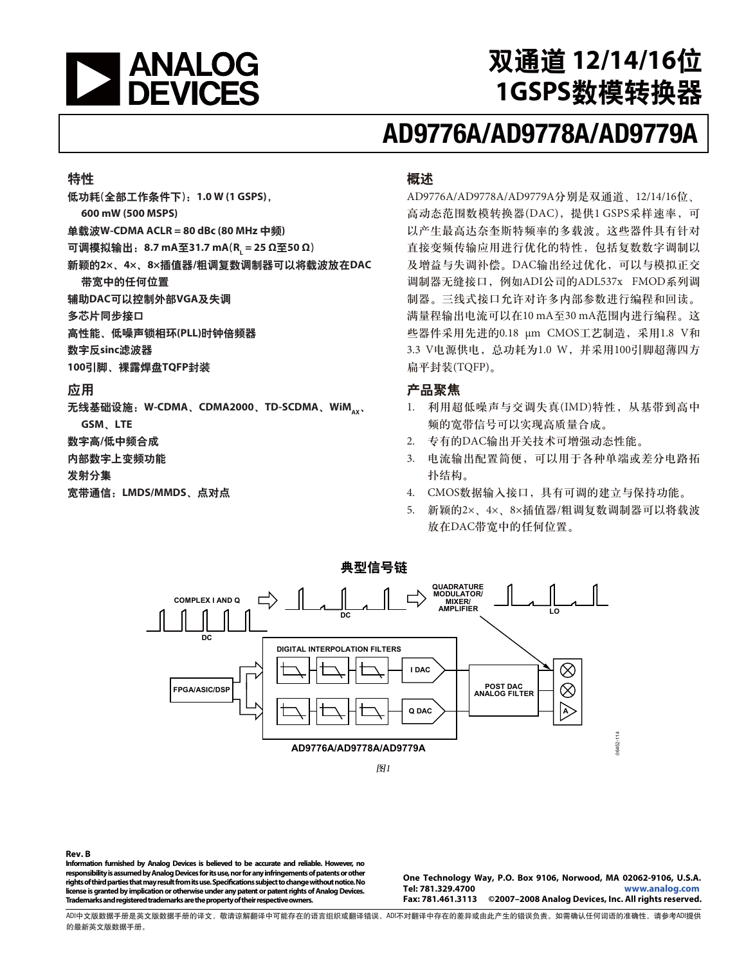

# <u> 双通道 12/14/16位</u> 1GSPS数模转换器

# **AD9776A/AD9778A/AD9779A**

#### 特性

低功耗(全部工作条件下): 1.0 W (1 GSPS),

**600 mW (500 MSPS)** 

 $\dot{\mathbf{\Xi}}$ 载波W-CDMA ACLR = 80 dBc (80 MHz 中频)

**可调模拟输出:8.7 mA至31.7 mA**(R<sub>L</sub>=25 Ω至50 Ω)

新颖的2×、4×、8×插值器/粗调复数调制器可以将载波放在DAC 带宽中的任何位置

辅助DAC可以控制外部VGA及失调

多芯片同步接口

高性能、低噪声锁相环(PLL)时钟倍频器

数字反sinc滤波器

100引脚、裸露焊盘TQFP封装

#### 应用

无线基础设施: W-CDMA、CDMA2000、TD-SCDMA、WiM<sub>AX</sub>、 **GSM**Ă**LTE** 

数字高/低中频合成

内部数字上变频功能

发射分集

宽带通信: LMDS/MMDS、点对点

#### 概述

AD9776A/AD9778A/AD9779A分别是双通道、12/14/16位、 高动态范围数模转换器(DAC), 提供1 GSPS采样速率, 可 以产生最高达奈奎斯特频率的多载波。这些器件具有针对 直接变频传输应用进行优化的特性,包括复数数字调制以 及增益与失调补偿。DAC输出经过优化,可以与模拟正交 调制器无缝接口, 例如ADI公司的ADL537x FMOD系列调 制器。三线式接口允许对许多内部参数进行编程和回读。 满量程输出电流可以在10 mA至30 mA范围内进行编程。这 些器件采用先进的0.18 μm CMOS工艺制造, 采用1.8 V和 3.3 V电源供电, 总功耗为1.0 W, 并采用100引脚超薄四方 扁平封装(TQFP)。

### 产品聚焦

- 1. 利用超低噪声与交调失真(IMD)特性, 从基带到高中 频的宽带信号可以实现高质量合成。
- 2. 专有的DAC输出开关技术可增强动态性能。
- 3. 电流输出配置简便,可以用于各种单端或差分电路拓 扑结构。
- 4. CMOS数据输入接口, 具有可调的建立与保持功能。
- 5. 新颖的2×、4×、8×插值器/粗调复数调制器可以将载波 放在DAC带宽中的任何位置。



**Rev. B** 

**Information furnished by Analog Devices is believed to be accurate and reliable. However, no responsibility is assumed by Analog Devices for its use, nor for any infringements of patents or other rights of third parties that may result from its use. Specifications subject to change without notice. No license is granted by implication or otherwise under any patent or patent rights of Analog Devices. Trademarks and registered trademarks are the property of their respective owners.** 

**One Technology Way, P.O. Box 9106, Norwood, MA 02062-9106, U.S.A. Tel: 781.329.4700 www.analog.com Fax: 781.461.3113 ©2007–2008 Analog Devices, Inc. All rights reserved.** 

ADI中文版数据手册是英文版数据手册的译文,敬请谅解翻译中可能存在的语言组织或翻译错误,ADI不对翻译中存在的差异或由此产生的错误负责。如需确认任何词语的准确性,请参考ADI提供 的最新英文版数据手册。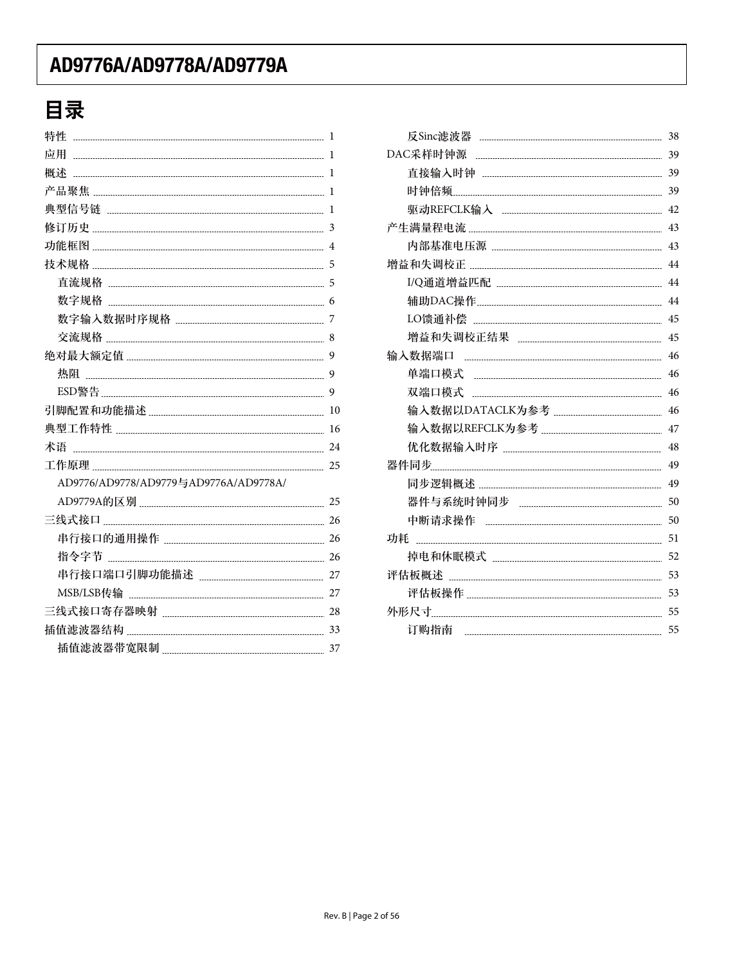# 目录

| 特性                                    | 1  |
|---------------------------------------|----|
| 应用                                    | 1  |
| 概述                                    | 1  |
|                                       | 1  |
|                                       | 1  |
|                                       | 3  |
|                                       | 4  |
|                                       |    |
|                                       |    |
| 数字规格                                  | 6  |
|                                       |    |
|                                       | 8  |
|                                       | 9  |
|                                       | 9  |
|                                       | 9  |
|                                       |    |
|                                       |    |
| 术语                                    |    |
|                                       |    |
| AD9776/AD9778/AD9779与AD9776A/AD9778A/ |    |
|                                       | 25 |
|                                       | 26 |
|                                       |    |
|                                       |    |
|                                       |    |
|                                       |    |
|                                       | 28 |
|                                       |    |
|                                       |    |
|                                       |    |

|      | 38 |
|------|----|
|      | 39 |
|      |    |
|      |    |
|      |    |
|      |    |
|      | 43 |
|      | 44 |
|      |    |
|      |    |
|      | 45 |
|      | 45 |
|      | 46 |
|      | 46 |
|      | 46 |
|      | 46 |
|      | 47 |
|      | 48 |
|      | 49 |
|      | 49 |
|      | 50 |
|      | 50 |
|      | 51 |
|      | 52 |
|      | 53 |
|      | 53 |
|      | 55 |
| 订购指南 | 55 |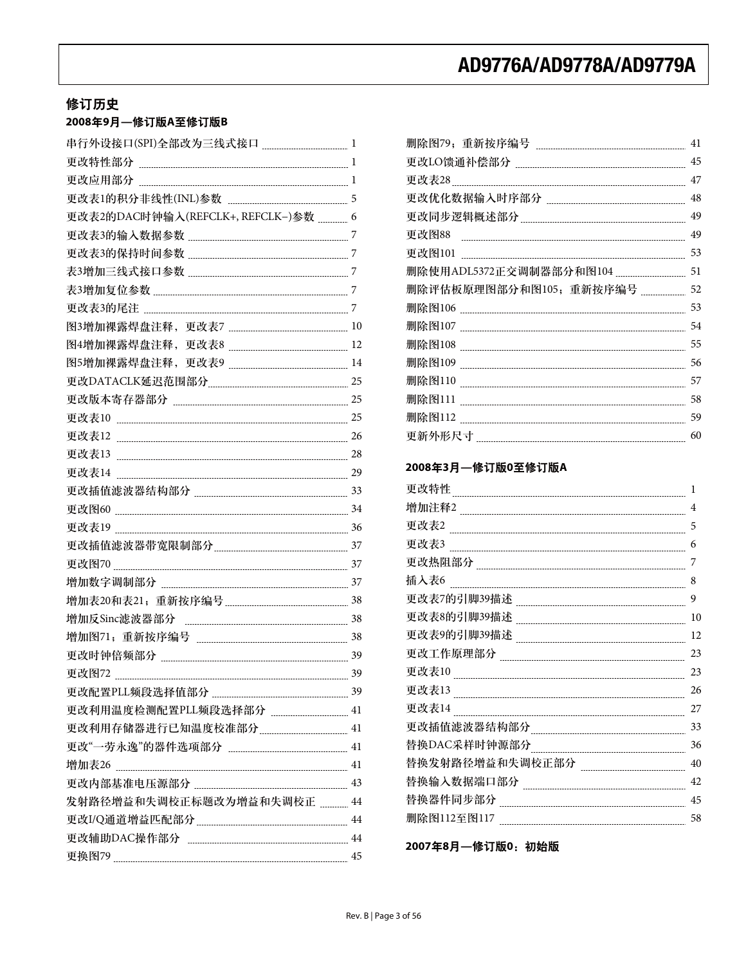## 修订历史

## $2008$ 年9月—修订版A至修订版B

| 更改表2的DAC时钟输入(REFCLK+, REFCLK-)参数  6 |    |
|-------------------------------------|----|
|                                     |    |
|                                     |    |
|                                     |    |
|                                     |    |
|                                     |    |
|                                     |    |
|                                     | 12 |
|                                     |    |
|                                     |    |
|                                     |    |
|                                     |    |
|                                     |    |
|                                     |    |
|                                     |    |
|                                     |    |
|                                     |    |
|                                     |    |
|                                     |    |
|                                     |    |
|                                     |    |
|                                     |    |
| 增加反Sinc滤波器部分                        |    |
|                                     |    |
|                                     |    |
| 更改图72                               | 39 |
|                                     |    |
|                                     |    |
|                                     |    |
|                                     |    |
|                                     |    |
|                                     |    |
| 发射路径增益和失调校正标题改为增益和失调校正  44          |    |
|                                     |    |
|                                     |    |
|                                     |    |
|                                     |    |

|                        | 41 |
|------------------------|----|
|                        | 45 |
| 更改表28                  | 47 |
|                        | 48 |
|                        | 49 |
| 更改图88                  | 49 |
|                        | 53 |
|                        | 51 |
| 删除评估板原理图部分和图105;重新按序编号 | 52 |
|                        | 53 |
|                        | 54 |
|                        | 55 |
|                        | 56 |
|                        | 57 |
| 删除图111                 | 58 |
|                        | 59 |
|                        | 60 |

### 2008年3月—修订版0至修订版A

| 更改特性            | 1  |
|-----------------|----|
| 增加注释2           | 4  |
| 更改表2            | 5  |
| 更改表3            | 6  |
| 更改热阻部分          | 7  |
| 插入表6            | 8  |
| 更改表7的引脚39描述     | 9  |
| 更改表8的引脚39描述     | 10 |
| 更改表9的引脚39描述     | 12 |
| 更改工作原理部分        | 23 |
| 更改表10           | 23 |
| 更改表13           | 26 |
| 更改表14           | 27 |
| 更改插值滤波器结构部分     | 33 |
| 替换DAC采样时钟源部分    | 36 |
| 替换发射路径增益和失调校正部分 | 40 |
| 替换输入数据端口部分      | 42 |
| 替换器件同步部分        | 45 |
| 删除图112至图117     | 58 |

2007年8月––修订版0:初始版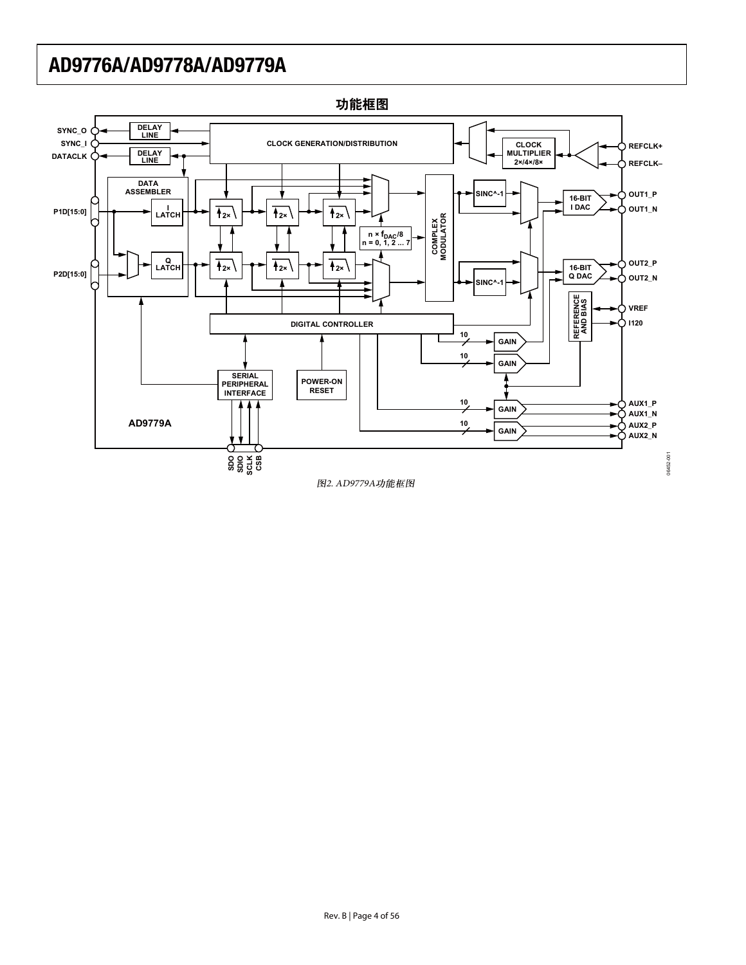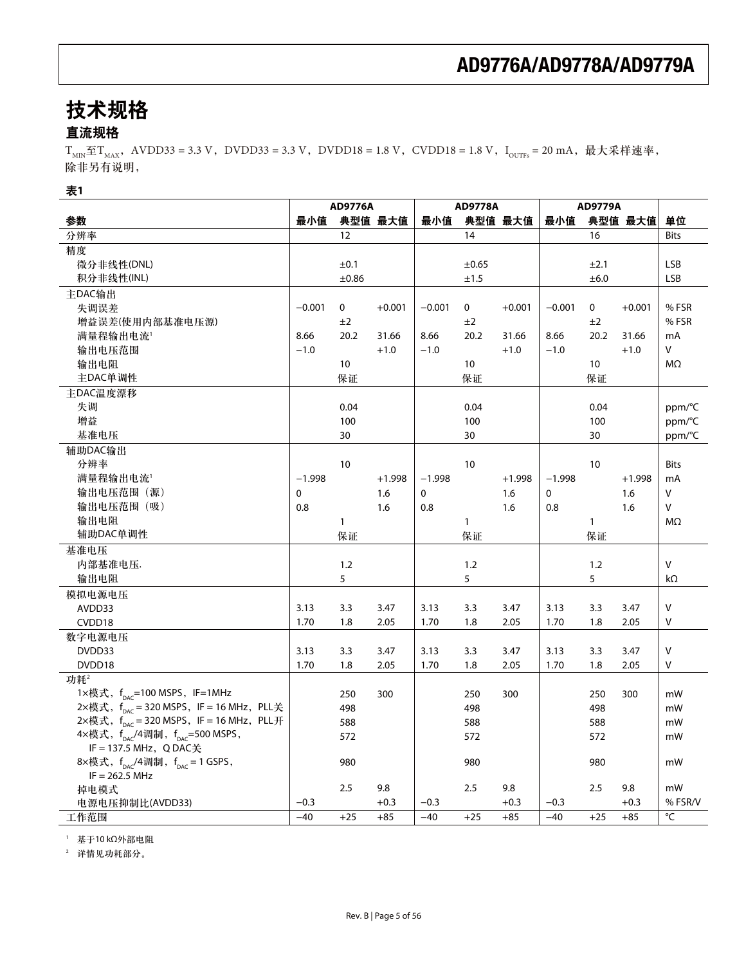# 技术规格

## 直流规格

 $T_{MIN} \le T_{MAX}$ , AVDD33 = 3.3 V, DVDD33 = 3.3 V, DVDD18 = 1.8 V, CVDD18 = 1.8 V, I<sub>OUTFs</sub> = 20 mA, 最大采样速率, 除非另有说明,

### 表1

|                                                          |             | <b>AD9776A</b> |          |          | <b>AD9778A</b> |          |             | <b>AD9779A</b> |          |             |
|----------------------------------------------------------|-------------|----------------|----------|----------|----------------|----------|-------------|----------------|----------|-------------|
| 参数                                                       | 最小值         |                | 典型值 最大值  | 最小值      |                | 典型值 最大值  | 最小值         |                | 典型值 最大值  | 单位          |
| 分辨率                                                      |             | 12             |          |          | 14             |          |             | 16             |          | <b>Bits</b> |
| 精度                                                       |             |                |          |          |                |          |             |                |          |             |
| 微分非线性(DNL)                                               |             | ±0.1           |          |          | $\pm 0.65$     |          |             | ±2.1           |          | <b>LSB</b>  |
| 积分非线性(INL)                                               |             | ±0.86          |          |          | ±1.5           |          |             | ±6.0           |          | <b>LSB</b>  |
| 主DAC输出                                                   |             |                |          |          |                |          |             |                |          |             |
| 失调误差                                                     | $-0.001$    | 0              | $+0.001$ | $-0.001$ | 0              | $+0.001$ | $-0.001$    | 0              | $+0.001$ | %FSR        |
| 增益误差(使用内部基准电压源)                                          |             | ±2             |          |          | ±2             |          |             | ±2             |          | %FSR        |
| 满量程输出电流1                                                 | 8.66        | 20.2           | 31.66    | 8.66     | 20.2           | 31.66    | 8.66        | 20.2           | 31.66    | mA          |
| 输出电压范围                                                   | $-1.0$      |                | $+1.0$   | $-1.0$   |                | $+1.0$   | $-1.0$      |                | $+1.0$   | V           |
| 输出电阻                                                     |             | 10             |          |          | 10             |          |             | 10             |          | ΜΩ          |
| 主DAC单调性                                                  |             | 保证             |          |          | 保证             |          |             | 保证             |          |             |
| 主DAC温度漂移                                                 |             |                |          |          |                |          |             |                |          |             |
| 失调                                                       |             | 0.04           |          |          | 0.04           |          |             | 0.04           |          | ppm/°C      |
| 增益                                                       |             | 100            |          |          | 100            |          |             | 100            |          | ppm/°C      |
| 基准电压                                                     |             | 30             |          |          | 30             |          |             | 30             |          | ppm/°C      |
| 辅助DAC输出                                                  |             |                |          |          |                |          |             |                |          |             |
| 分辨率                                                      |             | 10             |          |          | 10             |          |             | 10             |          | <b>Bits</b> |
| 满量程输出电流1                                                 | $-1.998$    |                | $+1.998$ | $-1.998$ |                | $+1.998$ | $-1.998$    |                | $+1.998$ | mA          |
| 输出电压范围(源)                                                | $\mathbf 0$ |                | 1.6      | 0        |                | 1.6      | $\mathbf 0$ |                | 1.6      | v           |
| 输出电压范围 (吸)                                               | 0.8         |                | 1.6      | 0.8      |                | 1.6      | 0.8         |                | 1.6      | V           |
| 输出电阻                                                     |             | $\mathbf{1}$   |          |          | $\mathbf{1}$   |          |             | $\mathbf{1}$   |          | MΩ          |
| 辅助DAC单调性                                                 |             | 保证             |          |          | 保证             |          |             | 保证             |          |             |
| 基准电压                                                     |             |                |          |          |                |          |             |                |          |             |
| 内部基准电压.                                                  |             | 1.2            |          |          | 1.2            |          |             | 1.2            |          | v           |
| 输出电阻                                                     |             | 5              |          |          | 5              |          |             | 5              |          | kΩ          |
| 模拟电源电压                                                   |             |                |          |          |                |          |             |                |          |             |
| AVDD33                                                   | 3.13        | 3.3            | 3.47     | 3.13     | 3.3            | 3.47     | 3.13        | 3.3            | 3.47     | V           |
| CVDD18                                                   | 1.70        | 1.8            | 2.05     | 1.70     | 1.8            | 2.05     | 1.70        | 1.8            | 2.05     | v           |
| 数字电源电压                                                   |             |                |          |          |                |          |             |                |          |             |
| DVDD33                                                   | 3.13        | 3.3            | 3.47     | 3.13     | 3.3            | 3.47     | 3.13        | 3.3            | 3.47     | V           |
| DVDD18                                                   | 1.70        | 1.8            | 2.05     | 1.70     | 1.8            | 2.05     | 1.70        | 1.8            | 2.05     | V           |
| 功耗2                                                      |             |                |          |          |                |          |             |                |          |             |
| 1×模式, f <sub>DAC</sub> =100 MSPS, IF=1MHz                |             | 250            | 300      |          | 250            | 300      |             | 250            | 300      | mW          |
| 2×模式, f <sub>DAC</sub> = 320 MSPS, IF = 16 MHz, PLL关     |             | 498            |          |          | 498            |          |             | 498            |          | mW          |
| 2×模式, $f_{DAC}$ = 320 MSPS, IF = 16 MHz, PLL开            |             | 588            |          |          | 588            |          |             | 588            |          | mW          |
| 4×模式, f <sub>pac</sub> /4调制, f <sub>pac</sub> =500 MSPS, |             | 572            |          |          | 572            |          |             | 572            |          | mW          |
| IF = 137.5 MHz, Q DAC关                                   |             |                |          |          |                |          |             |                |          |             |
| 8×模式, $f_{\text{pAC}}/4$ 调制, $f_{\text{pAC}} = 1$ GSPS,  |             | 980            |          |          | 980            |          |             | 980            |          | mW          |
| $IF = 262.5 MHz$                                         |             |                |          |          |                |          |             |                |          |             |
| 掉电模式                                                     |             | 2.5            | 9.8      |          | 2.5            | 9.8      |             | 2.5            | 9.8      | mW          |
| 电源电压抑制比(AVDD33)                                          | $-0.3$      |                | $+0.3$   | $-0.3$   |                | $+0.3$   | $-0.3$      |                | $+0.3$   | % FSR/V     |
| 工作范围                                                     | $-40$       | $+25$          | $+85$    | $-40$    | $+25$          | $+85$    | $-40$       | $+25$          | $+85$    | °C          |

 $1$  基于10 kΩ外部电阻

2 详情见功耗部分。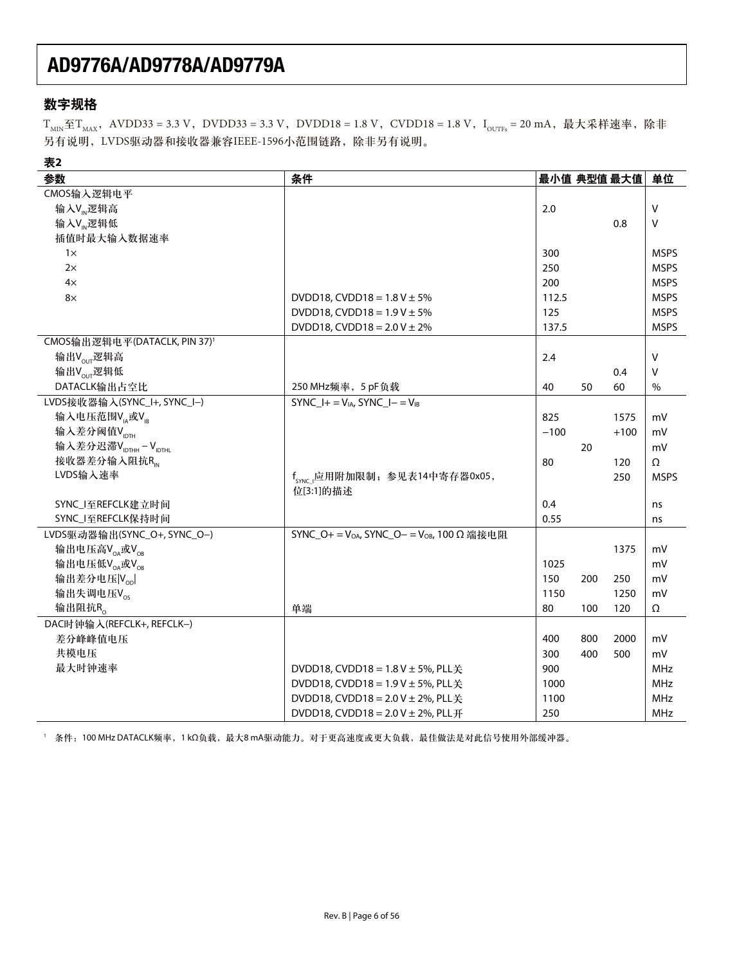## 数字规格

 $T_{MIN} \leq T_{MAX}$ , AVDD33 = 3.3 V, DVDD33 = 3.3 V, DVDD18 = 1.8 V, CVDD18 = 1.8 V, I<sub>OUTFs</sub> = 20 mA, 最大采样速率, 除非 另有说明, LVDS驱动器和接收器兼容IEEE-1596小范围链路, 除非另有说明。

| 表2                                           |                                                                    |             |     |        |             |
|----------------------------------------------|--------------------------------------------------------------------|-------------|-----|--------|-------------|
| 参数                                           | 条件                                                                 | 最小值 典型值 最大值 |     |        | 单位          |
| CMOS输入逻辑电平                                   |                                                                    |             |     |        |             |
| 输入V <sub>M</sub> 逻辑高                         |                                                                    | 2.0         |     |        | V           |
| 输入V <sub>M</sub> 逻辑低                         |                                                                    |             |     | 0.8    | V           |
| 插值时最大输入数据速率                                  |                                                                    |             |     |        |             |
| $1\times$                                    |                                                                    | 300         |     |        | <b>MSPS</b> |
| 2x                                           |                                                                    | 250         |     |        | <b>MSPS</b> |
| $4\times$                                    |                                                                    | 200         |     |        | <b>MSPS</b> |
| $8\times$                                    | DVDD18, CVDD18 = $1.8$ V $\pm$ 5%                                  | 112.5       |     |        | <b>MSPS</b> |
|                                              | DVDD18, CVDD18 = $1.9$ V $\pm$ 5%                                  | 125         |     |        | <b>MSPS</b> |
|                                              | DVDD18, CVDD18 = $2.0$ V $\pm$ 2%                                  | 137.5       |     |        | <b>MSPS</b> |
| CMOS输出逻辑电平(DATACLK, PIN 37) <sup>1</sup>     |                                                                    |             |     |        |             |
| 输出Vour逻辑高                                    |                                                                    | 2.4         |     |        | $\vee$      |
| 输出Vour逻辑低                                    |                                                                    |             |     | 0.4    | V           |
| DATACLK输出占空比                                 | 250 MHz频率, 5 pF负载                                                  | 40          | 50  | 60     | $\%$        |
| LVDS接收器输入(SYNC_I+, SYNC_I-)                  | $SYNC_l += V_{IA}$ , $SYNC_l = V_{IB}$                             |             |     |        |             |
| 输入电压范围V <sub>IA</sub> 或V <sub>IB</sub>       |                                                                    | 825         |     | 1575   | mV          |
| 输入差分阈值VpTH                                   |                                                                    | $-100$      |     | $+100$ | mV          |
| 输入差分迟滞V <sub>IDTHH</sub> -V <sub>IDTHL</sub> |                                                                    |             | 20  |        | mV          |
| 接收器差分输入阻抗R                                   |                                                                    | 80          |     | 120    | Ω           |
| LVDS输入速率                                     | f <sub>SYNC</sub> 应用附加限制; 参见表14中寄存器0x05,                           |             |     | 250    | <b>MSPS</b> |
|                                              | 位[3:1]的描述                                                          |             |     |        |             |
| SYNC_I至REFCLK建立时间                            |                                                                    | 0.4         |     |        | ns          |
| SYNC_I至REFCLK保持时间                            |                                                                    | 0.55        |     |        | ns          |
| LVDS驱动器输出(SYNC_O+, SYNC_O-)                  | SYNC_O+ = V <sub>OA</sub> , SYNC_O- = V <sub>OB</sub> , 100 Ω 端接电阻 |             |     |        |             |
| 输出电压高VoA或VoR                                 |                                                                    |             |     | 1375   | mV          |
| 输出电压低V <sub>OA</sub> 或V <sub>OB</sub>        |                                                                    | 1025        |     |        | mV          |
| 输出差分电压 Vool                                  |                                                                    | 150         | 200 | 250    | mV          |
| 输出失调电压Vos                                    |                                                                    | 1150        |     | 1250   | mV          |
| 输出阻抗R。                                       | 单端                                                                 | 80          | 100 | 120    | Ω           |
| DAC时钟输入(REFCLK+, REFCLK-)                    |                                                                    |             |     |        |             |
| 差分峰峰值电压                                      |                                                                    | 400         | 800 | 2000   | mV          |
| 共模电压                                         |                                                                    | 300         | 400 | 500    | mV          |
| 最大时钟速率                                       | DVDD18, CVDD18 = $1.8$ V $\pm$ 5%, PLL $\neq$                      | 900         |     |        | MHz         |
|                                              | DVDD18, CVDD18 = $1.9$ V $\pm$ 5%, PLL $\neq$                      | 1000        |     |        | MHz         |
|                                              | DVDD18, CVDD18 = 2.0 V ± 2%, PLL关                                  | 1100        |     |        | MHz         |
|                                              | DVDD18, CVDD18 = $2.0$ V $\pm$ 2%, PLL $\overline{H}$              | 250         |     |        | <b>MHz</b>  |

1 条件: 100 MHz DATACLK频率, 1 kΩ负载, 最大8 mA驱动能力。对于更高速度或更大负载, 最佳做法是对此信号使用外部缓冲器。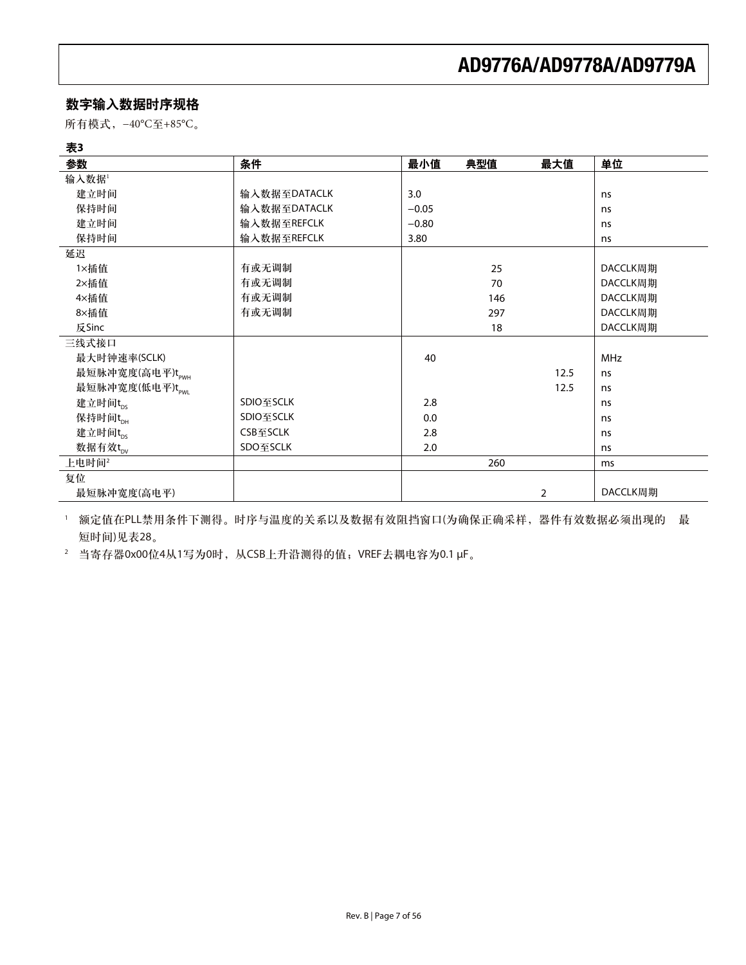## 数字输入数据时序规格

所有模式, -40°C至+85°C。

| 参数              | 条件           | 最小值     | 典型值 | 最大值  | 单位         |
|-----------------|--------------|---------|-----|------|------------|
| 输入数据1           |              |         |     |      |            |
| 建立时间            | 输入数据至DATACLK | 3.0     |     |      | ns         |
| 保持时间            | 输入数据至DATACLK | $-0.05$ |     |      | ns         |
| 建立时间            | 输入数据至REFCLK  | $-0.80$ |     |      | ns         |
| 保持时间            | 输入数据至REFCLK  | 3.80    |     |      | ns         |
| 延迟              |              |         |     |      |            |
| 1×插值            | 有或无调制        |         | 25  |      | DACCLK周期   |
| 2×插值            | 有或无调制        |         | 70  |      | DACCLK周期   |
| 4×插值            | 有或无调制        |         | 146 |      | DACCLK周期   |
| 8×插值            | 有或无调制        |         | 297 |      | DACCLK周期   |
| 反Sinc           |              |         | 18  |      | DACCLK周期   |
| 三线式接口           |              |         |     |      |            |
| 最大时钟速率(SCLK)    |              | 40      |     |      | <b>MHz</b> |
| 最短脉冲宽度(高电平)tpwH |              |         |     | 12.5 | ns         |
| 最短脉冲宽度(低电平)tpwu |              |         |     | 12.5 | ns         |
| 建立时间tps         | SDIO至SCLK    | 2.8     |     |      | ns         |
| 保持时间tpH         | SDIO至SCLK    | 0.0     |     |      | ns         |
| 建立时间trs         | CSB至SCLK     | 2.8     |     |      | ns         |
| 数据有效tpy         | SDO至SCLK     | 2.0     |     |      | ns         |
| 上电时间2           |              |         | 260 |      | ms         |
| 复位              |              |         |     |      |            |
| 最短脉冲宽度(高电平)     |              |         |     | 2    | DACCLK周期   |

□ 额定值在PLL禁用条件下测得。时序与温度的关系以及数据有效阻挡窗口(为确保正确采样,器件有效数据必须出现的 最 短时间)见表28。

 $2$  当寄存器0x00位4从1写为0时, 从CSB上升沿测得的值; VREF去耦电容为0.1 μF。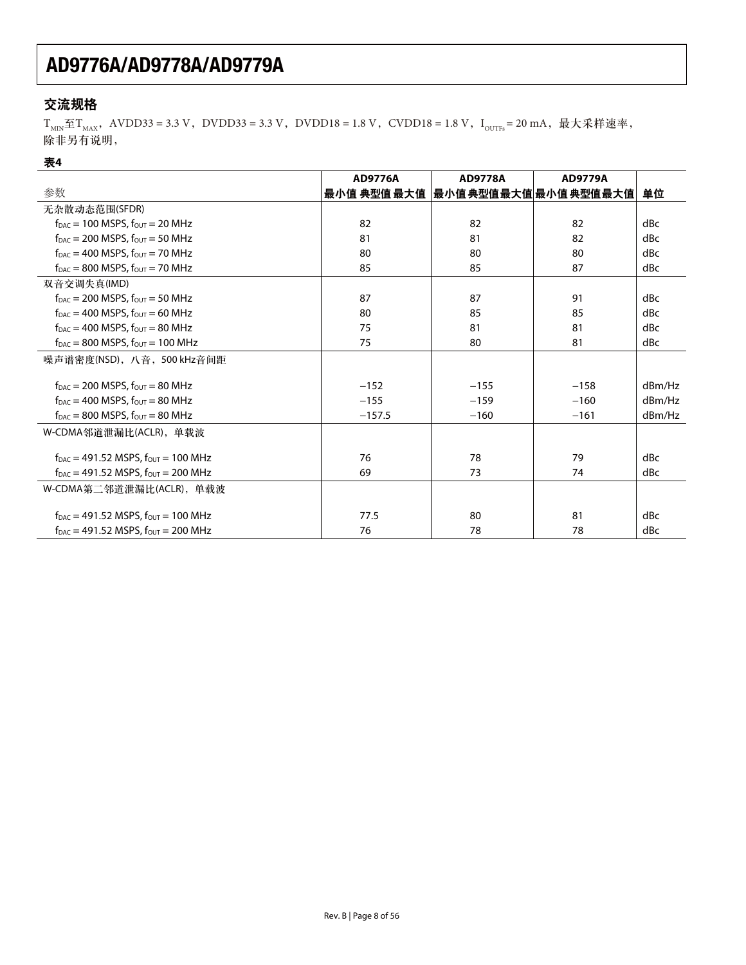## 交流规格

 $T_{MIN} \le T_{MAX}$ , AVDD33 = 3.3 V, DVDD33 = 3.3 V, DVDD18 = 1.8 V, CVDD18 = 1.8 V,  $I_{OUTFs}$  = 20 mA, 最大采样速率, 除非另有说明,

### 表4

|                                                                          | <b>AD9776A</b> | <b>AD9778A</b> | <b>AD9779A</b>      |        |
|--------------------------------------------------------------------------|----------------|----------------|---------------------|--------|
| 参数                                                                       | 最小值 典型值 最大值    |                | 最小值典型值最大值 最小值典型值最大值 | 单位     |
| 无杂散动态范围(SFDR)                                                            |                |                |                     |        |
| $f_{\text{DAC}} = 100$ MSPS, $f_{\text{OUT}} = 20$ MHz                   | 82             | 82             | 82                  | dBc    |
| $f_{\text{DAC}} = 200$ MSPS, $f_{\text{OUT}} = 50$ MHz                   | 81             | 81             | 82                  | dBc    |
| $f_{\text{DAC}} = 400$ MSPS, $f_{\text{OUT}} = 70$ MHz                   | 80             | 80             | 80                  | dBc    |
| $f_{\text{DAC}} = 800$ MSPS, $f_{\text{OUT}} = 70$ MHz                   | 85             | 85             | 87                  | dBc    |
| 双音交调失真(IMD)                                                              |                |                |                     |        |
| $f_{\text{DAC}}$ = 200 MSPS, $f_{\text{OUT}}$ = 50 MHz                   | 87             | 87             | 91                  | dBc    |
| $f_{DAC} = 400$ MSPS, $f_{OUT} = 60$ MHz                                 | 80             | 85             | 85                  | dBc    |
| $f_{\text{DAC}}$ = 400 MSPS, $f_{\text{OUT}}$ = 80 MHz                   | 75             | 81             | 81                  | dBc    |
| $f_{\text{DAC}} = 800$ MSPS, $f_{\text{OUT}} = 100$ MHz                  | 75             | 80             | 81                  | dBc    |
| 噪声谱密度(NSD), 八音, 500 kHz音间距                                               |                |                |                     |        |
| $f_{\text{DAC}} = 200$ MSPS, $f_{\text{OUT}} = 80$ MHz                   | $-152$         | $-155$         | $-158$              | dBm/Hz |
| $f_{\text{DAC}} = 400$ MSPS, $f_{\text{OUT}} = 80$ MHz                   | $-155$         | $-159$         | $-160$              | dBm/Hz |
| $f_{DAC} = 800$ MSPS, $f_{OUT} = 80$ MHz                                 | $-157.5$       | $-160$         | $-161$              | dBm/Hz |
| W-CDMA邻道泄漏比(ACLR), 单载波                                                   |                |                |                     |        |
| $f_{DAC} = 491.52$ MSPS, $f_{OUT} = 100$ MHz                             | 76             | 78             | 79                  | dBc    |
| $f_{\text{DAC}} = 491.52$ MSPS, $f_{\text{OUT}} = 200$ MHz               | 69             | 73             | 74                  | dBc    |
| W-CDMA第二邻道泄漏比(ACLR), 单载波                                                 |                |                |                     |        |
| $f_{\text{DAC}} = 491.52$ MSPS, $f_{\text{OUT}} = 100$ MHz               | 77.5           | 80             | 81                  | dBc    |
| $f_{\text{DAC}} = 491.52 \text{ MSPS}, f_{\text{OUT}} = 200 \text{ MHz}$ | 76             | 78             | 78                  | dBc    |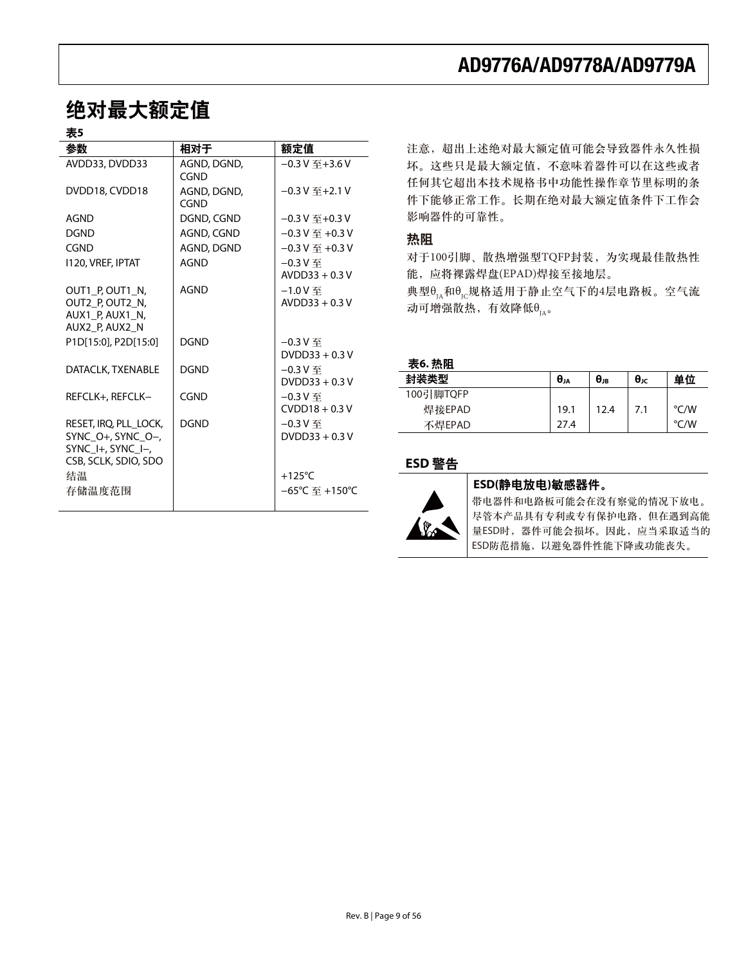# 绝对最大额定值

## 主*c*

| ᅑ                                                                                                               |                     |                                                                    |
|-----------------------------------------------------------------------------------------------------------------|---------------------|--------------------------------------------------------------------|
| 参数                                                                                                              | 相对于                 | 额定值                                                                |
| AVDD33, DVDD33                                                                                                  | AGND, DGND,<br>CGND | $-0.3V \,\text{F} + 3.6V$                                          |
| DVDD18, CVDD18                                                                                                  | AGND, DGND,<br>CGND | $-0.3V$ $\mp$ +2.1 V                                               |
| AGND                                                                                                            | DGND, CGND          | $-0.3$ V $\mp$ +0.3 V                                              |
| <b>DGND</b>                                                                                                     | AGND, CGND          | $-0.3$ V $\overline{4}$ +0.3 V                                     |
| CGND                                                                                                            | AGND, DGND          | $-0.3$ V $\overline{4}$ +0.3 V                                     |
| 1120, VREF, IPTAT                                                                                               | <b>AGND</b>         | $-0.3V$ 至<br>$AVDD33 + 0.3V$                                       |
| OUT1 P, OUT1 N,<br>OUT2_P, OUT2_N,<br>AUX1 P, AUX1 N,<br>AUX2 P, AUX2 N                                         | <b>AGND</b>         | $-1.0V$<br>$AVDD33 + 0.3V$                                         |
| P1D[15:0], P2D[15:0]                                                                                            | <b>DGND</b>         | $-0.3$ $V \ncong$<br>$DVDD33 + 0.3V$                               |
| DATACLK, TXENABLE                                                                                               | <b>DGND</b>         | $-0.3V$ 至<br>$DVDD33 + 0.3V$                                       |
| REFCLK+, REFCLK-                                                                                                | CGND                | $-0.3V$ 至<br>$CVDD18 + 0.3V$                                       |
| RESET, IRO, PLL LOCK,<br>SYNC $O+$ , SYNC $O-$ ,<br>SYNC $H$ , SYNC $H$<br>CSB, SCLK, SDIO, SDO<br>结温<br>存储温度范围 | <b>DGND</b>         | $-0.3V$ 至<br>$DVDD33 + 0.3V$<br>$+125^{\circ}$ C<br>–65°C 至 +150°C |
|                                                                                                                 |                     |                                                                    |

## **AD9776A/AD9778A/AD9779A**

注意, 超出上述绝对最大额定值可能会导致器件永久性损 坏。这些只是最大额定值,不意味着器件可以在这些或者 任何其它超出本技术规格书中功能性操作章节里标明的条 件下能够正常工作。长期在绝对最大额定值条件下工作会 影响器件的可靠性。

### 热阻

对于100引脚、散热增强型TQFP封装, 为实现最佳散热性 能, 应将裸露焊盘(EPAD)焊接至接地层。

典型 $\theta_{I_A}$ 和 $\theta_{I_C}$ 规格适用于静止空气下的4层电路板。空气流 动可增强散热,有效降低 $θ$ <sub>IA</sub>。

#### 表6. 热阻

| .         |               |                             |                      |      |
|-----------|---------------|-----------------------------|----------------------|------|
| 封装类型      | $\theta_{JA}$ | $\theta_{\text{\tiny{JB}}}$ | $\theta_{\text{JC}}$ | 单位   |
| 100引脚TQFP |               |                             |                      |      |
| 焊接EPAD    | 19.1          | 12.4                        | 7.1                  | °C/W |
| 不焊EPAD    | 27.4          |                             |                      | °C/W |

### **ESD 警告**



#### ESD(静电放电)敏感器件。

带电器件和电路板可能会在没有察觉的情况下放电。 尽管本产品具有专利或专有保护电路,但在遇到高能 量ESD时,器件可能会损坏。因此,应当采取适当的 ESD防范措施, 以避免器件性能下降或功能丧失。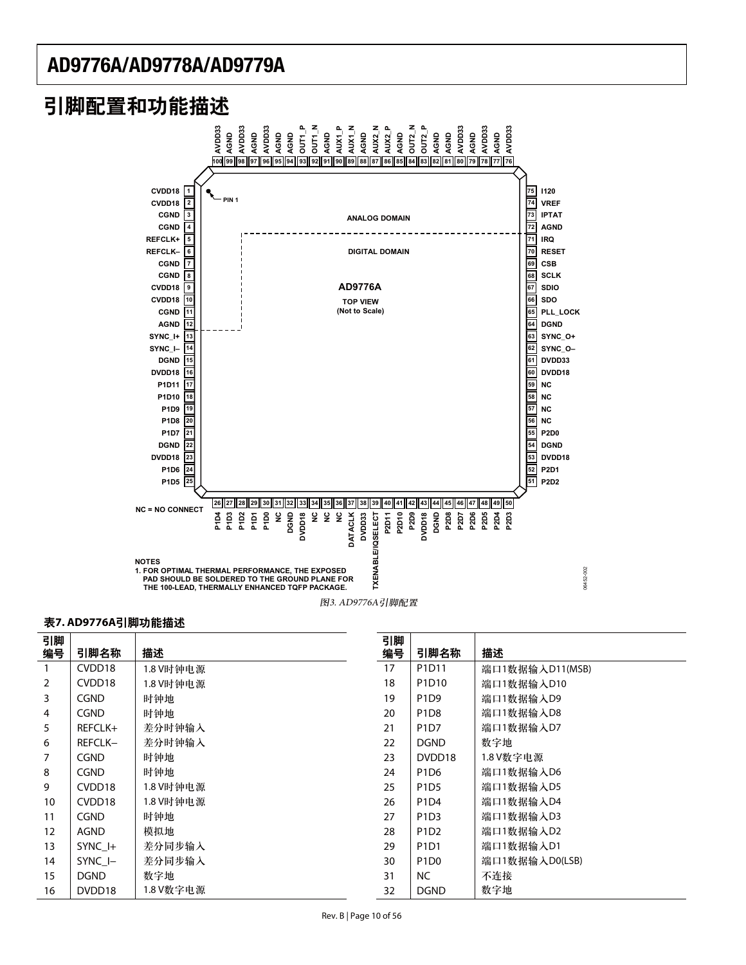# 引脚配置和功能描述



#### 表7. AD9776A引脚功能描述

| 引脚             |                    |           | 引脚 |                               |                 |
|----------------|--------------------|-----------|----|-------------------------------|-----------------|
| 编号             | 引脚名称               | 描述        | 编号 | 引脚名称                          | 描述              |
|                | CVDD18             | 1.8 V时钟电源 | 17 | P1D11                         | 端口1数据输入D11(MSB) |
| $\overline{2}$ | CVDD <sub>18</sub> | 1.8 V时钟电源 | 18 | P1D10                         | 端口1数据输入D10      |
| 3              | <b>CGND</b>        | 时钟地       | 19 | P <sub>1</sub> D <sub>9</sub> | 端口1数据输入D9       |
| 4              | <b>CGND</b>        | 时钟地       | 20 | P <sub>1</sub> D <sub>8</sub> | 端口1数据输入D8       |
| 5              | REFCLK+            | 差分时钟输入    | 21 | P <sub>1</sub> D <sub>7</sub> | 端口1数据输入D7       |
| 6              | REFCLK-            | 差分时钟输入    | 22 | <b>DGND</b>                   | 数字地             |
| 7              | <b>CGND</b>        | 时钟地       | 23 | DVDD18                        | 1.8 V数字电源       |
| 8              | <b>CGND</b>        | 时钟地       | 24 | P <sub>1</sub> D <sub>6</sub> | 端口1数据输入D6       |
| 9              | CVDD <sub>18</sub> | 1.8 V时钟电源 | 25 | P <sub>1</sub> D <sub>5</sub> | 端口1数据输入D5       |
| 10             | CVDD <sub>18</sub> | 1.8 V时钟电源 | 26 | P1D4                          | 端口1数据输入D4       |
| 11             | <b>CGND</b>        | 时钟地       | 27 | P <sub>1</sub> D <sub>3</sub> | 端口1数据输入D3       |
| 12             | AGND               | 模拟地       | 28 | P <sub>1</sub> D <sub>2</sub> | 端口1数据输入D2       |
| 13             | SYNC I+            | 差分同步输入    | 29 | P <sub>1</sub> D <sub>1</sub> | 端口1数据输入D1       |
| 14             | SYNC I-            | 差分同步输入    | 30 | P <sub>1</sub> D <sub>0</sub> | 端口1数据输入D0(LSB)  |
| 15             | <b>DGND</b>        | 数字地       | 31 | NC.                           | 不连接             |
| 16             | DVDD18             | 1.8 V数字电源 | 32 | <b>DGND</b>                   | 数字地             |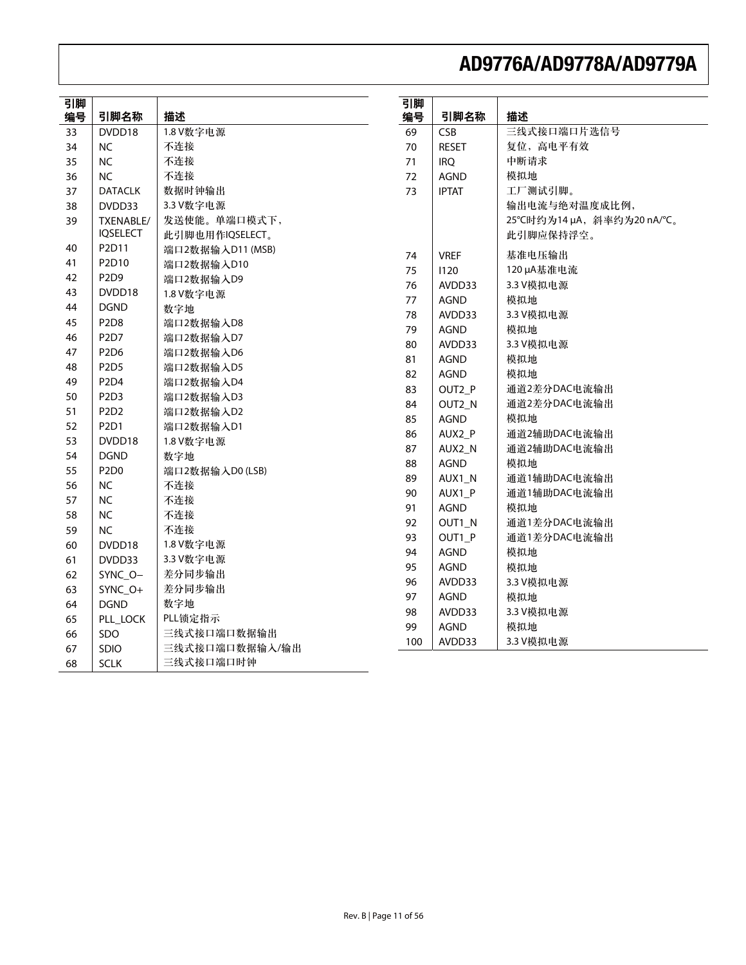| 引脚<br>编号 | 引脚名称                          | 描述               | 引脚<br>编号 | 引脚名称         | 描述                        |
|----------|-------------------------------|------------------|----------|--------------|---------------------------|
| 33       | DVDD18                        | 1.8 V数字电源        | 69       | CSB          | 三线式接口端口片选信号               |
| 34       | <b>NC</b>                     | 不连接              | 70       | <b>RESET</b> | 复位, 高电平有效                 |
| 35       | NC                            | 不连接              | 71       | <b>IRQ</b>   | 中断请求                      |
| 36       | NC                            | 不连接              | 72       | <b>AGND</b>  | 模拟地                       |
| 37       | <b>DATACLK</b>                | 数据时钟输出           | 73       | <b>IPTAT</b> | 工厂测试引脚。                   |
| 38       | DVDD33                        | 3.3 V数字电源        |          |              | 输出电流与绝对温度成比例,             |
| 39       | TXENABLE/                     | 发送使能。单端口模式下,     |          |              | 25℃时约为14 µA, 斜率约为20 nA/℃。 |
|          | <b>IOSELECT</b>               | 此引脚也用作IQSELECT。  |          |              | 此引脚应保持浮空。                 |
| 40       | P2D11                         | 端口2数据输入D11 (MSB) |          |              |                           |
| 41       | P2D10                         | 端口2数据输入D10       | 74       | <b>VREF</b>  | 基准电压输出                    |
| 42       | P <sub>2</sub> D <sub>9</sub> | 端口2数据输入D9        | 75       | 1120         | 120 µA基准电流                |
| 43       | DVDD18                        | 1.8 V数字电源        | 76       | AVDD33       | 3.3 V模拟电源                 |
| 44       | <b>DGND</b>                   | 数字地              | 77       | <b>AGND</b>  | 模拟地                       |
| 45       | P <sub>2</sub> D <sub>8</sub> | 端口2数据输入D8        | 78       | AVDD33       | 3.3 V模拟电源                 |
| 46       | P <sub>2</sub> D <sub>7</sub> | 端口2数据输入D7        | 79       | <b>AGND</b>  | 模拟地                       |
| 47       | P2D6                          | 端口2数据输入D6        | 80       | AVDD33       | 3.3 V模拟电源                 |
| 48       | P <sub>2</sub> D <sub>5</sub> | 端口2数据输入D5        | 81       | <b>AGND</b>  | 模拟地                       |
| 49       | P <sub>2D4</sub>              | 端口2数据输入D4        | 82       | AGND         | 模拟地                       |
| 50       | P <sub>2</sub> D <sub>3</sub> | 端口2数据输入D3        | 83       | OUT2_P       | 通道2差分DAC电流输出              |
| 51       | P <sub>2</sub> D <sub>2</sub> | 端口2数据输入D2        | 84       | OUT2_N       | 通道2差分DAC电流输出              |
| 52       | P <sub>2</sub> D <sub>1</sub> | 端口2数据输入D1        | 85       | <b>AGND</b>  | 模拟地                       |
| 53       | DVDD18                        | 1.8 V数字电源        | 86       | AUX2_P       | 通道2辅助DAC电流输出              |
| 54       | <b>DGND</b>                   | 数字地              | 87       | AUX2_N       | 通道2辅助DAC电流输出              |
| 55       | P2D0                          | 端口2数据输入D0 (LSB)  | 88       | <b>AGND</b>  | 模拟地                       |
| 56       | <b>NC</b>                     | 不连接              | 89       | AUX1_N       | 通道1辅助DAC电流输出              |
| 57       | NC                            | 不连接              | 90       | AUX1_P       | 通道1辅助DAC电流输出              |
| 58       | NC                            | 不连接              | 91       | AGND         | 模拟地                       |
| 59       | NC.                           | 不连接              | 92       | OUT1_N       | 通道1差分DAC电流输出              |
| 60       | DVDD18                        | 1.8 V数字电源        | 93       | OUT1_P       | 通道1差分DAC电流输出              |
| 61       | DVDD33                        | 3.3 V数字电源        | 94       | <b>AGND</b>  | 模拟地                       |
|          |                               | 差分同步输出           | 95       | <b>AGND</b>  | 模拟地                       |
| 62       | SYNC_O-                       |                  | 96       | AVDD33       | 3.3 V模拟电源                 |
| 63       | SYNC_O+                       | 差分同步输出           | 97       | <b>AGND</b>  | 模拟地                       |
| 64       | <b>DGND</b>                   | 数字地              | 98       | AVDD33       | 3.3 V模拟电源                 |
| 65       | PLL_LOCK                      | PLL锁定指示          | 99       | <b>AGND</b>  | 模拟地                       |
| 66       | <b>SDO</b>                    | 三线式接口端口数据输出      | 100      | AVDD33       | 3.3 V模拟电源                 |
| 67       | SDIO                          | 三线式接口端口数据输入/输出   |          |              |                           |
| 68       | <b>SCLK</b>                   | 三线式接口端口时钟        |          |              |                           |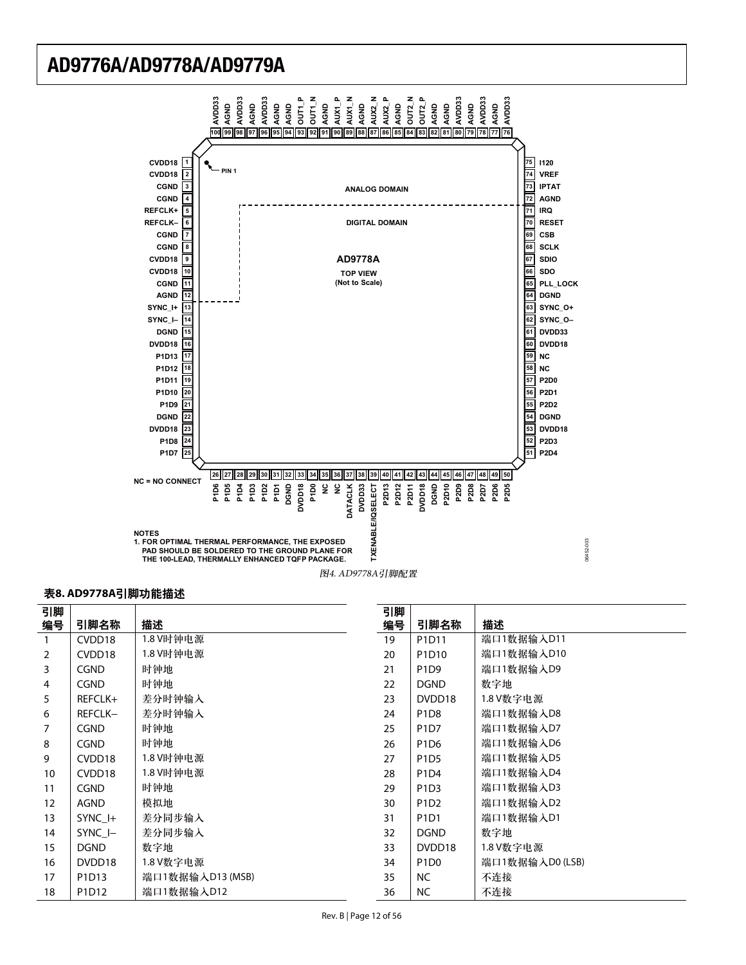

#### 表8. AD9778A引脚功能描述

| 引脚 |                    |                  | 引脚 |                               |                 |
|----|--------------------|------------------|----|-------------------------------|-----------------|
| 编号 | 引脚名称               | 描述               | 编号 | 引脚名称                          | 描述              |
| 1  | CVDD18             | 1.8 V时钟电源        | 19 | P1D11                         | 端口1数据输入D11      |
| 2  | CVDD18             | 1.8 V时钟电源        | 20 | P1D10                         | 端口1数据输入D10      |
| 3  | <b>CGND</b>        | 时钟地              | 21 | P <sub>1</sub> D <sub>9</sub> | 端口1数据输入D9       |
| 4  | <b>CGND</b>        | 时钟地              | 22 | <b>DGND</b>                   | 数字地             |
| 5  | REFCLK+            | 差分时钟输入           | 23 | DVDD18                        | 1.8 V数字电源       |
| 6  | REFCLK-            | 差分时钟输入           | 24 | P <sub>1</sub> D <sub>8</sub> | 端口1数据输入D8       |
| 7  | <b>CGND</b>        | 时钟地              | 25 | P1D7                          | 端口1数据输入D7       |
| 8  | <b>CGND</b>        | 时钟地              | 26 | P <sub>1</sub> D <sub>6</sub> | 端口1数据输入D6       |
| 9  | CVDD <sub>18</sub> | 1.8 V时钟电源        | 27 | P <sub>1</sub> D <sub>5</sub> | 端口1数据输入D5       |
| 10 | CVDD18             | 1.8 V时钟电源        | 28 | P1D4                          | 端口1数据输入D4       |
| 11 | <b>CGND</b>        | 时钟地              | 29 | P <sub>1</sub> D <sub>3</sub> | 端口1数据输入D3       |
| 12 | AGND               | 模拟地              | 30 | P <sub>1</sub> D <sub>2</sub> | 端口1数据输入D2       |
| 13 | SYNC I+            | 差分同步输入           | 31 | P <sub>1</sub> D <sub>1</sub> | 端口1数据输入D1       |
| 14 | SYNC I-            | 差分同步输入           | 32 | <b>DGND</b>                   | 数字地             |
| 15 | <b>DGND</b>        | 数字地              | 33 | DVDD18                        | 1.8 V数字电源       |
| 16 | DVDD18             | 1.8 V数字电源        | 34 | P <sub>1</sub> D <sub>0</sub> | 端口1数据输入D0 (LSB) |
| 17 | P1D13              | 端口1数据输入D13 (MSB) | 35 | NC.                           | 不连接             |
| 18 | P1D12              | 端口1数据输入D12       | 36 | <b>NC</b>                     | 不连接             |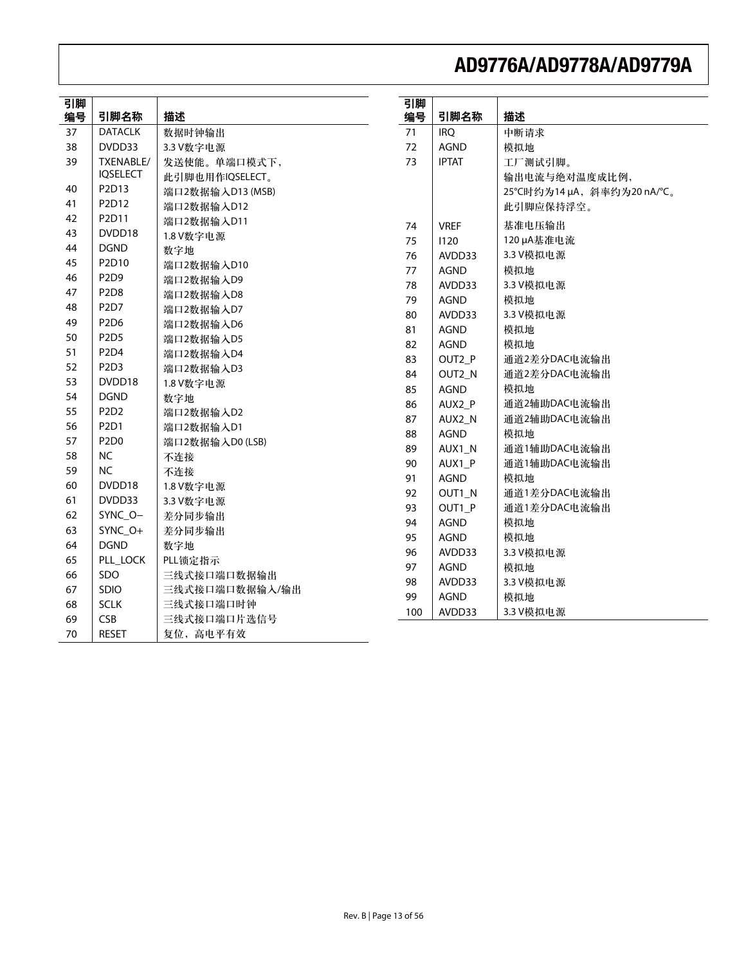| 引脚 |                               |                  | 引脚  |                |                           |
|----|-------------------------------|------------------|-----|----------------|---------------------------|
| 编号 | 引脚名称                          | 描述               | 编号  | 引脚名称           | 描述                        |
| 37 | <b>DATACLK</b>                | 数据时钟输出           | 71  | <b>IRO</b>     | 中断请求                      |
| 38 | DVDD33                        | 3.3 V数字电源        | 72  | <b>AGND</b>    | 模拟地                       |
| 39 | TXENABLE/                     | 发送使能。单端口模式下,     | 73  | <b>IPTAT</b>   | 工厂测试引脚。                   |
|    | <b>IQSELECT</b>               | 此引脚也用作IQSELECT。  |     |                | 输出电流与绝对温度成比例,             |
| 40 | P2D13                         | 端口2数据输入D13 (MSB) |     |                | 25℃时约为14 µA, 斜率约为20 nA/℃。 |
| 41 | P2D12                         | 端口2数据输入D12       |     |                | 此引脚应保持浮空。                 |
| 42 | P2D11                         | 端口2数据输入D11       | 74  | <b>VREF</b>    | 基准电压输出                    |
| 43 | DVDD18                        | 1.8 V数字电源        | 75  | 1120           | 120 µA基准电流                |
| 44 | <b>DGND</b>                   | 数字地              | 76  | AVDD33         | 3.3 V模拟电源                 |
| 45 | P2D10                         | 端口2数据输入D10       | 77  | <b>AGND</b>    | 模拟地                       |
| 46 | P <sub>2</sub> D <sub>9</sub> | 端口2数据输入D9        | 78  | AVDD33         | 3.3 V模拟电源                 |
| 47 | P <sub>2D</sub> 8             | 端口2数据输入D8        | 79  | <b>AGND</b>    | 模拟地                       |
| 48 | P <sub>2</sub> D <sub>7</sub> | 端口2数据输入D7        | 80  | AVDD33         | 3.3 V模拟电源                 |
| 49 | P <sub>2D6</sub>              | 端口2数据输入D6        | 81  | <b>AGND</b>    | 模拟地                       |
| 50 | P <sub>2</sub> D <sub>5</sub> | 端口2数据输入D5        | 82  | AGND           | 模拟地                       |
| 51 | P2D4                          | 端口2数据输入D4        | 83  | OUT2_P         | 通道2差分DAC电流输出              |
| 52 | P2D3                          | 端口2数据输入D3        | 84  | OUT2_N         | 通道2差分DAC电流输出              |
| 53 | DVDD18                        | 1.8 V数字电源        | 85  | <b>AGND</b>    | 模拟地                       |
| 54 | <b>DGND</b>                   | 数字地              | 86  | AUX2_P         | 通道2辅助DAC电流输出              |
| 55 | P <sub>2</sub> D <sub>2</sub> | 端口2数据输入D2        | 87  | AUX2_N         | 通道2辅助DAC电流输出              |
| 56 | P2D1                          | 端口2数据输入D1        | 88  | <b>AGND</b>    | 模拟地                       |
| 57 | P2D0                          | 端口2数据输入D0 (LSB)  | 89  | AUX1_N         | 通道1辅助DAC电流输出              |
| 58 | <b>NC</b>                     | 不连接              | 90  |                | 通道1辅助DAC电流输出              |
| 59 | <b>NC</b>                     | 不连接              | 91  | AUX1_P<br>AGND | 模拟地                       |
| 60 | DVDD18                        | 1.8 V数字电源        |     |                | 通道1差分DAC电流输出              |
| 61 | DVDD33                        | 3.3 V数字电源        | 92  | OUT1_N         |                           |
| 62 | SYNC_O-                       | 差分同步输出           | 93  | OUT1_P         | 通道1差分DAC电流输出              |
| 63 | SYNC_O+                       | 差分同步输出           | 94  | <b>AGND</b>    | 模拟地                       |
| 64 | <b>DGND</b>                   | 数字地              | 95  | <b>AGND</b>    | 模拟地                       |
| 65 | PLL_LOCK                      | PLL锁定指示          | 96  | AVDD33         | 3.3 V模拟电源                 |
| 66 | SDO                           | 三线式接口端口数据输出      | 97  | <b>AGND</b>    | 模拟地                       |
| 67 | <b>SDIO</b>                   | 三线式接口端口数据输入/输出   | 98  | AVDD33         | 3.3 V模拟电源                 |
| 68 | <b>SCLK</b>                   | 三线式接口端口时钟        | 99  | <b>AGND</b>    | 模拟地                       |
| 69 | <b>CSB</b>                    | 三线式接口端口片选信号      | 100 | AVDD33         | 3.3 V模拟电源                 |
| 70 | <b>RESET</b>                  | 复位, 高电平有效        |     |                |                           |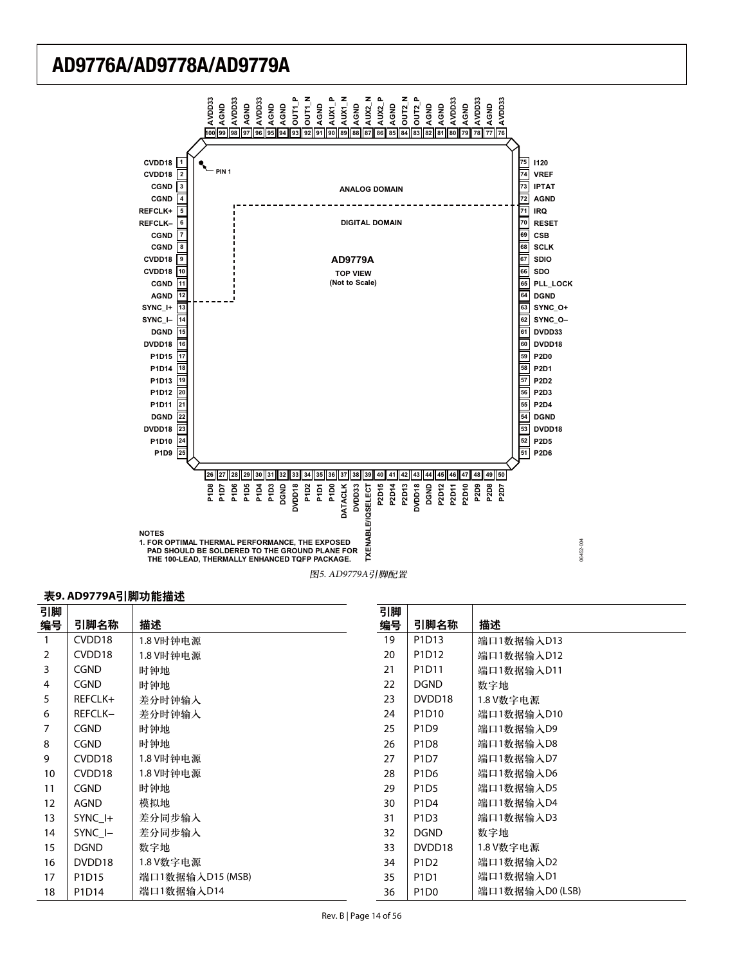

#### 表9. AD9779A引脚功能描述

| 引脚             |                    |                  | 引脚 |                               |                 |
|----------------|--------------------|------------------|----|-------------------------------|-----------------|
| 编号             | 引脚名称               | 描述               | 编号 | 引脚名称                          | 描述              |
| $\mathbf{1}$   | CVDD <sub>18</sub> | 1.8 V时钟电源        | 19 | P1D13                         | 端口1数据输入D13      |
| $\overline{2}$ | CVDD <sub>18</sub> | 1.8 V时钟电源        | 20 | P1D12                         | 端口1数据输入D12      |
| 3              | <b>CGND</b>        | 时钟地              | 21 | P1D11                         | 端口1数据输入D11      |
| 4              | <b>CGND</b>        | 时钟地              | 22 | <b>DGND</b>                   | 数字地             |
| 5              | REFCLK+            | 差分时钟输入           | 23 | DVDD18                        | 1.8 V数字电源       |
| 6              | REFCLK-            | 差分时钟输入           | 24 | P1D10                         | 端口1数据输入D10      |
| 7              | <b>CGND</b>        | 时钟地              | 25 | P <sub>1</sub> D <sub>9</sub> | 端口1数据输入D9       |
| 8              | <b>CGND</b>        | 时钟地              | 26 | P <sub>1</sub> D <sub>8</sub> | 端口1数据输入D8       |
| 9              | CVDD <sub>18</sub> | 1.8 V时钟电源        | 27 | P1D7                          | 端口1数据输入D7       |
| 10             | CVDD <sub>18</sub> | 1.8 V时钟电源        | 28 | P <sub>1</sub> D <sub>6</sub> | 端口1数据输入D6       |
| 11             | <b>CGND</b>        | 时钟地              | 29 | P <sub>1</sub> D <sub>5</sub> | 端口1数据输入D5       |
| 12             | AGND               | 模拟地              | 30 | P1D4                          | 端口1数据输入D4       |
| 13             | SYNC_I+            | 差分同步输入           | 31 | P <sub>1</sub> D <sub>3</sub> | 端口1数据输入D3       |
| 14             | SYNC I-            | 差分同步输入           | 32 | <b>DGND</b>                   | 数字地             |
| 15             | <b>DGND</b>        | 数字地              | 33 | DVDD18                        | 1.8 V数字电源       |
| 16             | DVDD18             | 1.8 V数字电源        | 34 | P <sub>1</sub> D <sub>2</sub> | 端口1数据输入D2       |
| 17             | P1D15              | 端口1数据输入D15 (MSB) | 35 | P1D1                          | 端口1数据输入D1       |
| 18             | P1D14              | 端口1数据输入D14       | 36 | P <sub>1</sub> D <sub>0</sub> | 端口1数据输入D0 (LSB) |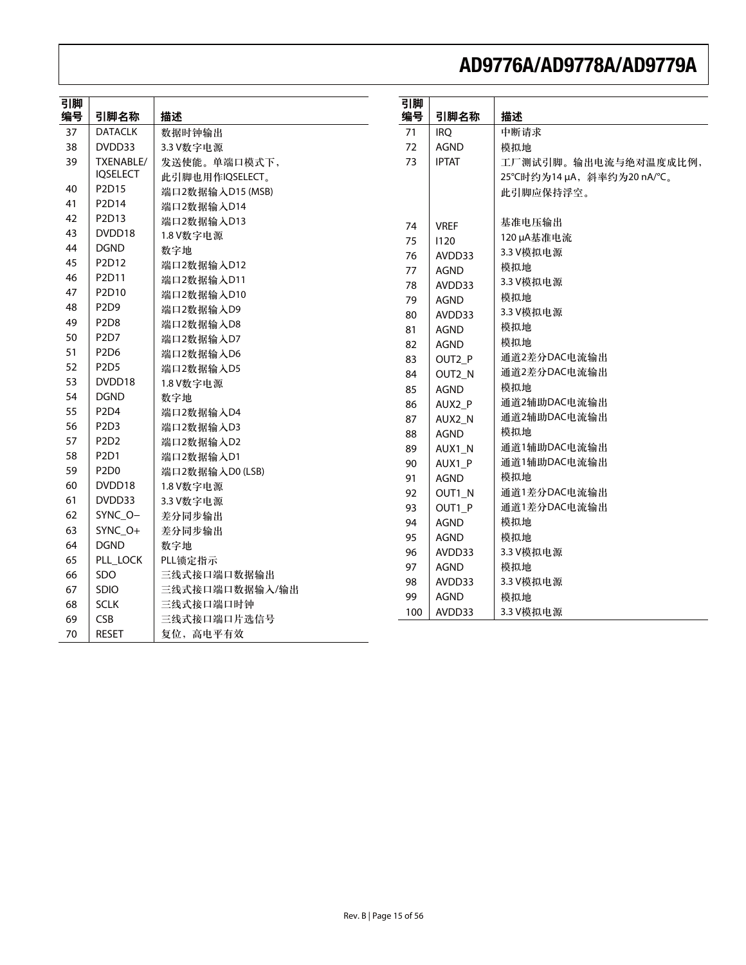| 引脚<br>编号 | 引脚名称                          | 描述               | 引脚<br>编号 | 引脚名称         | 描述                        |
|----------|-------------------------------|------------------|----------|--------------|---------------------------|
| 37       | <b>DATACLK</b>                | 数据时钟输出           | 71       | <b>IRO</b>   | 中断请求                      |
| 38       | DVDD33                        | 3.3 V数字电源        | 72       | <b>AGND</b>  | 模拟地                       |
| 39       | TXENABLE/                     | 发送使能。单端口模式下,     | 73       | <b>IPTAT</b> | 工厂测试引脚。输出电流与绝对温度成比例,      |
|          | <b>IQSELECT</b>               | 此引脚也用作IQSELECT。  |          |              | 25℃时约为14 µA, 斜率约为20 nA/℃。 |
| 40       | P2D15                         | 端口2数据输入D15 (MSB) |          |              | 此引脚应保持浮空。                 |
| 41       | P2D14                         | 端口2数据输入D14       |          |              |                           |
| 42       | P2D13                         | 端口2数据输入D13       | 74       | <b>VREF</b>  | 基准电压输出                    |
| 43       | DVDD18                        | 1.8 V数字电源        | 75       | 1120         | 120 µA基准电流                |
| 44       | <b>DGND</b>                   | 数字地              | 76       | AVDD33       | 3.3 V模拟电源                 |
| 45       | P2D12                         | 端口2数据输入D12       | 77       | <b>AGND</b>  | 模拟地                       |
| 46       | P2D11                         | 端口2数据输入D11       | 78       | AVDD33       | 3.3 V模拟电源                 |
| 47       | P2D10                         | 端口2数据输入D10       | 79       | AGND         | 模拟地                       |
| 48       | P2D9                          | 端口2数据输入D9        | 80       | AVDD33       | 3.3 V模拟电源                 |
| 49       | P <sub>2D</sub> 8             | 端口2数据输入D8        | 81       | <b>AGND</b>  | 模拟地                       |
| 50       | P <sub>2</sub> D <sub>7</sub> | 端口2数据输入D7        | 82       | <b>AGND</b>  | 模拟地                       |
| 51       | P2D6                          | 端口2数据输入D6        | 83       | OUT2 P       | 通道2差分DAC电流输出              |
| 52       | P2D5                          | 端口2数据输入D5        | 84       | OUT2_N       | 通道2差分DAC电流输出              |
| 53       | DVDD18                        | 1.8 V数字电源        | 85       | <b>AGND</b>  | 模拟地                       |
| 54       | <b>DGND</b>                   | 数字地              | 86       | AUX2 P       | 通道2辅助DAC电流输出              |
| 55       | P <sub>2</sub> D <sub>4</sub> | 端口2数据输入D4        | 87       | AUX2_N       | 通道2辅助DAC电流输出              |
| 56       | P <sub>2</sub> D <sub>3</sub> | 端口2数据输入D3        | 88       | <b>AGND</b>  | 模拟地                       |
| 57       | P <sub>2</sub> D <sub>2</sub> | 端口2数据输入D2        | 89       | AUX1_N       | 通道1辅助DAC电流输出              |
| 58       | P2D1                          | 端口2数据输入D1        | 90       | AUX1_P       | 通道1辅助DAC电流输出              |
| 59       | P2D0                          | 端口2数据输入D0 (LSB)  | 91       | <b>AGND</b>  | 模拟地                       |
| 60       | DVDD18                        | 1.8 V数字电源        | 92       | OUT1_N       | 通道1差分DAC电流输出              |
| 61       | DVDD33                        | 3.3 V数字电源        | 93       | OUT1_P       | 通道1差分DAC电流输出              |
| 62       | SYNC_O-                       | 差分同步输出           | 94       | <b>AGND</b>  | 模拟地                       |
| 63       | SYNC_O+                       | 差分同步输出           | 95       | <b>AGND</b>  | 模拟地                       |
| 64       | <b>DGND</b>                   | 数字地              | 96       | AVDD33       | 3.3 V模拟电源                 |
| 65       | PLL_LOCK                      | PLL锁定指示          | 97       | <b>AGND</b>  | 模拟地                       |
| 66       | SDO                           | 三线式接口端口数据输出      | 98       | AVDD33       | 3.3 V模拟电源                 |
| 67       | <b>SDIO</b>                   | 三线式接口端口数据输入/输出   | 99       | <b>AGND</b>  | 模拟地                       |
| 68       | <b>SCLK</b>                   | 三线式接口端口时钟        | 100      | AVDD33       | 3.3 V模拟电源                 |
| 69       | <b>CSB</b>                    | 三线式接口端口片选信号      |          |              |                           |
| 70       | <b>RESET</b>                  | 复位, 高电平有效        |          |              |                           |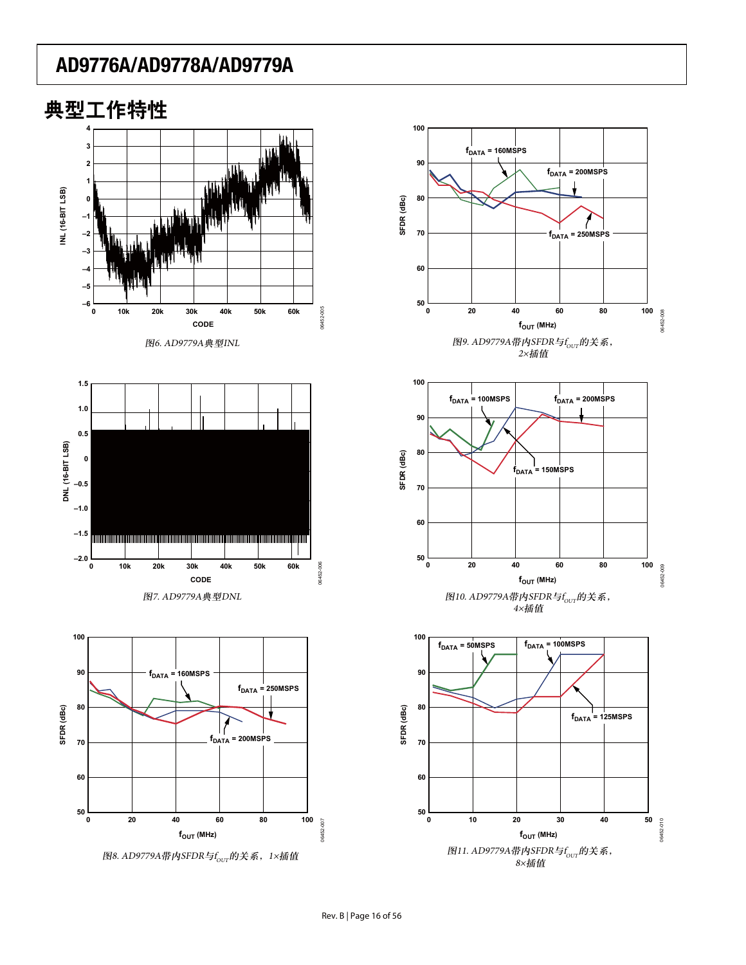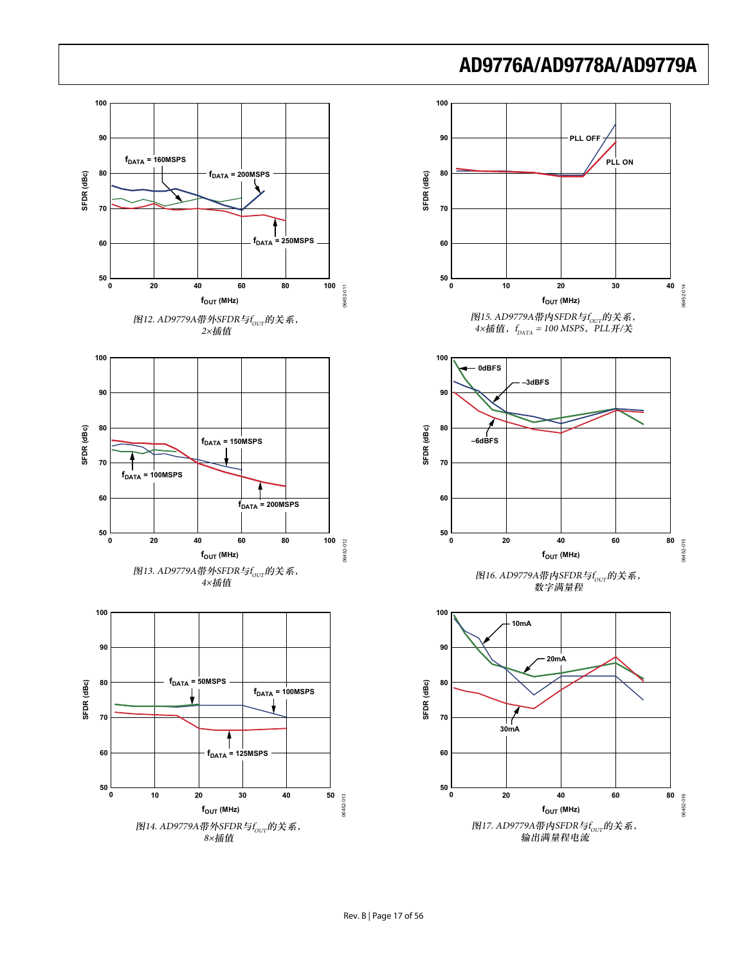

#### Rev. B | Page 17 of 56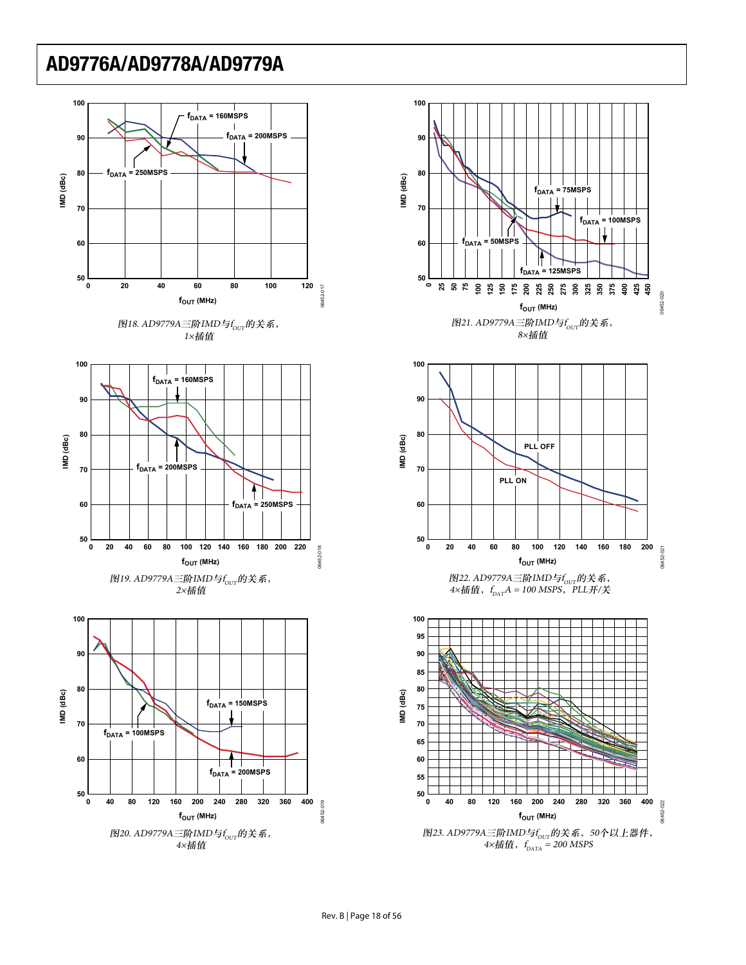

06452-020

16452-

 $-020$ 

 $\| \cdot \|$ 

06452-021

06452-021

06452-022

06452-022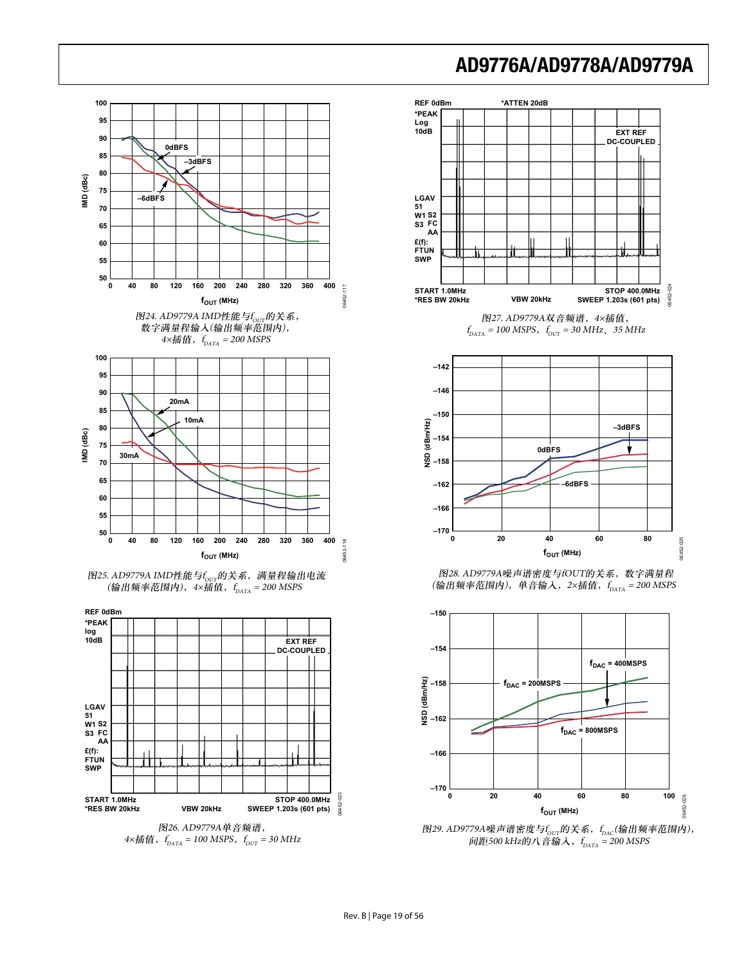

图26. AD9779A单音频谱,  $4 \times$ 插值,f<sub>DATA</sub> = 100 MSPS,f<sub>OUT</sub> = 30 MHz



 $f_{DATA} = 100 \text{ MSPS}, \, f_{OUT} = 30 \text{ MHz}, \, 35 \text{ MHz}$ 



图28. AD9779A噪声谱密度与fOUT的关系, 数字满量程 (输出频率范围内),单音输入,2×插值,f<sub>pata</sub> = 200 MSPS



图29. AD9779A噪声谱密度与f<sub>ovr</sub>的关系,f<sub>dac</sub>(输出频率范围内), 间距500 kHz的八音输入, $f_{_{\rm{DATA}}}$  = 200 MSPS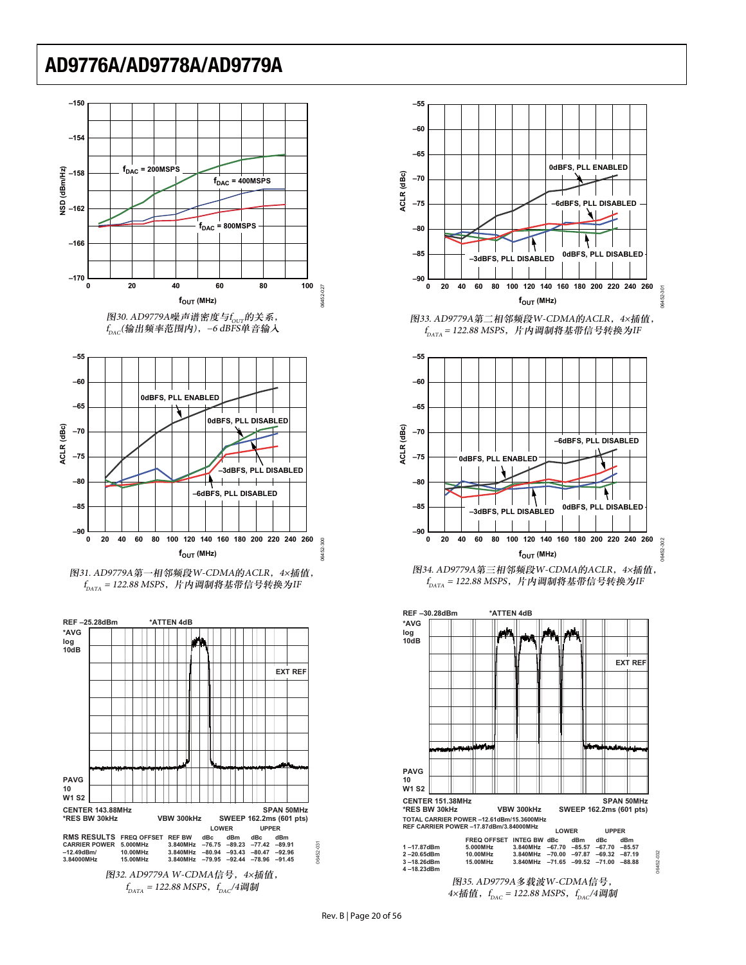









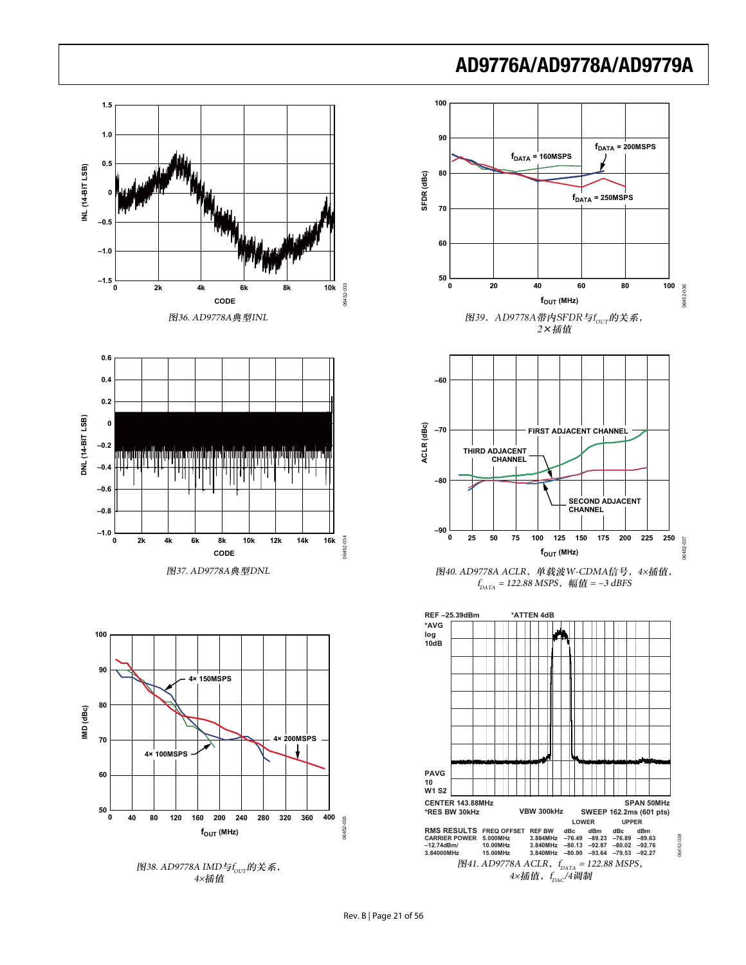







图40. AD9778A ACLR, 单载波W-CDMA信号, 4×插值,  $f_{\rm{DATA}}$  = 122.88 MSPS, 幅值 = −3 dBFS

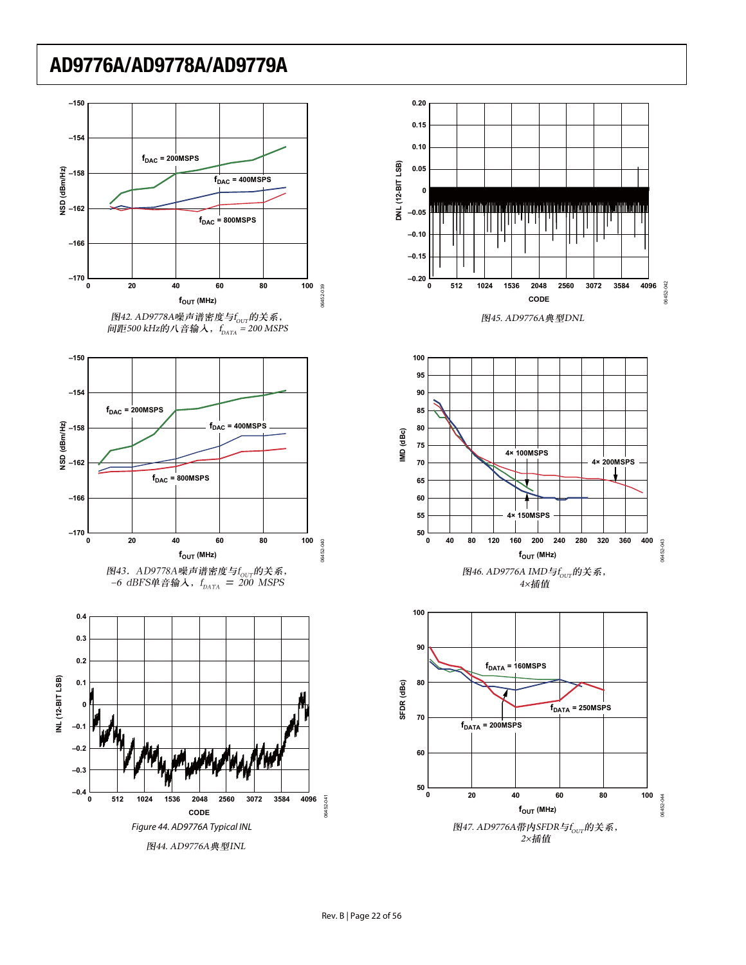





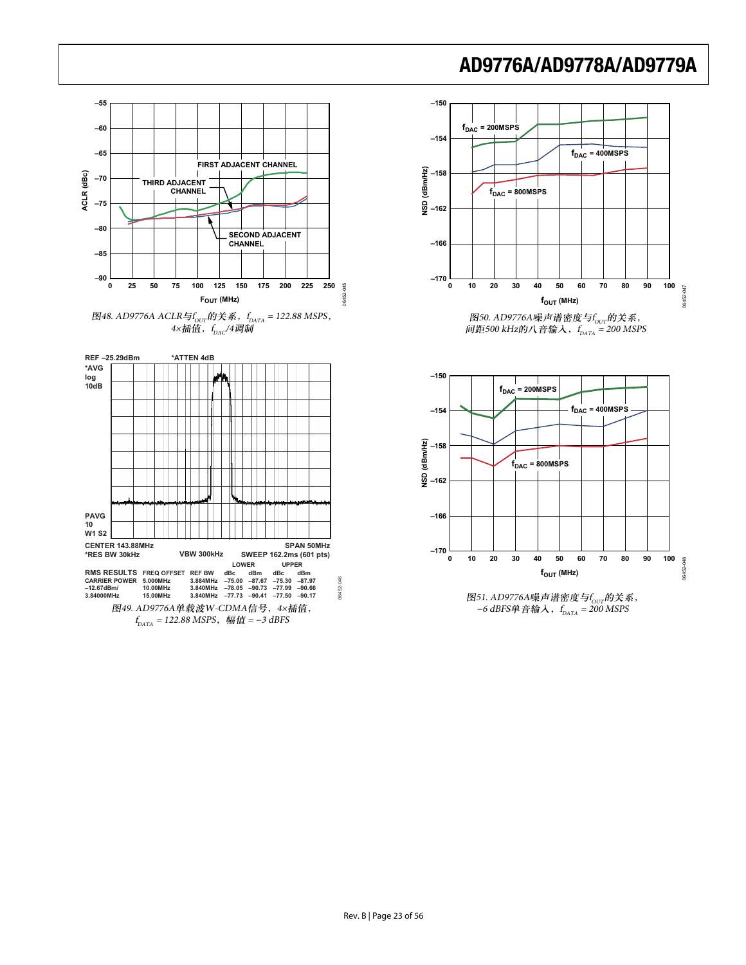

4×插值, $f_{_{\mathrm{DAC}}}/$ 4调制









图51. AD9776A噪声谱密度与f<sub>our</sub>的关系, −6 dBFS单音输入,f<sub>DATA</sub> = 200 MSPS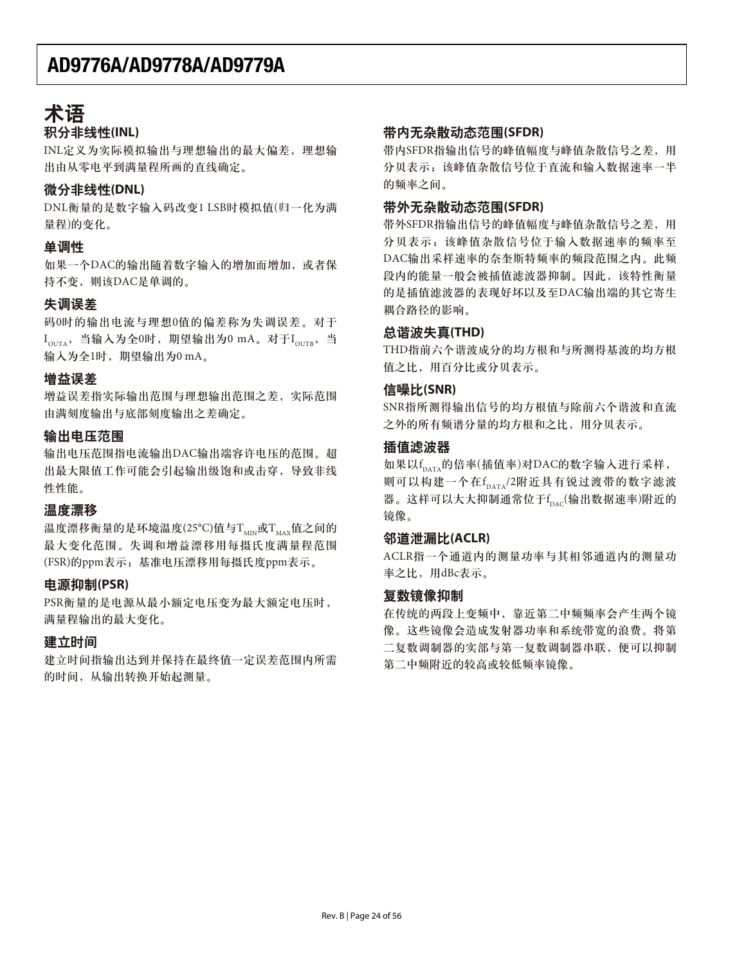## 术语 积分非线性(INL)

INL定义为实际模拟输出与理想输出的最大偏差, 理想输 出由从零电平到满量程所画的直线确定。

## **微分非线性(DNL)**

DNL衡量的是数字输入码改变1 LSB时模拟值(归一化为满 量程)的变化。

## 单调性

如果一个DAC的输出随着数字输入的增加而增加, 或者保 持不变, 则该DAC是单调的。

## 失调误差

码0时的输出电流与理想0值的偏差称为失调误差。对于  $I_{\text{OUTA}}$ , 当输入为全0时, 期望输出为0 mA。对于 $I_{\text{OUTB}}$ , 当 输入为全1时, 期望输出为0 mA。

### 增益误差

增益误差指实际输出范围与理想输出范围之差, 实际范围 由满刻度输出与底部刻度输出之差确定。

### 输出电压范围

输出电压范围指电流输出DAC输出端容许电压的范围。超 出最大限值工作可能会引起输出级饱和或击穿,导致非线 性性能。

### 温度漂移

温度漂移衡量的是环境温度(25°C)值与Twp或Twax值之间的 最大变化范围。失调和增益漂移用每摄氏度满量程范围 (FSR)的ppm表示; 基准电压漂移用每摄氏度ppm表示。

### **电源抑制(PSR)**

PSR衡量的是电源从最小额定电压变为最大额定电压时, 满量程输出的最大变化。

### 建立时间

建立时间指输出达到并保持在最终值一定误差范围内所需 的时间, 从输出转换开始起测量。

### 带内无杂散动态范围(SFDR)

带内SFDR指输出信号的峰值幅度与峰值杂散信号之差,用 分贝表示: 该峰值杂散信号位于直流和输入数据速率一半 的频率之间。

### 带外无杂散动态范围(SFDR)

带外SFDR指输出信号的峰值幅度与峰值杂散信号之差, 用 分贝表示;该峰值杂散信号位于输入数据速率的频率至 DAC输出采样速率的奈奎斯特频率的频段范围之内。此频 段内的能量一般会被插值滤波器抑制。因此,该特性衡量 的是插值滤波器的表现好坏以及至DAC输出端的其它寄生 耦合路径的影响。

### ጺၿհ฿ኈ**(THD)**

THD指前六个谐波成分的均方根和与所测得基波的均方根 值之比, 用百分比或分贝表示。

### 信噪比(SNR)

SNR指所测得输出信号的均方根值与除前六个谐波和直流 之外的所有频谱分量的均方根和之比, 用分贝表示。

### 插值滤波器

如果以f<sub>dATA</sub>的倍率(插值率)对DAC的数字输入进行采样, 则可以构建一个在f<sub>DATA</sub>/2附近具有锐过渡带的数字滤波 器。这样可以大大抑制通常位于f<sub>bac</sub>(输出数据速率)附近的 镜像。

### **邻道泄漏比(ACLR)**

ACLR指一个通道内的测量功率与其相邻通道内的测量功 率之比,用dBc表示。

### 复数镜像抑制

在传统的两段上变频中, 靠近第二中频频率会产生两个镜 像。这些镜像会造成发射器功率和系统带宽的浪费。将第 二复数调制器串联, 便可以抑制 第二中频附近的较高或较低频率镜像。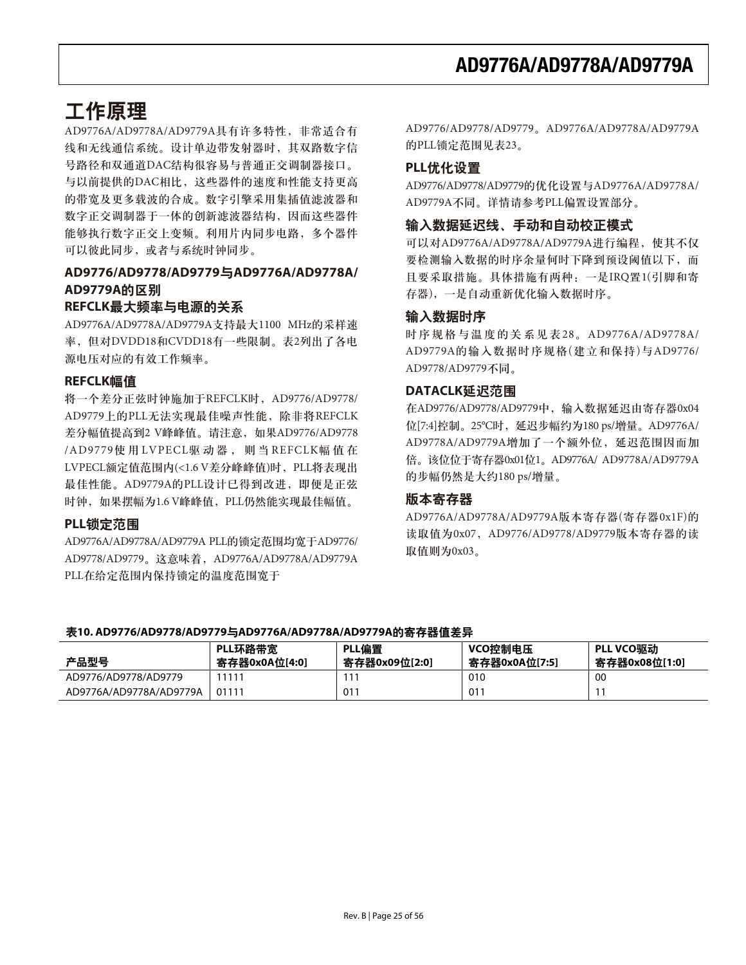# 工作原理

AD9776A/AD9778A/AD9779A具有许多特性, 非常适合有 线和无线通信系统。设计单边带发射器时,其双路数字信 号路径和双通道DAC结构很容易与普通正交调制器接口。 与以前提供的DAC相比,这些器件的速度和性能支持更高 的带宽及更多载波的合成。数字引擎采用集插值滤波器和 数字正交调制器于一体的创新滤波器结构, 因而这些器件 能够执行数字正交上变频。利用片内同步电路,多个器件 可以彼此同步, 或者与系统时钟同步。

## **AD9776/AD9778/AD9779**ᇑ**AD9776A/AD9778A/**  AD9779A的区别

### REFCLK最大频率与电源的关系

AD9776A/AD9778A/AD9779A支持最大1100 MHz的采样速 率, 但对DVDD18和CVDD18有一些限制。表2列出了各电 源电压对应的有效工作频率。

## **REFCLK幅值**

将一个差分正弦时钟施加于REFCLK时, AD9776/AD9778/ AD9779上的PLL无法实现最佳噪声性能, 除非将REFCLK 差分幅值提高到2 V峰峰值。请注意, 如果AD9776/AD9778 /AD9779使用 LVPECL驱动器, 则当 REFCLK幅值在 LVPECL额定值范围内(<1.6 V差分峰峰值)时, PLL将表现出 最佳性能。AD9779A的PLL设计已得到改进, 即便是正弦 时钟, 如果摆幅为1.6 V峰峰值, PLL仍然能实现最佳幅值。

### PLL锁定范围

AD9776A/AD9778A/AD9779A PLL的锁定范围均宽于AD9776/ AD9778/AD9779。这意味着, AD9776A/AD9778A/AD9779A PLL在给定范围内保持锁定的温度范围宽于

AD9776/AD9778/AD9779。AD9776A/AD9778A/AD9779A 的PLL锁定范围见表23。

## **PLL优化设置**

AD9776/AD9778/AD9779的优化设置与AD9776A/AD9778A/ AD9779A不同。详情请参考PLL偏置设置部分。

### 输入数据延迟线、手动和自动校正模式

可以对AD9776A/AD9778A/AD9779A进行编程, 使其不仅 要检测输入数据的时序余量何时下降到预设阈值以下,而 且要采取措施。具体措施有两种: 一是IRQ置1(引脚和寄 存器), 一是自动重新优化输入数据时序。

### 输入数据时序

时序规格与温度的关系见表28。AD9776A/AD9778A/ AD9779A的输入数据时序规格(建立和保持)与AD9776/ AD9778/AD9779不同。

### **DATACLK延迟范围**

在AD9776/AD9778/AD9779中, 输入数据延迟由寄存器0x04 位[7:4]控制。25℃时, 延迟步幅约为180 ps/增量。AD9776A/ AD9778A/AD9779A增加了一个额外位, 延迟范围因而加 倍。该位位于寄存器0x01位1。AD9776A/ AD9778A/AD9779A 的步幅仍然是大约180 ps/增量。

### 版本寄存器

AD9776A/AD9778A/AD9779A版本寄存器(寄存器0x1F)的 读取值为0x07, AD9776/AD9778/AD9779版本寄存器的读 取值则为0x03。

### 表10. AD9776/AD9778/AD9779与AD9776A/AD9778A/AD9779A的寄存器值差异

| 产品型号                    | PLL环路带宽<br>寄存器0x0A位[4:0] | PLL偏置<br>寄存器0x09位[2:0] | VCO控制电压<br>寄存器0x0A位[7:5] | PLL VCO驱动<br>寄存器0x08位[1:0] |
|-------------------------|--------------------------|------------------------|--------------------------|----------------------------|
| AD9776/AD9778/AD9779    | 11111                    |                        | 010                      | <sub>00</sub>              |
| AD9776A/AD9778A/AD9779A | 01111                    | 011                    | 011                      | $1^{\circ}$                |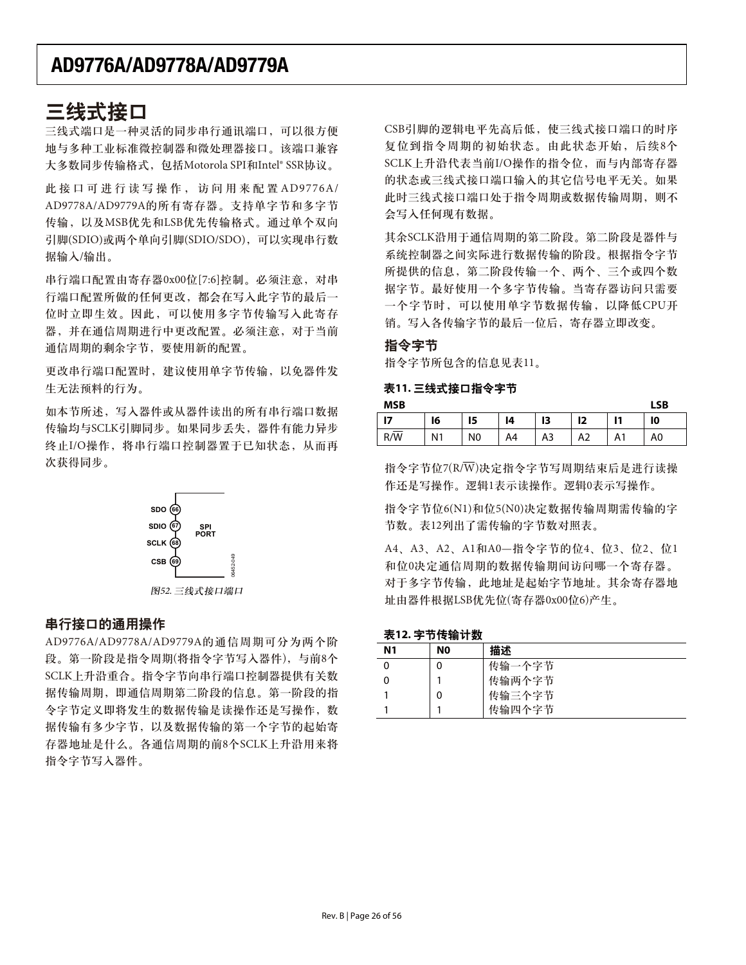## 三线式接口

三线式端口是一种灵活的同步串行通讯端口,可以很方便 地与多种工业标准微控制器和微处理器接口。该端口兼容 大多数同步传输格式, 包括Motorola SPI和Intel® SSR协议。

此接口可进行读写操作, 访问用来配置AD9776A/ AD9778A/AD9779A的所有寄存器。支持单字节和多字节 传输, 以及MSB优先和LSB优先传输格式。通过单个双向 引脚(SDIO)或两个单向引脚(SDIO/SDO), 可以实现串行数 据输入/输出。

串行端口配置由寄存器0x00位[7:6]控制。必须注意, 对串 行端口配置所做的任何更改,都会在写入此字节的最后一 位时立即生效。因此,可以使用多字节传输写入此寄存 器, 并在通信周期进行中更改配置。必须注意, 对于当前 通信周期的剩余字节, 要使用新的配置。

更改串行端口配置时, 建议使用单字节传输, 以免器件发 生无法预料的行为。

如本节所述, 写入器件或从器件读出的所有串行端口数据 传输均与SCLK引脚同步。如果同步丢失,器件有能力异步 终止I/O操作, 将串行端口控制器置于已知状态, 从而再 次获得同步。



### 串行接口的通用操作

AD9776A/AD9778A/AD9779A的通信周期可分为两个阶 段。第一阶段是指令周期(将指令字节写入器件), 与前8个 SCLK上升沿重合。指令字节向串行端口控制器提供有关数 据传输周期, 即通信周期第二阶段的信息。第一阶段的指 令字节定义即将发生的数据传输是读操作还是写操作, 数 据传输有多少字节, 以及数据传输的第一个字节的起始寄 存器地址是什么。各通信周期的前8个SCLK上升沿用来将 指令字节写入器件。

CSB引脚的逻辑电平先高后低, 使三线式接口端口的时序 复位到指令周期的初始状态。由此状态开始,后续8个 SCLK上升沿代表当前I/O操作的指令位, 而与内部寄存器 的状态或三线式接口端口输入的其它信号电平无关。如果 此时三线式接口端口处于指令周期或数据传输周期, 则不 会写入任何现有数据。

其余SCLK沿用于通信周期的第二阶段。第二阶段是器件与 系统控制器之间实际进行数据传输的阶段。根据指令字节 所提供的信息, 第二阶段传输一个、两个、三个或四个数 据字节。最好使用一个多字节传输。当寄存器访问只需要 一个字节时, 可以使用单字节数据传输, 以降低CPU开 销。写入各传输字节的最后一位后, 寄存器立即改变。

#### 指今字节

指令字节所包含的信息见表11。

### 表11. 三线式接口指令字节

| <b>MSB</b> |                |                |    |    |    |    |    |  |
|------------|----------------|----------------|----|----|----|----|----|--|
| - 17       | 16             | 15             | 14 | 13 | 12 |    | 10 |  |
| R/W        | N <sub>1</sub> | N <sub>0</sub> | A4 | A3 | A2 | Α1 | A0 |  |

指令字节位7(R/ $\overline{W}$ )决定指令字节写周期结束后是进行读操 作还是写操作。逻辑1表示读操作。逻辑0表示写操作。

指令字节位6(N1)和位5(N0)决定数据传输周期需传输的字 节数。表12列出了需传输的字节数对照表。

A4、A3、A2、A1和A0—指令字节的位4、位3、位2、位1 和位0决定通信周期的数据传输期间访问哪一个寄存器。 对于多字节传输, 此地址是起始字节地址。其余寄存器地 址由器件根据LSB优先位(寄存器0x00位6)产生。

#### 表12. 字节传输计数

| --             | .  |        |
|----------------|----|--------|
| N <sub>1</sub> | N0 | 描述     |
|                | 0  | 传输一个字节 |
|                |    | 传输两个字节 |
|                | 0  | 传输三个字节 |
|                |    | 传输四个字节 |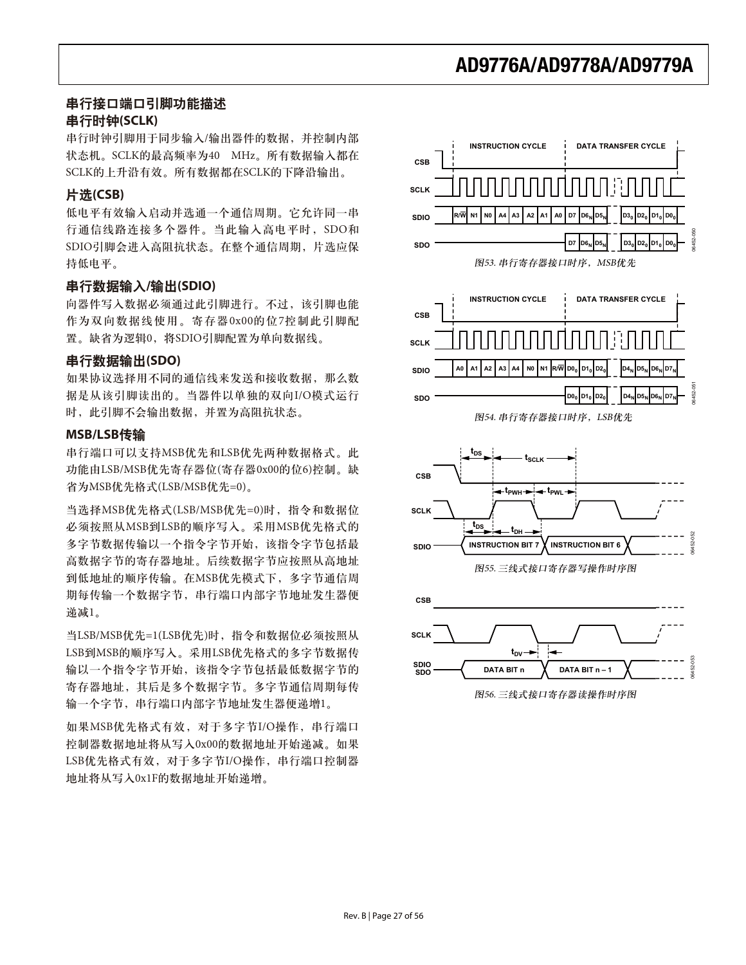### 串行接口端口引脚功能描述 زႜ้ዓ**(SCLK)**

串行时钟引脚用于同步输入/输出器件的数据, 并控制内部 状态机。SCLK的最高频率为40 MHz。所有数据输入都在 SCLK的上升沿有效。所有数据都在SCLK的下降沿输出。

### ೌ**(CSB)**

低电平有效输入启动并选通一个通信周期。它允许同一串 行通信线路连接多个器件。当此输入高电平时, SDO和 SDIO引脚会进入高阻抗状态。在整个通信周期,片选应保 持低电平。

### **串行数据输入/输出(SDIO)**

向器件写入数据必须通过此引脚进行。不过,该引脚也能 作为双向数据线使用。寄存器0x00的位7控制此引脚配 置。缺省为逻辑0,将SDIO引脚配置为单向数据线。

### **串行数据输出(SDO)**

如果协议选择用不同的通信线来发送和接收数据, 那么数 据是从该引脚读出的。当器件以单独的双向I/O模式运行 时, 此引脚不会输出数据, 并置为高阻抗状态。

### **MSB/LSB**د

串行端口可以支持MSB优先和LSB优先两种数据格式。此 功能由LSB/MSB优先寄存器位(寄存器0x00的位6)控制。缺 省为MSB优先格式(LSB/MSB优先=0)。

当选择MSB优先格式(LSB/MSB优先=0)时, 指令和数据位 必须按照从MSB到LSB的顺序写入。采用MSB优先格式的 多字节数据传输以一个指令字节开始, 该指令字节包括最 高数据字节的寄存器地址。后续数据字节应按照从高地址 到低地址的顺序传输。在MSB优先模式下,多字节通信周 期每传输一个数据字节,串行端口内部字节地址发生器便 递减1。

当LSB/MSB优先=1(LSB优先)时, 指令和数据位必须按照从 LSB到MSB的顺序写入。采用LSB优先格式的多字节数据传 输以一个指令字节开始,该指令字节包括最低数据字节的 寄存器地址, 其后是多个数据字节。多字节通信周期每传 输一个字节,串行端口内部字节地址发生器便递增1。

如果MSB优先格式有效, 对于多字节I/O操作, 串行端口 控制器数据地址将从写入0x00的数据地址开始递减。如果 LSB优先格式有效, 对于多字节I/O操作, 串行端口控制器 地址将从写入0x1F的数据地址开始递增。

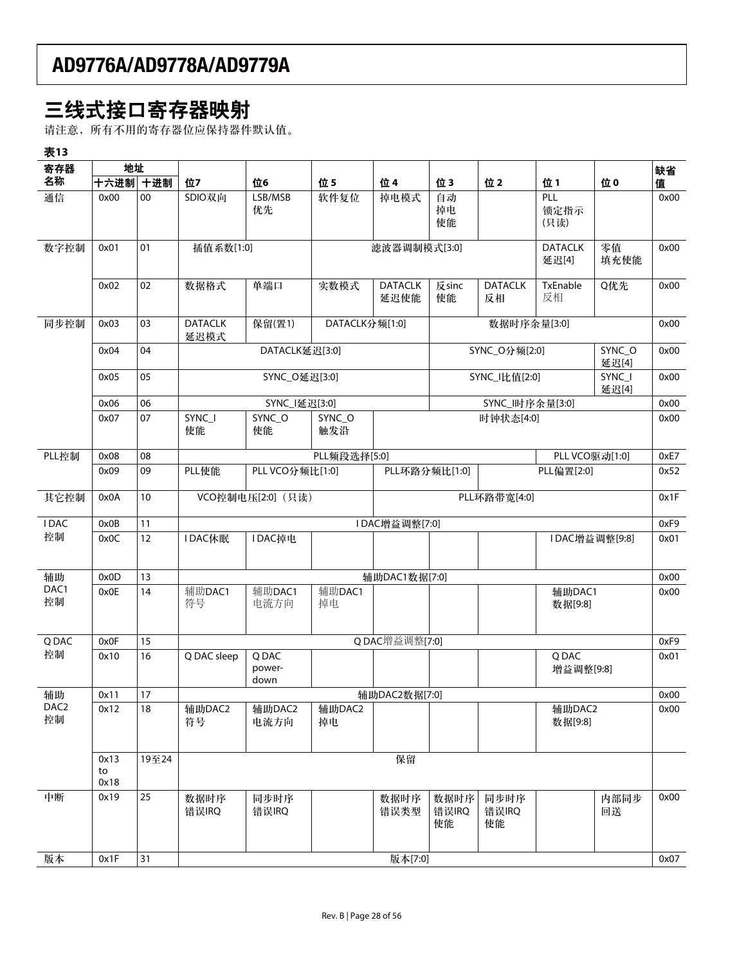# 三线式接口寄存器映射

请注意,所有不用的寄存器位应保持器件默认值。

| 表13                    |                    |        |                                   |                         |                |                        |                     |                      |                         |                 |      |
|------------------------|--------------------|--------|-----------------------------------|-------------------------|----------------|------------------------|---------------------|----------------------|-------------------------|-----------------|------|
| 寄存器                    | 地址                 |        |                                   |                         |                |                        |                     |                      |                         |                 | 缺省   |
| 名称                     | 十六进制 十进制           |        | 位7                                | 位6                      | 位5             | 位 4                    | 位3                  | 位2                   | 位1                      | 位0              | 值    |
| 通信                     | 0x00               | $00\,$ | SDIO双向                            | LSB/MSB<br>优先           | 软件复位           | 掉电模式                   | 自动<br>掉电<br>使能      |                      | PLL<br>锁定指示<br>(只读)     |                 | 0x00 |
| 数字控制                   | 0x01               | 01     | 插值系数[1:0]                         |                         |                | 滤波器调制模式[3:0]           |                     |                      | <b>DATACLK</b><br>延迟[4] | 零值<br>填充使能      | 0x00 |
|                        | 0x02               | 02     | 数据格式                              | 单端口                     | 实数模式           | <b>DATACLK</b><br>延迟使能 | 反sinc<br>使能         | <b>DATACLK</b><br>反相 | TxEnable<br>反相          | Q优先             | 0x00 |
| 同步控制                   | 0x03               | 03     | <b>DATACLK</b><br>延迟模式            | 保留(置1)                  | DATACLK分频[1:0] |                        |                     | 数据时序余量[3:0]          |                         |                 | 0x00 |
|                        | 0x04               | 04     |                                   | DATACLK延迟[3:0]          |                |                        |                     | SYNC_O分频[2:0]        |                         | SYNC_O<br>延迟[4] | 0x00 |
|                        | 0x05               | 05     |                                   | SYNC_O延迟[3:0]           |                |                        |                     | SYNC_I比值[2:0]        |                         | SYNC_I<br>延迟[4] | 0x00 |
|                        | 0x06               | 06     |                                   | SYNC_I延迟[3:0]           |                |                        |                     | SYNC_l时序余量[3:0]      |                         |                 | 0x00 |
|                        | 0x07               | 07     | SYNC_I<br>使能                      | SYNC_O<br>使能            | SYNC_O<br>触发沿  |                        |                     | 时钟状态[4:0]            |                         |                 | 0x00 |
| PLL控制                  | 0x08               | 08     |                                   |                         | PLL频段选择[5:0]   |                        |                     |                      |                         | PLL VCO驱动[1:0]  | 0xE7 |
|                        | 0x09               | 09     | PLL使能                             | PLL VCO分频比[1:0]         |                |                        | PLL环路分频比[1:0]       |                      | PLL偏置[2:0]              |                 | 0x52 |
| 其它控制                   | 0x0A               | 10     | VCO控制电压[2:0] (只读)<br>PLL环路带宽[4:0] |                         |                |                        |                     |                      | 0x1F                    |                 |      |
| <b>IDAC</b>            | 0x0B               | 11     |                                   |                         |                | IDAC增益调整[7:0]          |                     |                      |                         |                 | 0xF9 |
| 控制                     | 0x0C               | 12     | IDAC休眠                            | IDAC掉电                  |                |                        |                     |                      |                         | IDAC增益调整[9:8]   | 0x01 |
| 辅助                     | 0x0D               | 13     |                                   |                         |                | 辅助DAC1数据[7:0]          |                     |                      |                         |                 | 0x00 |
| DAC1<br>控制             | 0x0E               | 14     | 辅助DAC1<br>符号                      | 辅助DAC1<br>电流方向          | 辅助DAC1<br>掉电   |                        |                     |                      | 辅助DAC1<br>数据[9:8]       |                 | 0x00 |
| Q DAC                  | 0x0F               | 15     |                                   |                         |                | QDAC增益调整[7:0]          |                     |                      |                         |                 | 0xF9 |
| 控制                     | 0x10               | 16     | Q DAC sleep                       | Q DAC<br>power-<br>down |                |                        |                     |                      | Q DAC<br>增益调整[9:8]      |                 | 0x01 |
| 辅助                     | 0x11               | 17     |                                   |                         |                | 辅助DAC2数据[7:0]          |                     |                      |                         |                 | 0x00 |
| DAC <sub>2</sub><br>控制 | 0x12               | 18     | 辅助DAC2<br>符号                      | 辅助DAC2<br>电流方向          | 辅助DAC2<br>掉电   |                        |                     |                      | 辅助DAC2<br>数据[9:8]       |                 | 0x00 |
|                        | 0x13<br>to<br>0x18 | 19至24  |                                   |                         |                | 保留                     |                     |                      |                         |                 |      |
| 中断                     | 0x19               | 25     | 数据时序<br>错误IRQ                     | 同步时序<br>错误IRQ           |                | 数据时序<br>错误类型           | 数据时序<br>错误IRQ<br>使能 | 同步时序<br>错误IRQ<br>使能  |                         | 内部同步<br>回送      | 0x00 |
| 版本                     | 0x1F               | 31     |                                   |                         |                | 版本[7:0]                |                     |                      |                         |                 | 0x07 |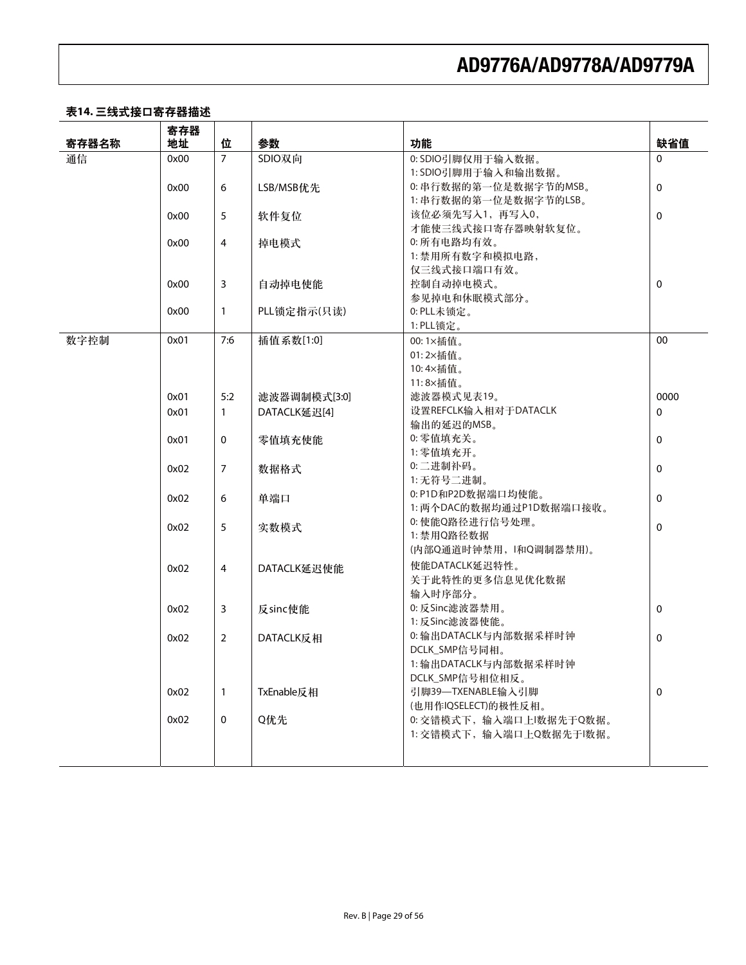### 表14. 三线式接口寄存器描述

|       | 寄存器  |                |              |                          |             |
|-------|------|----------------|--------------|--------------------------|-------------|
| 寄存器名称 | 地址   | 位              | 参数           | 功能                       | 缺省值         |
| 通信    | 0x00 | $\overline{7}$ | SDIO双向       | 0: SDIO引脚仅用于输入数据。        | $\Omega$    |
|       |      |                |              | 1: SDIO引脚用于输入和输出数据。      |             |
|       | 0x00 | 6              | LSB/MSB优先    | 0: 串行数据的第一位是数据字节的MSB。    | $\mathbf 0$ |
|       |      |                |              | 1: 串行数据的第一位是数据字节的LSB。    |             |
|       | 0x00 | 5              | 软件复位         | 该位必须先写入1,再写入0,           | 0           |
|       |      |                |              | 才能使三线式接口寄存器映射软复位。        |             |
|       | 0x00 | 4              | 掉电模式         | 0: 所有电路均有效。              |             |
|       |      |                |              | 1: 禁用所有数字和模拟电路,          |             |
|       |      |                |              | 仅三线式接口端口有效。              |             |
|       | 0x00 | 3              | 自动掉电使能       | 控制自动掉电模式。                | $\mathbf 0$ |
|       |      |                |              | 参见掉电和休眠模式部分。             |             |
|       | 0x00 | $\mathbf{1}$   | PLL锁定指示(只读)  | 0: PLL未锁定。               |             |
|       |      |                |              | 1: PLL锁定。                |             |
| 数字控制  | 0x01 | 7:6            | 插值系数[1:0]    | 00:1×插值。                 | 00          |
|       |      |                |              | 01:2×插值。                 |             |
|       |      |                |              | 10:4×插值。                 |             |
|       |      |                |              | 11:8×插值。                 |             |
|       | 0x01 | 5:2            | 滤波器调制模式[3:0] | 滤波器模式见表19。               | 0000        |
|       | 0x01 | $\mathbf{1}$   | DATACLK延迟[4] | 设置REFCLK输入相对于DATACLK     | 0           |
|       |      |                |              | 输出的延迟的MSB。               |             |
|       | 0x01 | 0              | 零值填充使能       | 0: 零值填充关。                | $\mathbf 0$ |
|       |      |                |              | 1: 零值填充开。                |             |
|       | 0x02 | $\overline{7}$ | 数据格式         | 0:二进制补码。                 | 0           |
|       |      |                |              | 1: 无符号二进制。               |             |
|       | 0x02 | 6              | 单端口          | 0: P1D和P2D数据端口均使能。       | $\mathbf 0$ |
|       |      |                |              | 1: 两个DAC的数据均通过P1D数据端口接收。 |             |
|       | 0x02 | 5              | 实数模式         | 0: 使能Q路径进行信号处理。          | $\mathbf 0$ |
|       |      |                |              | 1: 禁用Q路径数据               |             |
|       |      |                |              | (内部Q通道时钟禁用, l和Q调制器禁用)。   |             |
|       | 0x02 | $\overline{4}$ | DATACLK延迟使能  | 使能DATACLK延迟特性。           |             |
|       |      |                |              | 关于此特性的更多信息见优化数据          |             |
|       |      |                |              | 输入时序部分。                  |             |
|       | 0x02 | 3              | 反sinc使能      | 0:反Sinc滤波器禁用。            | $\mathbf 0$ |
|       |      |                |              | 1: 反Sinc滤波器使能。           |             |
|       | 0x02 | $\overline{2}$ | DATACLK反相    | 0: 输出DATACLK与内部数据采样时钟    | 0           |
|       |      |                |              | DCLK_SMP信号同相。            |             |
|       |      |                |              | 1: 输出DATACLK与内部数据采样时钟    |             |
|       |      |                |              | DCLK_SMP信号相位相反。          |             |
|       | 0x02 | 1              | TxEnable反相   | 引脚39-TXENABLE输入引脚        | 0           |
|       |      |                |              | (也用作IQSELECT)的极性反相。      |             |
|       | 0x02 | $\mathbf 0$    | Q优先          | 0: 交错模式下, 输入端口上l数据先于Q数据。 |             |
|       |      |                |              | 1: 交错模式下, 输入端口上Q数据先于l数据。 |             |
|       |      |                |              |                          |             |
|       |      |                |              |                          |             |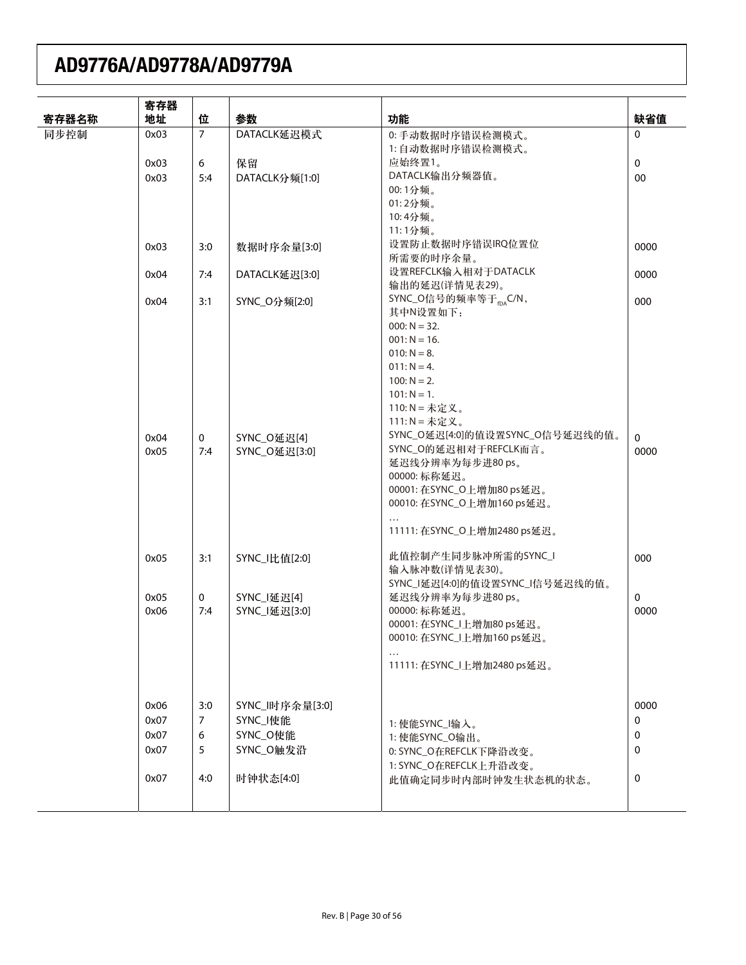|       | 寄存器  |                |                 |                                    |             |
|-------|------|----------------|-----------------|------------------------------------|-------------|
| 寄存器名称 | 地址   | 位              | 参数              | 功能                                 | 缺省值         |
| 同步控制  | 0x03 | $\overline{7}$ | DATACLK延迟模式     | 0: 手动数据时序错误检测模式。                   | $\Omega$    |
|       |      |                |                 | 1: 自动数据时序错误检测模式。                   |             |
|       | 0x03 | 6              | 保留              | 应始终置1。                             | $\mathbf 0$ |
|       | 0x03 | 5:4            | DATACLK分频[1:0]  | DATACLK输出分频器值。                     | 00          |
|       |      |                |                 | 00:1分频。                            |             |
|       |      |                |                 | 01:2分频。                            |             |
|       |      |                |                 | 10:4分频。                            |             |
|       |      |                |                 | 11:1分频。                            |             |
|       | 0x03 | 3:0            | 数据时序余量[3:0]     | 设置防止数据时序错误IRQ位置位                   | 0000        |
|       |      |                |                 | 所需要的时序余量。                          |             |
|       | 0x04 | 7:4            | DATACLK延迟[3:0]  | 设置REFCLK输入相对于DATACLK               | 0000        |
|       |      |                |                 | 输出的延迟(详情见表29)。                     |             |
|       | 0x04 | 3:1            | SYNC_O分频[2:0]   | SYNC_O信号的频率等于 <sub>fDA</sub> C/N,  | 000         |
|       |      |                |                 | 其中N设置如下:                           |             |
|       |      |                |                 | $000: N = 32.$                     |             |
|       |      |                |                 | $001: N = 16.$                     |             |
|       |      |                |                 | $010: N = 8.$                      |             |
|       |      |                |                 | $011: N = 4.$                      |             |
|       |      |                |                 | $100: N = 2.$                      |             |
|       |      |                |                 | $101: N = 1.$<br>110: N = 未定义。     |             |
|       |      |                |                 | 111: $N = \pm \pm \times \times$ 。 |             |
|       |      |                |                 | SYNC_O延迟[4:0]的值设置SYNC_O信号延迟线的值。    |             |
|       | 0x04 | $\mathbf 0$    | SYNC_O延迟[4]     | SYNC_O的延迟相对于REFCLK而言。              | $\Omega$    |
|       | 0x05 | 7:4            | SYNC_O延迟[3:0]   | 延迟线分辨率为每步进80 ps。                   | 0000        |
|       |      |                |                 | 00000: 标称延迟。                       |             |
|       |      |                |                 | 00001: 在SYNC_O上增加80 ps延迟。          |             |
|       |      |                |                 | 00010: 在SYNC_O上增加160 ps延迟。         |             |
|       |      |                |                 |                                    |             |
|       |      |                |                 | 11111: 在SYNC_O上增加2480 ps延迟。        |             |
|       |      |                |                 |                                    |             |
|       | 0x05 | 3:1            | SYNC_I比值[2:0]   | 此值控制产生同步脉冲所需的SYNC_I                | 000         |
|       |      |                |                 | 输入脉冲数(详情见表30)。                     |             |
|       |      |                |                 | SYNC_I延迟[4:0]的值设置SYNC_I信号延迟线的值。    |             |
|       | 0x05 | $\mathbf 0$    | SYNC_I延迟[4]     | 延迟线分辨率为每步进80 ps。                   | 0           |
|       | 0x06 | 7:4            | SYNC_I延迟[3:0]   | 00000: 标称延迟。                       | 0000        |
|       |      |                |                 | 00001: 在SYNC_I上增加80 ps延迟。          |             |
|       |      |                |                 | 00010: 在SYNC_I上增加160 ps延迟。         |             |
|       |      |                |                 |                                    |             |
|       |      |                |                 | 11111: 在SYNC_I上增加2480 ps延迟。        |             |
|       |      |                |                 |                                    |             |
|       |      |                |                 |                                    |             |
|       | 0x06 | 3:0            | SYNC_l时序余量[3:0] |                                    | 0000        |
|       | 0x07 | $\overline{7}$ | SYNC_I使能        | 1: 使能SYNC_I输入。                     | 0           |
|       | 0x07 | 6              | SYNC_O使能        | 1: 使能SYNC_O输出。                     | 0           |
|       | 0x07 | 5              | SYNC_O触发沿       | 0: SYNC_O在REFCLK下降沿改变。             | 0           |
|       |      |                |                 | 1: SYNC_O在REFCLK上升沿改变。             |             |
|       | 0x07 | 4:0            | 时钟状态[4:0]       | 此值确定同步时内部时钟发生状态机的状态。               | 0           |
|       |      |                |                 |                                    |             |
|       |      |                |                 |                                    |             |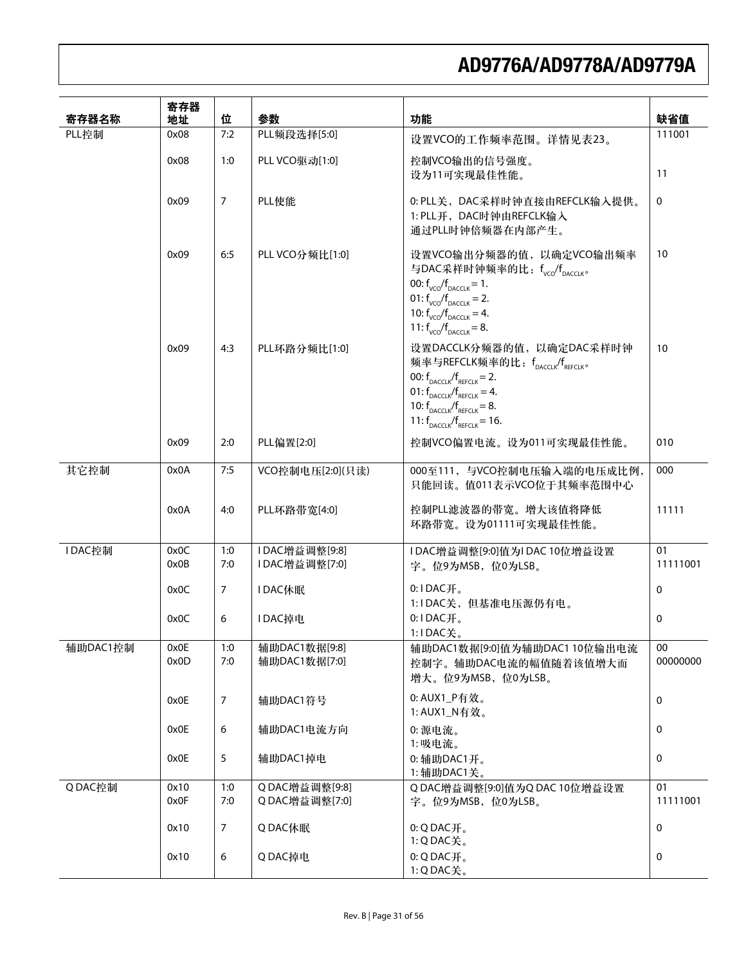| 寄存器名称    | 寄存器<br>地址    | 位              | 参数                             | 功能                                                                                                                                                                                                                                                              | 缺省值            |
|----------|--------------|----------------|--------------------------------|-----------------------------------------------------------------------------------------------------------------------------------------------------------------------------------------------------------------------------------------------------------------|----------------|
| PLL控制    | 0x08         | 7:2            | PLL频段选择[5:0]                   | 设置VCO的工作频率范围。详情见表23。                                                                                                                                                                                                                                            | 111001         |
|          | 0x08         | 1:0            | PLL VCO驱动[1:0]                 | 控制VCO输出的信号强度。<br>设为11可实现最佳性能。                                                                                                                                                                                                                                   | 11             |
|          | 0x09         | $\overline{7}$ | PLL使能                          | 0: PLL关, DAC采样时钟直接由REFCLK输入提供。<br>1: PLL开, DAC时钟由REFCLK输入<br>通过PLL时钟倍频器在内部产生。                                                                                                                                                                                   | 0              |
|          | 0x09         | 6:5            | PLL VCO分频比[1:0]                | 设置VCO输出分频器的值,以确定VCO输出频率<br>与DAC采样时钟频率的比: fvco/fpacciko<br>00: $f_{VCO}/f_{DACCI K} = 1$ .<br>01: $f_{VCO}/f_{DACCI K} = 2$ .<br>10: $f_{VCO}/f_{DACCI K} = 4$ .<br>11: $f_{VCO}/f_{DACCI K} = 8$ .                                                              | 10             |
|          | 0x09         | 4:3            | PLL环路分频比[1:0]                  | 设置DACCLK分频器的值, 以确定DAC采样时钟<br>频率与REFCLK频率的比: fpaccik/fRFFCIKo<br>00: $f_{\text{pacc}}/f_{\text{percov}} = 2$ .<br>01: $f_{\text{pacc}}/f_{\text{rferc}} = 4$ .<br>10: $f_{\text{pacc}}/f_{\text{percik}} = 8$ .<br>11: $f_{\text{pacc}}/f_{\text{pferc}} = 16$ . | 10             |
|          | 0x09         | 2:0            | PLL偏置[2:0]                     | 控制VCO偏置电流。设为011可实现最佳性能。                                                                                                                                                                                                                                         | 010            |
| 其它控制     | 0x0A         | 7:5            | VCO控制电压[2:0](只读)               | 000至111, 与VCO控制电压输入端的电压成比例,<br>只能回读。值011表示VCO位于其频率范围中心                                                                                                                                                                                                          | 000            |
|          | 0x0A         | 4:0            | PLL环路带宽[4:0]                   | 控制PLL滤波器的带宽。增大该值将降低<br>环路带宽。设为01111可实现最佳性能。                                                                                                                                                                                                                     | 11111          |
| IDAC控制   | 0x0C         | 1:0            | IDAC增益调整[9:8]                  | 1DAC增益调整[9:0]值为IDAC 10位增益设置                                                                                                                                                                                                                                     | 01             |
|          | 0x0B         | 7:0            | IDAC增益调整[7:0]                  | 字。位9为MSB, 位0为LSB。                                                                                                                                                                                                                                               | 11111001       |
|          | 0x0C         | $\overline{7}$ | <b>IDAC休眠</b>                  | $0:1$ DAC $\mathcal{H}_o$                                                                                                                                                                                                                                       | 0              |
|          | 0x0C         | 6              | <b>IDAC掉电</b>                  | 1:1DAC关, 但基准电压源仍有电。<br>$0:1$ DAC $\mathcal{H}_s$ .<br>1:IDAC关。                                                                                                                                                                                                  | $\Omega$       |
| 辅助DAC1控制 | 0x0E<br>0x0D | 1:0<br>7:0     | 辅助DAC1数据[9:8]<br>辅助DAC1数据[7:0] | 辅助DAC1数据[9:0]值为辅助DAC1 10位输出电流<br>控制字。辅助DAC电流的幅值随着该值增大而<br>增大。位9为MSB, 位0为LSB。                                                                                                                                                                                    | 00<br>00000000 |
|          | 0x0E         | $\overline{7}$ | 辅助DAC1符号                       | 0: AUX1_P有效。<br>1: AUX1_N有效。                                                                                                                                                                                                                                    | 0              |
|          | 0x0E         | 6              | 辅助DAC1电流方向                     | 0: 源电流。<br>1:吸电流。                                                                                                                                                                                                                                               | 0              |
|          | 0x0E         | 5              | 辅助DAC1掉电                       | 0: 辅助DAC1开。<br>1: 辅助DAC1关。                                                                                                                                                                                                                                      | 0              |
| QDAC控制   | 0x10         | 1:0            | QDAC增益调整[9:8]                  | QDAC增益调整[9:0]值为QDAC10位增益设置                                                                                                                                                                                                                                      | 01             |
|          | 0x0F         | 7:0            | Q DAC增益调整[7:0]                 | 字。位9为MSB, 位0为LSB。                                                                                                                                                                                                                                               | 11111001       |
|          | 0x10         | $\overline{7}$ | QDAC休眠                         | $0:Q$ DAC $Hs$<br>1:QDAC关。                                                                                                                                                                                                                                      | 0              |
|          | 0x10         | 6              | QDAC掉电                         | $0:Q$ DAC开。<br>1:QDAC关。                                                                                                                                                                                                                                         | 0              |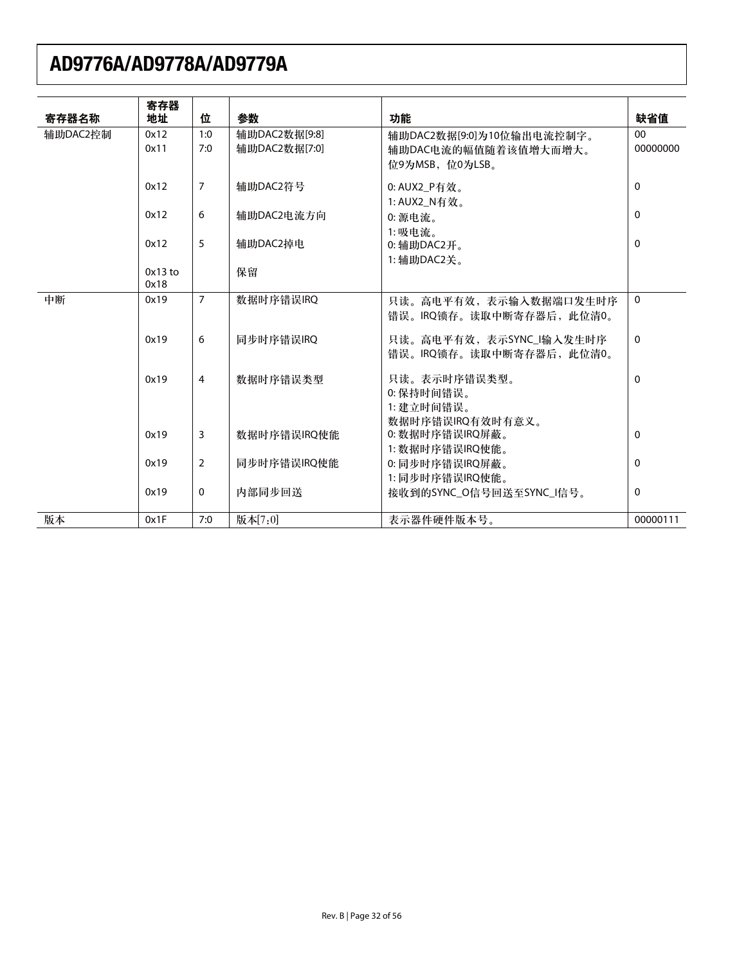| 寄存器名称    | 寄存器<br>地址         | 位              | 参数            | 功能                        | 缺省值          |
|----------|-------------------|----------------|---------------|---------------------------|--------------|
| 辅助DAC2控制 | 0x12              | 1:0            | 辅助DAC2数据[9:8] | 辅助DAC2数据[9:0]为10位输出电流控制字。 | $00\,$       |
|          | 0x11              | 7:0            | 辅助DAC2数据[7:0] | 辅助DAC电流的幅值随着该值增大而增大。      | 00000000     |
|          |                   |                |               | 位9为MSB,位0为LSB。            |              |
|          | 0x12              | $\overline{7}$ | 辅助DAC2符号      | 0: AUX2_P有效。              | 0            |
|          |                   |                |               | 1: AUX2 N有效。              |              |
|          | 0x12              | 6              | 辅助DAC2电流方向    | 0: 源电流。                   | $\mathbf{0}$ |
|          |                   |                |               | 1:吸电流。                    |              |
|          | 0x12              | 5              | 辅助DAC2掉电      | $0:$ 辅助DAC2开。             | $\mathbf{0}$ |
|          |                   |                |               | 1: 辅助DAC2关。               |              |
|          | $0x13$ to<br>0x18 |                | 保留            |                           |              |
| 中断       | 0x19              | $\overline{7}$ | 数据时序错误IRQ     | 只读。高电平有效,表示输入数据端口发生时序     | 0            |
|          |                   |                |               | 错误。IRQ锁存。读取中断寄存器后, 此位清0。  |              |
|          | 0x19              | 6              | 同步时序错误IRQ     | 只读。高电平有效, 表示SYNC_I输入发生时序  | $\mathbf{0}$ |
|          |                   |                |               | 错误。IRQ锁存。读取中断寄存器后, 此位清0。  |              |
|          | 0x19              | $\overline{4}$ | 数据时序错误类型      | 只读。表示时序错误类型。              | $\mathbf{0}$ |
|          |                   |                |               | 0: 保持时间错误。                |              |
|          |                   |                |               | 1: 建立时间错误。                |              |
|          |                   |                |               | 数据时序错误IRQ有效时有意义。          |              |
|          | 0x19              | $\overline{3}$ | 数据时序错误IRQ使能   | 0: 数据时序错误IRQ屏蔽。           | $\mathbf{0}$ |
|          |                   |                |               | 1: 数据时序错误IRQ使能。           |              |
|          | 0x19              | 2              | 同步时序错误IRQ使能   | 0: 同步时序错误IRQ屏蔽。           | $\mathbf{0}$ |
|          | 0x19              | $\mathbf 0$    |               | 1:同步时序错误IRQ使能。            | $\mathbf{0}$ |
|          |                   |                | 内部同步回送        | 接收到的SYNC O信号回送至SYNC I信号。  |              |
| 版本       | 0x1F              | 7:0            | 版本[7:0]       | 表示器件硬件版本号。                | 00000111     |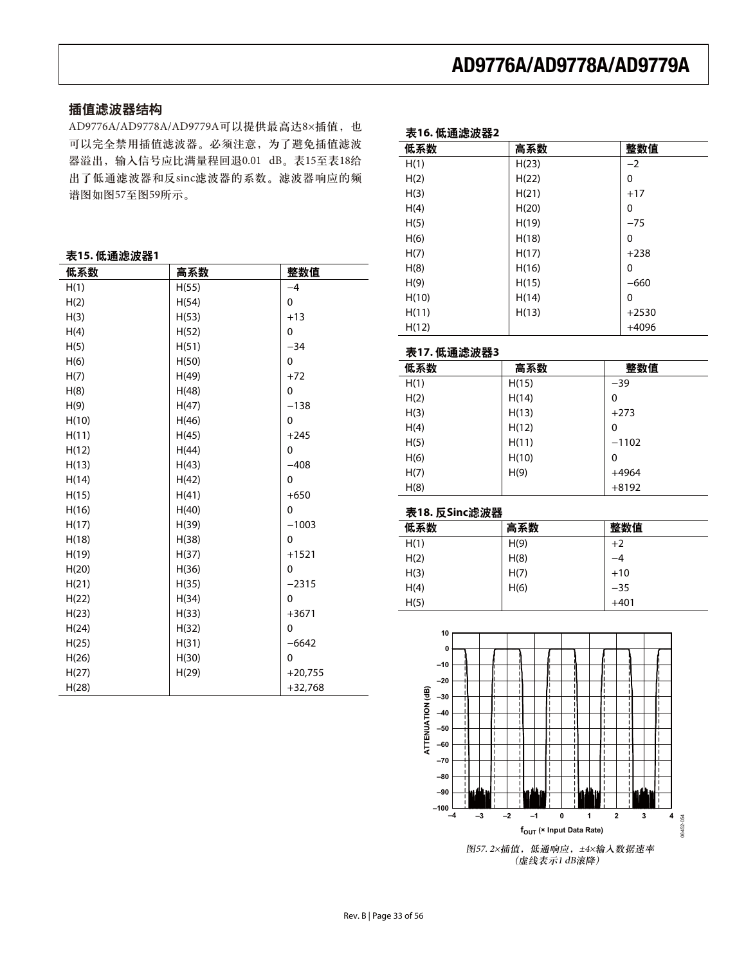## 插值滤波器结构

AD9776A/AD9778A/AD9779A可以提供最高达8×插值, 也 可以完全禁用插值滤波器。必须注意,为了避免插值滤波 器溢出, 输入信号应比满量程回退0.01 dB。表15至表18给 出了低通滤波器和反sinc滤波器的系数。滤波器响应的频 谱图如图57至图59所示。

| $-22$<br>. <i></i> |       |           |
|--------------------|-------|-----------|
| 低系数                | 高系数   | 整数值       |
| H(1)               | H(55) | $-4$      |
| H(2)               | H(54) | 0         |
| H(3)               | H(53) | $+13$     |
| H(4)               | H(52) | 0         |
| H(5)               | H(51) | $-34$     |
| H(6)               | H(50) | 0         |
| H(7)               | H(49) | $+72$     |
| H(8)               | H(48) | 0         |
| H(9)               | H(47) | $-138$    |
| H(10)              | H(46) | 0         |
| H(11)              | H(45) | $+245$    |
| H(12)              | H(44) | 0         |
| H(13)              | H(43) | $-408$    |
| H(14)              | H(42) | 0         |
| H(15)              | H(41) | $+650$    |
| H(16)              | H(40) | 0         |
| H(17)              | H(39) | $-1003$   |
| H(18)              | H(38) | 0         |
| H(19)              | H(37) | $+1521$   |
| H(20)              | H(36) | 0         |
| H(21)              | H(35) | $-2315$   |
| H(22)              | H(34) | 0         |
| H(23)              | H(33) | $+3671$   |
| H(24)              | H(32) | 0         |
| H(25)              | H(31) | $-6642$   |
| H(26)              | H(30) | 0         |
| H(27)              | H(29) | $+20,755$ |
| H(28)              |       | $+32,768$ |

#### 表15. 低诵滤波器1

| 表16. 低通滤波器2 |       |         |
|-------------|-------|---------|
| 低系数         | 高系数   | 整数值     |
| H(1)        | H(23) | $-2$    |
| H(2)        | H(22) | 0       |
| H(3)        | H(21) | $+17$   |
| H(4)        | H(20) | 0       |
| H(5)        | H(19) | $-75$   |
| H(6)        | H(18) | 0       |
| H(7)        | H(17) | $+238$  |
| H(8)        | H(16) | 0       |
| H(9)        | H(15) | $-660$  |
| H(10)       | H(14) | 0       |
| H(11)       | H(13) | $+2530$ |
| H(12)       |       | $+4096$ |

### 表17. 低通滤波器3

| 低系数  | 高系数   | 整数值     |
|------|-------|---------|
| H(1) | H(15) | $-39$   |
| H(2) | H(14) | 0       |
| H(3) | H(13) | $+273$  |
| H(4) | H(12) | 0       |
| H(5) | H(11) | $-1102$ |
| H(6) | H(10) | 0       |
| H(7) | H(9)  | $+4964$ |
| H(8) |       | $+8192$ |

#### 表18. 反Sinc滤波器

| 低系数  | 高系数  | 整数值    |
|------|------|--------|
| H(1) | H(9) | $+2$   |
| H(2) | H(8) | $-4$   |
| H(3) | H(7) | $+10$  |
| H(4) | H(6) | $-35$  |
| H(5) |      | $+401$ |



(虚线表示1 dB滚降)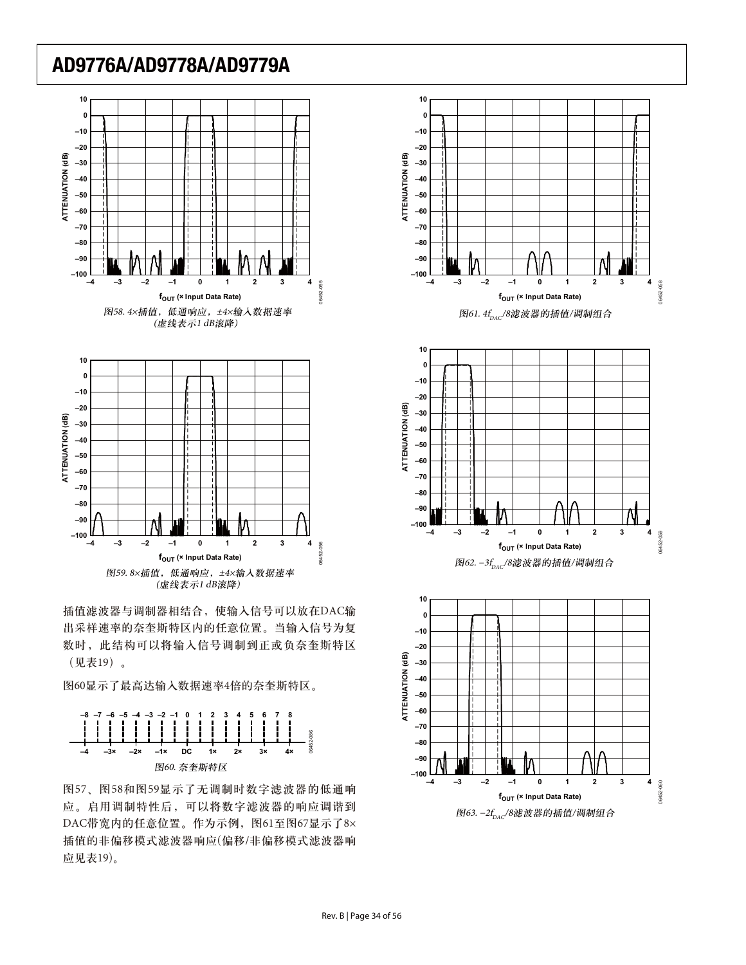



插值滤波器与调制器相结合, 使输入信号可以放在DAC输 出采样速率的奈奎斯特区内的任意位置。当输入信号为复 数时, 此结构可以将输入信号调制到正或负奈奎斯特区 (见表19)。

图60显示了最高达输入数据速率4倍的奈奎斯特区。



图57、图58和图59显示了无调制时数字滤波器的低通响 应。启用调制特性后,可以将数字滤波器的响应调谐到 DAC带宽内的任意位置。作为示例, 图61至图67显示了8× 插值的非偏移模式滤波器响应(偏移/非偏移模式滤波器响 应见表19)。





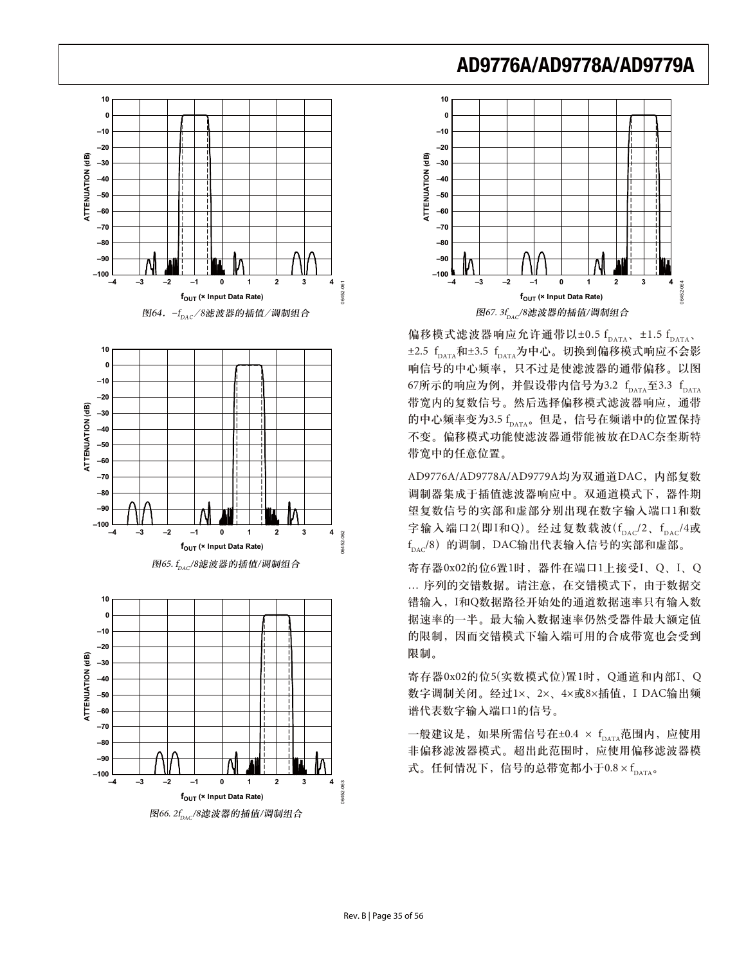

图66. 2f. (8滤波器的插值/调制组合



偏移模式滤波器响应允许通带以±0.5  $f_{\text{DATA}}$ , ±1.5  $f_{\text{DATA}}$  $\pm$ 2.5  $f_{\text{DATA}}$ 和 $\pm$ 3.5  $f_{\text{DATA}}$ 为中心。切换到偏移模式响应不会影 响信号的中心频率,只不过是使滤波器的通带偏移。以图 67所示的响应为例,并假设带内信号为3.2  $f_{\text{DATA}}$ 至3.3  $f_{\text{DATA}}$ 带宽内的复数信号。然后选择偏移模式滤波器响应,通带 的中心频率变为3.5 fpara。但是, 信号在频谱中的位置保持 不变。偏移模式功能使滤波器通带能被放在DAC奈奎斯特 带宽中的任意位置。

AD9776A/AD9778A/AD9779A均为双通道DAC, 内部复数 调制器集成于插值滤波器响应中。双通道模式下,器件期 望复数信号的实部和虚部分别出现在数字输入端口1和数 字输入端口2(即I和Q)。经过复数载波( $f_{\text{pAC}}/2$ 、 $f_{\text{pAC}}/4$ 或  $\rm{f}_{\rm{DAC}}$ /8)的调制,DAC输出代表输入信号的实部和虚部。

寄存器0x02的位6置1时,器件在端口1上接受I、Q、I、Q … 序列的交错数据。请注意, 在交错模式下, 由于数据交 错输入, I和Q数据路径开始处的通道数据速率只有输入数 据速率的一半。最大输入数据速率仍然受器件最大额定值 的限制, 因而交错模式下输入端可用的合成带宽也会受到 限制。

寄存器0x02的位5(实数模式位)置1时, Q通道和内部I、Q 数字调制关闭。经过1×、2×、4×或8×插值, I DAC输出频 谱代表数字输入端口1的信号。

一般建议是, 如果所需信号在±0.4 × f<sub>DATA</sub>范围内, 应使用 非偏移滤波器模式。超出此范围时,应使用偏移滤波器模 式。任何情况下, 信号的总带宽都小于 $0.8 \times f_{\text{parta}}$ 。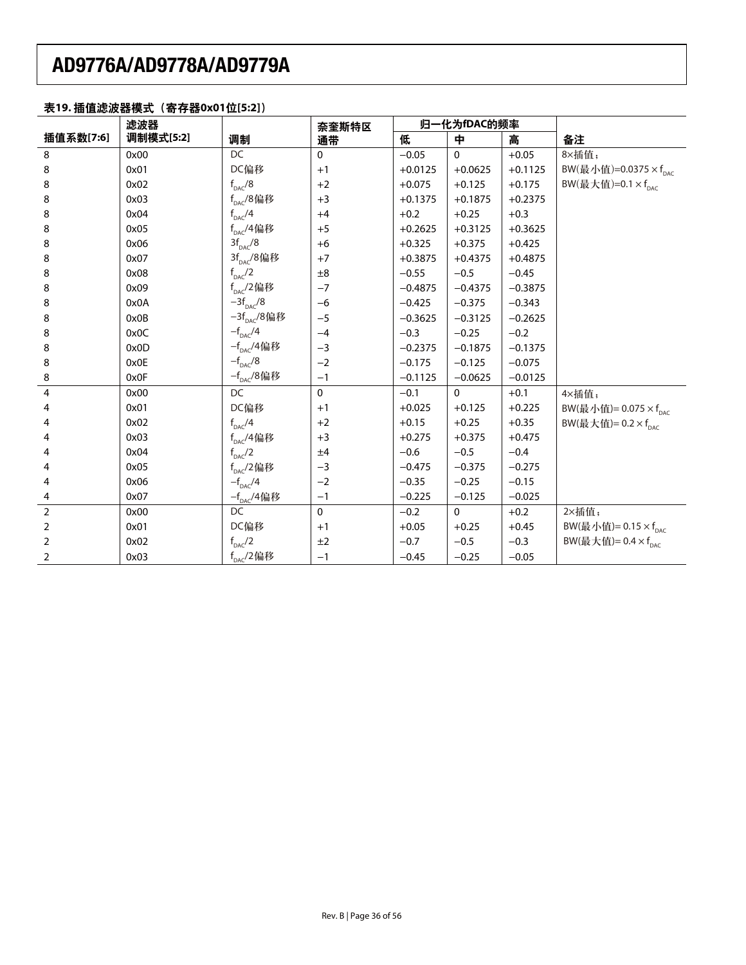## 表19. 插值滤波器模式 (寄存器0x01位[5:2])

|                | 滤波器       |                         | 奈奎斯特区        |           | 归一化为fDAC的频率 |           |                                          |
|----------------|-----------|-------------------------|--------------|-----------|-------------|-----------|------------------------------------------|
| 插值系数[7:6]      | 调制模式[5:2] | 调制                      | 通带           | 低         | 中           | 高         | 备注                                       |
| 8              | 0x00      | DC                      | $\mathbf{0}$ | $-0.05$   | $\Omega$    | $+0.05$   | 8×插值;                                    |
| 8              | 0x01      | DC偏移                    | $+1$         | $+0.0125$ | $+0.0625$   | $+0.1125$ | BW(最小值)=0.0375 $\times$ f <sub>DAC</sub> |
| 8              | 0x02      | $f_{\text{DAC}}/8$      | $+2$         | $+0.075$  | $+0.125$    | $+0.175$  | BW(最大值)=0.1 $\times$ f <sub>nac</sub>    |
| 8              | 0x03      | $f_{\text{pac}}$ /8偏移   | $+3$         | $+0.1375$ | $+0.1875$   | $+0.2375$ |                                          |
| 8              | 0x04      | $f_{\text{DAC}}$ /4     | $+4$         | $+0.2$    | $+0.25$     | $+0.3$    |                                          |
| 8              | 0x05      | $f_{\text{DAC}}$ /4偏移   | $+5$         | $+0.2625$ | $+0.3125$   | $+0.3625$ |                                          |
| 8              | 0x06      | $3f_{\text{pac}}/8$     | $+6$         | $+0.325$  | $+0.375$    | $+0.425$  |                                          |
| 8              | 0x07      | $3f_{\text{pac}}/8$ 偏移  | $+7$         | $+0.3875$ | $+0.4375$   | $+0.4875$ |                                          |
| 8              | 0x08      | $f_{\text{DAC}}/2$      | $\pm 8$      | $-0.55$   | $-0.5$      | $-0.45$   |                                          |
| 8              | 0x09      | $f_{DAC}$ /2偏移          | $-7$         | $-0.4875$ | $-0.4375$   | $-0.3875$ |                                          |
| 8              | 0x0A      | $-3f_{\text{DAC}}/8$    | $-6$         | $-0.425$  | $-0.375$    | $-0.343$  |                                          |
| 8              | 0x0B      | $-3f_{\text{pac}}/8$ 偏移 | $-5$         | $-0.3625$ | $-0.3125$   | $-0.2625$ |                                          |
| 8              | 0x0C      | $-f_{\text{DAC}}/4$     | $-4$         | $-0.3$    | $-0.25$     | $-0.2$    |                                          |
| 8              | 0x0D      | $-f_{_{\rm DAC}}$ /4偏移  | $-3$         | $-0.2375$ | $-0.1875$   | $-0.1375$ |                                          |
| 8              | 0x0E      | $-f_{_{\rm DAC}}/8$     | $-2$         | $-0.175$  | $-0.125$    | $-0.075$  |                                          |
| 8              | 0x0F      | $-f_{_{\rm DAC}}/8$ 偏移  | $-1$         | $-0.1125$ | $-0.0625$   | $-0.0125$ |                                          |
| $\overline{4}$ | 0x00      | DC                      | $\mathbf{0}$ | $-0.1$    | $\Omega$    | $+0.1$    | 4×插值;                                    |
| 4              | 0x01      | DC偏移                    | $+1$         | $+0.025$  | $+0.125$    | $+0.225$  | BW(最小值)= $0.075 \times f_{\text{pac}}$   |
| 4              | 0x02      | $f_{\text{DAC}}/4$      | $+2$         | $+0.15$   | $+0.25$     | $+0.35$   | BW(最大值)= $0.2 \times f_{\text{pac}}$     |
| 4              | 0x03      | $f_{DAC}$ /4偏移          | $+3$         | $+0.275$  | $+0.375$    | $+0.475$  |                                          |
| 4              | 0x04      | $f_{\text{DAC}}^2/2$    | ±4           | $-0.6$    | $-0.5$      | $-0.4$    |                                          |
| 4              | 0x05      | $f_{\text{pac}}/2$ 偏移   | $-3$         | $-0.475$  | $-0.375$    | $-0.275$  |                                          |
| 4              | 0x06      | $-f_{\text{pac}}/4$     | $-2$         | $-0.35$   | $-0.25$     | $-0.15$   |                                          |
| 4              | 0x07      | - $f_{\rm DAC}$ /4偏移    | $-1$         | $-0.225$  | $-0.125$    | $-0.025$  |                                          |
| $\overline{2}$ | 0x00      | DC                      | $\mathbf{0}$ | $-0.2$    | $\Omega$    | $+0.2$    | 2×插值;                                    |
| $\overline{2}$ | 0x01      | DC偏移                    | $+1$         | $+0.05$   | $+0.25$     | $+0.45$   | BW(最小值)= $0.15 \times f_{\text{pac}}$    |
| $\overline{2}$ | 0x02      | $f_{\text{pac}}/2$      | ±2           | $-0.7$    | $-0.5$      | $-0.3$    | BW(最大值)= $0.4 \times f_{\text{pac}}$     |
| 2              | 0x03      | $f_{\text{DAC}}$ /2偏移   | $-1$         | $-0.45$   | $-0.25$     | $-0.05$   |                                          |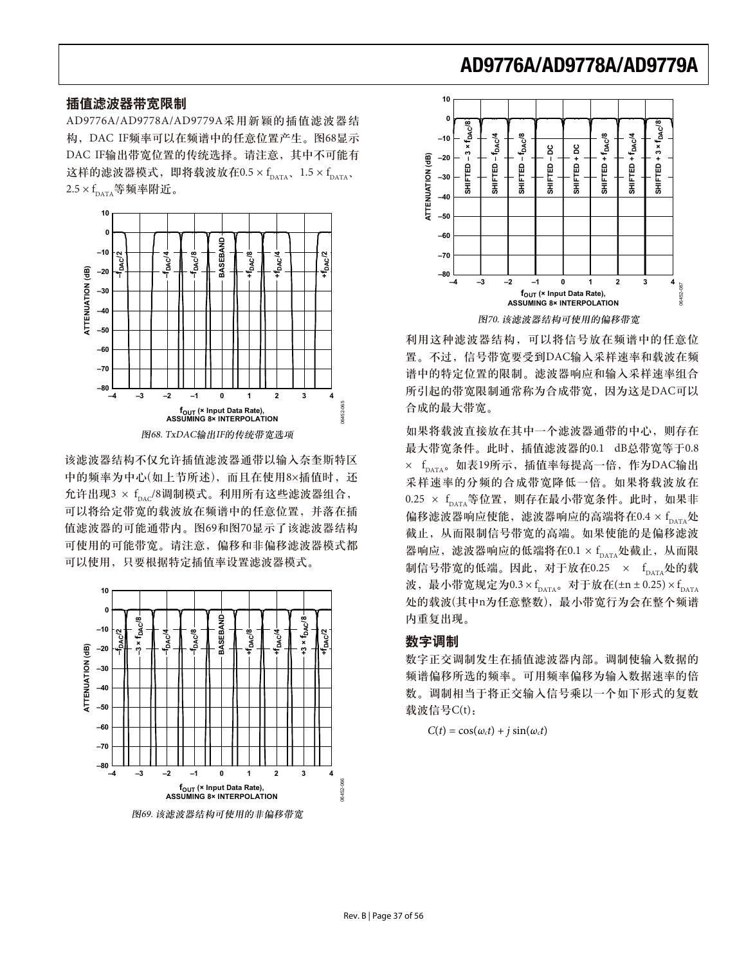### 插值滤波器带宽限制

AD9776A/AD9778A/AD9779A采用新颖的插值滤波器结 构, DAC IF频率可以在频谱中的任意位置产生。图68显示 DAC IF输出带宽位置的传统选择。请注意, 其中不可能有 这样的滤波器模式,即将载波放在0.5 ×  $f_{\text{DATA}}$ , 1.5 ×  $f_{\text{DATA}}$  $2.5 \times f_{\text{DATA}}$ 等频率附近。



该滤波器结构不仅允许插值滤波器通带以输入奈奎斯特区 中的频率为中心(如上节所述), 而且在使用8×插值时, 还 允许出现 $3 \times f_{\text{max}}/8$ 调制模式。利用所有这些滤波器组合, 可以将给定带宽的载波放在频谱中的任意位置,并落在插 值滤波器的可能通带内。图69和图70显示了该滤波器结构 可使用的可能带宽。请注意, 偏移和非偏移滤波器模式都 可以使用, 只要根据特定插值率设置滤波器模式。



图69. 该滤波器结构可使用的非偏移带宽



利用这种滤波器结构,可以将信号放在频谱中的任意位 置。不过, 信号带宽要受到DAC输入采样速率和载波在频 谱中的特定位置的限制。滤波器响应和输入采样速率组合 所引起的带宽限制通常称为合成带宽, 因为这是DAC可以 合成的最大带宽。

如果将载波直接放在其中一个滤波器通带的中心,则存在 最大带宽条件。此时, 插值滤波器的0.1 dB总带宽等于0.8 × f<sub>DATA</sub>。如表19所示, 插值率每提高一倍, 作为DAC输出 采样速率的分频的合成带宽降低一倍。如果将载波放在 0.25 × f<sub>DATA</sub>等位置, 则存在最小带宽条件。此时, 如果非 偏移滤波器响应使能,滤波器响应的高端将在0.4 × f 截止, 从而限制信号带宽的高端。如果使能的是偏移滤波 器响应,滤波器响应的低端将在0.1 × f<sub>DATA</sub>处截止, 从而限 制信号带宽的低端。因此,对于放在0.25 ×  $f_{\text{max}}$ 处的载 波, 最小带宽规定为0.3 × f<sub>DATA</sub>。对于放在(±n ± 0.25) × f<sub>DATA</sub> 处的载波(其中n为任意整数), 最小带宽行为会在整个频谱 内重复出现。

#### 数字调制

数字正交调制发生在插值滤波器内部。调制使输入数据的 频谱偏移所选的频率。可用频率偏移为输入数据速率的倍 数。调制相当于将正交输入信号乘以一个如下形式的复数 载波信号 $C(t)$ :

 $C(t) = \cos(\omega_c t) + j \sin(\omega_c t)$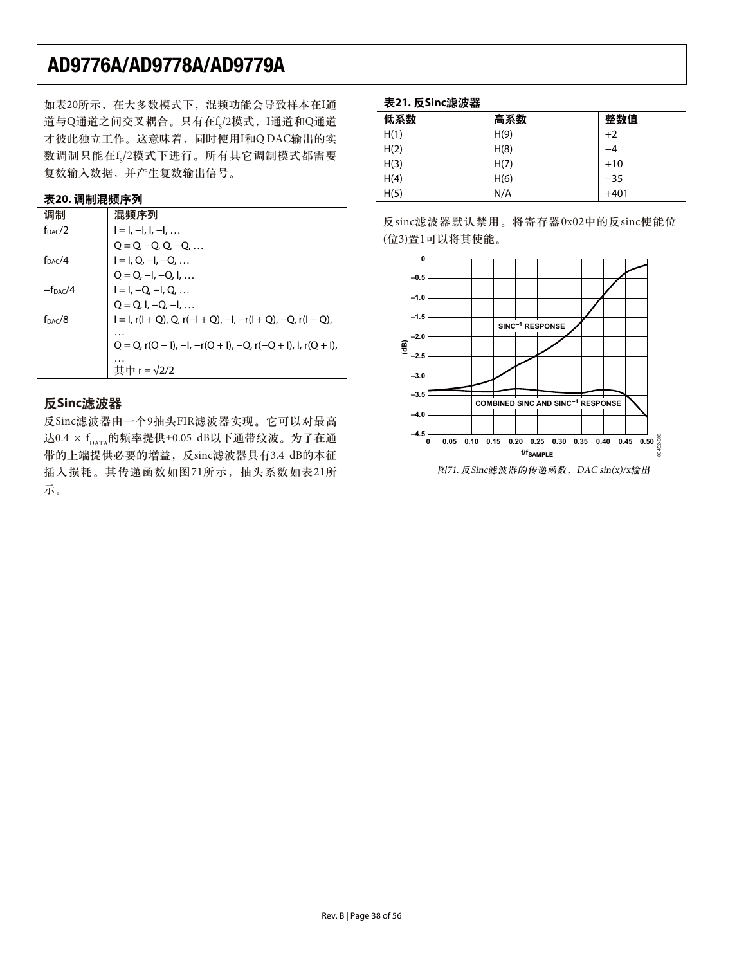如表20所示, 在大多数模式下, 混频功能会导致样本在I通 道与Q通道之间交叉耦合。只有在f<sub>s</sub>/2模式,I通道和Q通道 才彼此独立工作。这意味着, 同时使用I和Q DAC输出的实 数调制只能在f<sub>s</sub>/2模式下进行。所有其它调制模式都需要 复数输入数据,并产生复数输出信号。

### 表20. 调制混频序**列**

| 调制                  | 混频序列                                                                                |
|---------------------|-------------------------------------------------------------------------------------|
| f <sub>DAC</sub> /2 | $I = I, -I, I, -I, $                                                                |
|                     | $Q = Q, -Q, Q, -Q, $                                                                |
| f <sub>DAC</sub> /4 | $I = I, Q, -I, -Q, $                                                                |
|                     | $Q = Q_{1} - I_{2} - Q_{1} I_{2} $                                                  |
| $-f_{\text{DAC}}/4$ | $I = I, -Q, -I, Q, $                                                                |
|                     | $Q = Q, I, -Q, -I, $                                                                |
| $f_{\text{DAC}}/8$  | $I = I$ , r( $I + Q$ ), Q, r( $-I + Q$ ), $-I$ , $-r(1 + Q)$ , $-Q$ , r( $I - Q$ ), |
|                     | .                                                                                   |
|                     | $Q = Q$ , $r(Q - I)$ , $-I$ , $-r(Q + I)$ , $-Q$ , $r(-Q + I)$ , $I$ , $r(Q + I)$ , |
|                     | $\pm$ 中 r = $\sqrt{2/2}$                                                            |

## **反Sinc滤波器**

反Sinc滤波器由一个9抽头FIR滤波器实现。它可以对最高 达0.4 × f<sub>DATA</sub>的频率提供±0.05 dB以下通带纹波。为了在通 带的上端提供必要的增益, 反sinc滤波器具有3.4 dB的本征 插入损耗。其传递函数如图71所示, 抽头系数如表21所 ๖ă

### 表21. 反Sinc滤波器

| 低系数  | 高系数  | 整数值    |
|------|------|--------|
| H(1) | H(9) | $+2$   |
| H(2) | H(8) | $-4$   |
| H(3) | H(7) | $+10$  |
| H(4) | H(6) | $-35$  |
| H(5) | N/A  | $+401$ |

反sinc滤波器默认禁用。将寄存器0x02中的反sinc使能位 (位3)置1可以将其使能。



图71. 反Sinc滤波器的传递函数, DAC sin(x)/x输出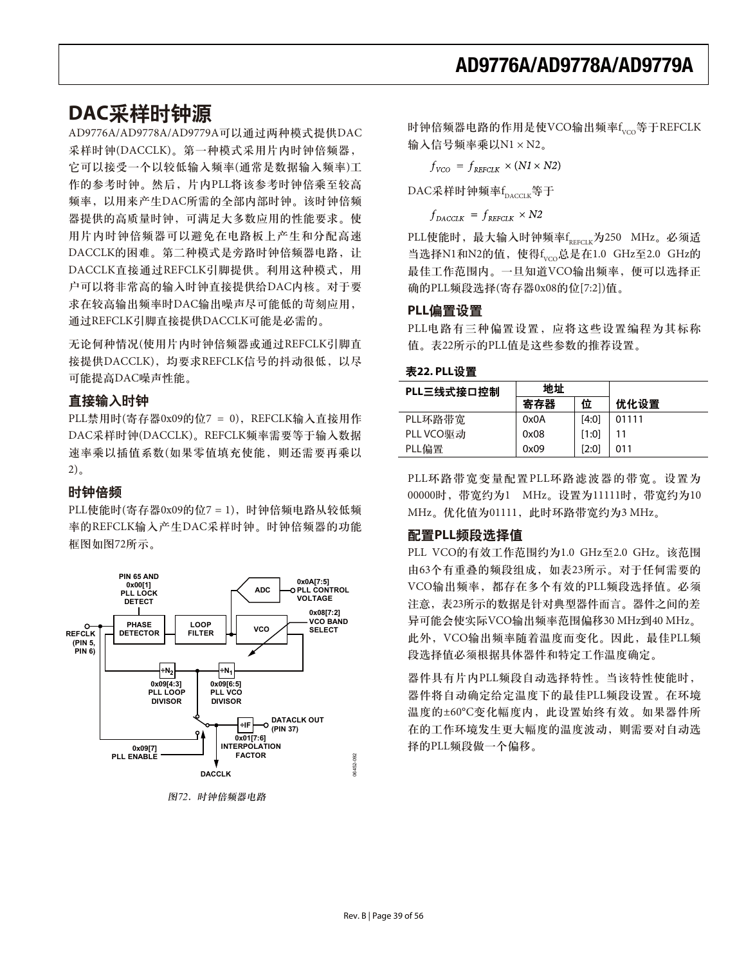## **DAC采样时钟源**

AD9776A/AD9778A/AD9779A可以通过两种模式提供DAC 采样时钟(DACCLK)。第一种模式采用片内时钟倍频器, 它可以接受一个以较低输入频率(通常是数据输入频率)工 作的参考时钟。然后,片内PLL将该参考时钟倍乘至较高 频率, 以用来产生DAC所需的全部内部时钟。该时钟倍频 器提供的高质量时钟,可满足大多数应用的性能要求。使 用片内时钟倍频器可以避免在电路板上产生和分配高速 DACCLK的困难。第二种模式是旁路时钟倍频器电路,让 DACCLK直接通过REFCLK引脚提供。利用这种模式, 用 户可以将非常高的输入时钟直接提供给DAC内核。对于要 求在较高输出频率时DAC输出噪声尽可能低的苛刻应用, 通过REFCLK引脚直接提供DACCLK可能是必需的。

无论何种情况(使用片内时钟倍频器或通过REFCLK引脚直 接提供DACCLK), 均要求REFCLK信号的抖动很低, 以尽 可能提高DAC噪声性能。

### 直接输入时钟

 $PLL$ 禁用时(寄存器0x09的位7 = 0), REFCLK输入直接用作 DAC采样时钟(DACCLK)。REFCLK频率需要等于输入数据 速率乘以插值系数(如果零值填充使能, 则还需要再乘以  $2)$ <sub>a</sub>

### 时钟倍频

PLL使能时(寄存器0x09的位7 = 1), 时钟倍频电路从较低频 率的REFCLK输入产生DAC采样时钟。时钟倍频器的功能 框图如图72所示。



图72. 时钟倍频器电路

时钟倍频器电路的作用是使VCO输出频率f<sub>vco</sub>等于REFCLK 输入信号频率乘以 $N1 \times N2$ 。

 $f_{VCO} = f_{REFCLK} \times (NI \times N2)$ 

DAC采样时钟频率 $\rm{f}_{_{\rm DACCLK}}$ 等于

 $f_{DACCIK} = f_{REFCLK} \times N2$ 

PLL使能时,最大输入时钟频率f<sub>reFCLK</sub>为250 MHz。必须适 当选择N1和N2的值,使得f<sub>vco</sub>总是在1.0 GHz至2.0 GHz的 最佳工作范围内。一旦知道VCO输出频率, 便可以选择正 确的PLL频段选择(寄存器0x08的位[7:2])值。

#### PLL偏置设置

PLL电路有三种偏置设置, 应将这些设置编程为其标称 值。表22所示的PLL值是这些参数的推荐设置。

表22. PLL设置

| PLL三线式接口控制 | 地址   |       |       |
|------------|------|-------|-------|
|            | 寄存器  | 位     | 优化设置  |
| PLL环路带宽    | 0x0A | [4:0] | 01111 |
| PLL VCO驱动  | 0x08 | [1:0] |       |
| PLL偏置      | 0x09 | [2:0] | 011   |

PLL环路带宽变量配置PLL环路滤波器的带宽。设置为 00000时, 带宽约为1 MHz。设置为11111时, 带宽约为10 MHz。优化值为01111, 此时环路带宽约为3 MHz。

### 配置PLL频段选择值

PLL VCO的有效工作范围约为1.0 GHz至2.0 GHz。该范围 由63个有重叠的频段组成, 如表23所示。对于任何需要的 VCO输出频率,都存在多个有效的PLL频段选择值。必须 注意, 表23所示的数据是针对典型器件而言。器件之间的差 异可能会使实际VCO输出频率范围偏移30 MHz到40 MHz。 此外, VCO输出频率随着温度而变化。因此, 最佳PLL频 段选择值必须根据具体器件和特定工作温度确定。

器件具有片内PLL频段自动选择特性。当该特性使能时, 器件将自动确定给定温度下的最佳PLL频段设置。在环境 温度的±60°C变化幅度内, 此设置始终有效。如果器件所 在的工作环境发生更大幅度的温度波动, 则需要对自动选 择的PLL频段做一个偏移。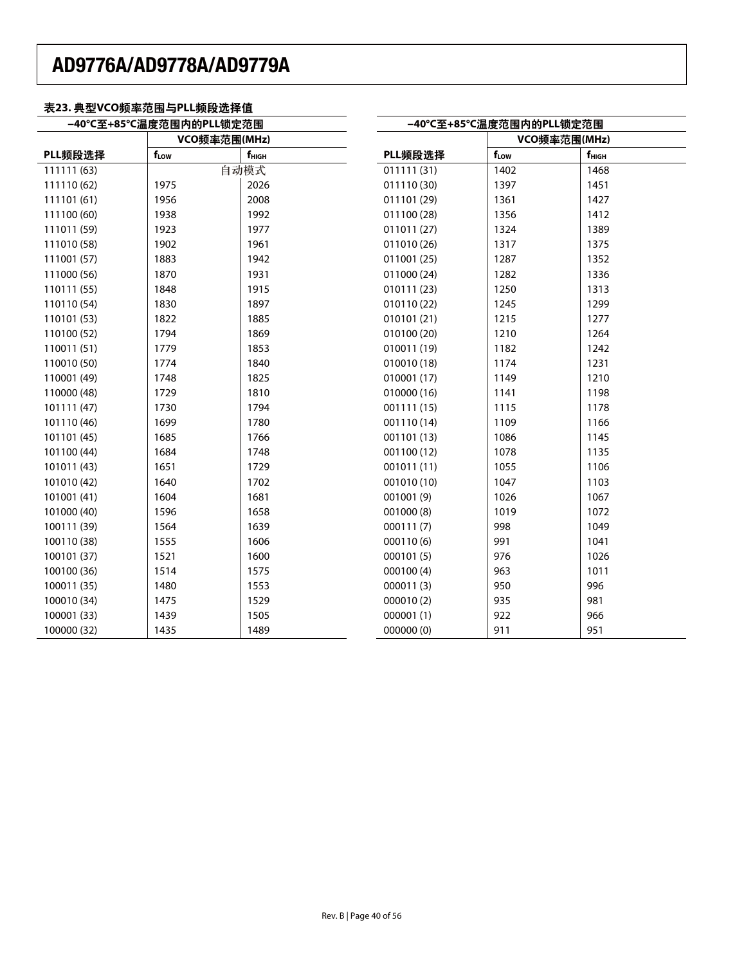### 表23. 典型VCO频率范围与PLL频段选择值

| -40℃至+85℃温度范围内的PLL锁定范围 |              |                | -40℃至+85℃温度范围内的PLL锁定范围 |                  |                |  |
|------------------------|--------------|----------------|------------------------|------------------|----------------|--|
|                        | VCO频率范围(MHz) |                |                        | VCO频率范围(MHz)     |                |  |
| PLL频段选择                | fLow         | $f_{\rm HIGH}$ | PLL频段选择                | f <sub>Low</sub> | $f_{\rm HIGH}$ |  |
| 111111 (63)            |              | 自动模式           | 011111(31)             | 1402             | 1468           |  |
| 111110 (62)            | 1975         | 2026           | 011110 (30)            | 1397             | 1451           |  |
| 111101 (61)            | 1956         | 2008           | 011101 (29)            | 1361             | 1427           |  |
| 111100 (60)            | 1938         | 1992           | 011100 (28)            | 1356             | 1412           |  |
| 111011 (59)            | 1923         | 1977           | 011011 (27)            | 1324             | 1389           |  |
| 111010 (58)            | 1902         | 1961           | 011010 (26)            | 1317             | 1375           |  |
| 111001 (57)            | 1883         | 1942           | 011001 (25)            | 1287             | 1352           |  |
| 111000 (56)            | 1870         | 1931           | 011000 (24)            | 1282             | 1336           |  |
| 110111 (55)            | 1848         | 1915           | 010111 (23)            | 1250             | 1313           |  |
| 110110 (54)            | 1830         | 1897           | 010110 (22)            | 1245             | 1299           |  |
| 110101 (53)            | 1822         | 1885           | 010101 (21)            | 1215             | 1277           |  |
| 110100 (52)            | 1794         | 1869           | 010100 (20)            | 1210             | 1264           |  |
| 110011 (51)            | 1779         | 1853           | 010011 (19)            | 1182             | 1242           |  |
| 110010 (50)            | 1774         | 1840           | 010010 (18)            | 1174             | 1231           |  |
| 110001 (49)            | 1748         | 1825           | 010001 (17)            | 1149             | 1210           |  |
| 110000 (48)            | 1729         | 1810           | 010000 (16)            | 1141             | 1198           |  |
| 101111 (47)            | 1730         | 1794           | 001111 (15)            | 1115             | 1178           |  |
| 101110 (46)            | 1699         | 1780           | 001110 (14)            | 1109             | 1166           |  |
| 101101 (45)            | 1685         | 1766           | 001101 (13)            | 1086             | 1145           |  |
| 101100 (44)            | 1684         | 1748           | 001100 (12)            | 1078             | 1135           |  |
| 101011 (43)            | 1651         | 1729           | 001011 (11)            | 1055             | 1106           |  |
| 101010 (42)            | 1640         | 1702           | 001010 (10)            | 1047             | 1103           |  |
| 101001 (41)            | 1604         | 1681           | 001001 (9)             | 1026             | 1067           |  |
| 101000 (40)            | 1596         | 1658           | 001000(8)              | 1019             | 1072           |  |
| 100111 (39)            | 1564         | 1639           | 000111(7)              | 998              | 1049           |  |
| 100110 (38)            | 1555         | 1606           | 000110 (6)             | 991              | 1041           |  |
| 100101 (37)            | 1521         | 1600           | 000101 (5)             | 976              | 1026           |  |
| 100100 (36)            | 1514         | 1575           | 000100(4)              | 963              | 1011           |  |
| 100011 (35)            | 1480         | 1553           | 000011 (3)             | 950              | 996            |  |
| 100010 (34)            | 1475         | 1529           | 000010 (2)             | 935              | 981            |  |
| 100001 (33)            | 1439         | 1505           | 000001 (1)             | 922              | 966            |  |
| 100000 (32)            | 1435         | 1489           | 000000 (0)             | 911              | 951            |  |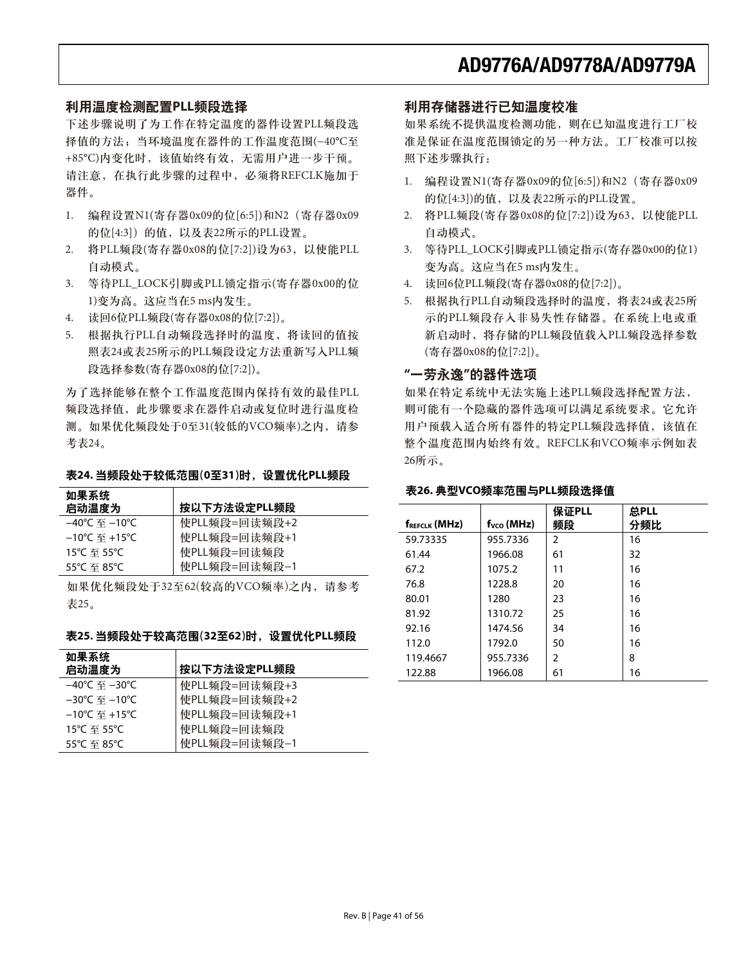### 利用温度检测配置PLL频段选择

下述步骤说明了为工作在特定温度的器件设置PLL频段选 择值的方法; 当环境温度在器件的工作温度范围(-40℃至 +85°C)内变化时, 该值始终有效, 无需用户进一步干预。 请注意, 在执行此步骤的过程中, 必须将REFCLK施加于 器件。

- 1. 编程设置N1(寄存器0x09的位[6:5])和N2 (寄存器0x09 的位[4:3]) 的值, 以及表22所示的PLL设置。
- 2. 将PLL频段(寄存器0x08的位[7:2])设为63, 以使能PLL 自动模式。
- 3. 等待PLL\_LOCK引脚或PLL锁定指示(寄存器0x00的位 1)变为高。这应当在5 ms内发生。
- 4. 读回6位PLL频段(寄存器0x08的位[7:2])。
- 5. 根据执行PLL自动频段选择时的温度, 将读回的值按 照表24或表25所示的PLL频段设定方法重新写入PLL频 段选择参数(寄存器0x08的位[7:2])。

为了选择能够在整个工作温度范围内保持有效的最佳PLL 频段选择值, 此步骤要求在器件启动或复位时进行温度检 测。如果优化频段处于0至31(较低的VCO频率)之内,请参 考表24。

#### 表24. 当频段处于较低范围(0至31)时, 设置优化PLL频段

| 使PLL频段=回读频段+2<br>–40℃ 至 –10℃                        |  |
|-----------------------------------------------------|--|
| 使PLL频段=回读频段+1<br>$-10^{\circ}$ C 至 +15 $^{\circ}$ C |  |
| 使PLL频段=回读频段<br>15℃ 至 55℃                            |  |
| 使PLL频段=回读频段-1<br>55°C 至 85°C                        |  |

如果优化频段处于32至62(较高的VCO频率)之内, 请参考 表25。

#### 表25. 当频段处于较高范围(32至62)时, 设置优化PLL频段

| 如果系统<br>启动温度为                      | 按以下方法设定PLL频段  |
|------------------------------------|---------------|
| –40℃ 至 –30℃                        | 使PLL频段=回读频段+3 |
| –30℃ 至 –10℃                        | 使PLL频段=回读频段+2 |
| $-10^{\circ}$ C 至 +15 $^{\circ}$ C | 使PLL频段=回读频段+1 |
| 15°C 至 55°C                        | 使PLL频段=回读频段   |
| 55°C 至 85°C                        | 使PLL频段=回读频段-1 |

### 利用存储器进行已知温度校准

如果系统不提供温度检测功能,则在已知温度进行工厂校 准是保证在温度范围锁定的另一种方法。工厂校准可以按 照下述步骤执行:

- 1. 编程设置N1(寄存器0x09的位[6:5])和N2 (寄存器0x09 的位[4:3])的值, 以及表22所示的PLL设置。
- 2. 将PLL频段(寄存器0x08的位[7:2])设为63, 以使能PLL 自动模式。
- 3. 等待PLL LOCK引脚或PLL锁定指示(寄存器0x00的位1) 变为高。这应当在5 ms内发生。
- 4. 读回6位PLL频段(寄存器0x08的位[7:2])。
- 5. 根据执行PLL自动频段选择时的温度, 将表24或表25所 示的PLL频段存入非易失性存储器。在系统上电或重 新启动时, 将存储的PLL频段值载入PLL频段选择参数 (寄存器0x08的位[7:2])。

### "一劳永逸"的器件选项

如果在特定系统中无法实施上述PLL频段选择配置方法, 则可能有一个隐藏的器件选项可以满足系统要求。它允许 用户预载入适合所有器件的特定PLL频段选择值, 该值在 整个温度范围内始终有效。REFCLK和VCO频率示例如表 26所示。

### 表26. 典型VCO频率范围与PLL频段选择值

| <b>fREFCLK (MHZ)</b> | $fVCO$ (MHz) | 保证PLL<br>频段 | 总PLL<br>分频比 |
|----------------------|--------------|-------------|-------------|
|                      |              |             |             |
| 59.73335             | 955.7336     | 2           | 16          |
| 61.44                | 1966.08      | 61          | 32          |
| 67.2                 | 1075.2       | 11          | 16          |
| 76.8                 | 1228.8       | 20          | 16          |
| 80.01                | 1280         | 23          | 16          |
| 81.92                | 1310.72      | 25          | 16          |
| 92.16                | 1474.56      | 34          | 16          |
| 112.0                | 1792.0       | 50          | 16          |
| 119.4667             | 955.7336     | 2           | 8           |
| 122.88               | 1966.08      | 61          | 16          |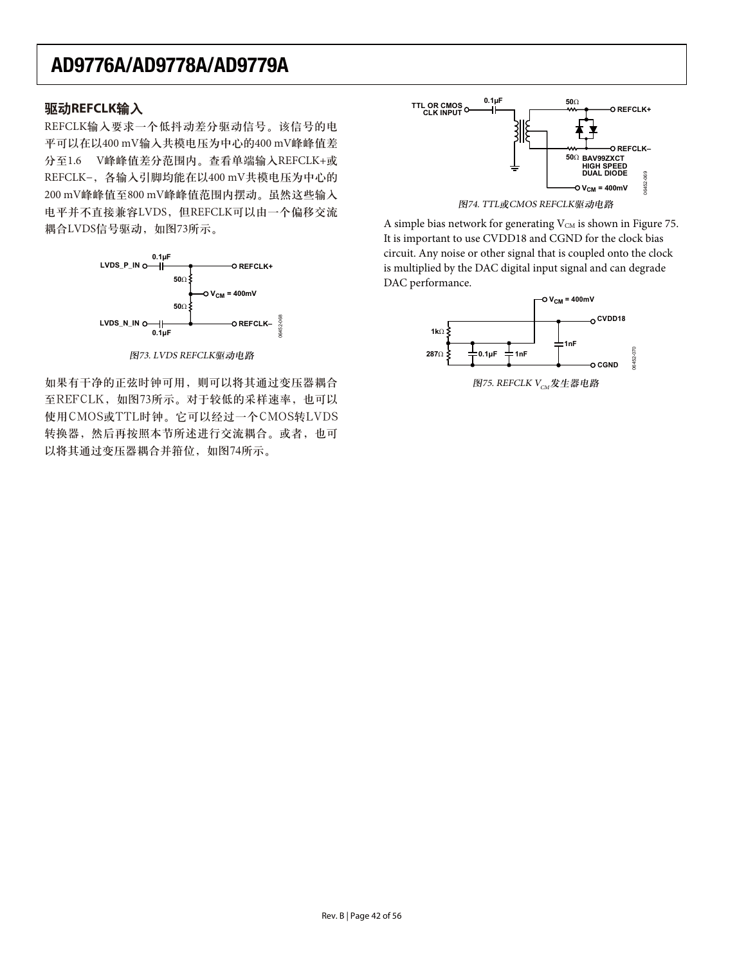### **驱动REFCLK输入**

REFCLK输入要求一个低抖动差分驱动信号。该信号的电 平可以在以400 mV输入共模电压为中心的400 mV峰峰值差 分至1.6 V峰峰值差分范围内。查看单端输入REFCLK+或 REFCLK-, 各输入引脚均能在以400 mV共模电压为中心的 200 mV峰峰值至800 mV峰峰值范围内摆动。虽然这些输入 电平并不直接兼容LVDS, 但REFCLK可以由一个偏移交流 耦合LVDS信号驱动, 如图73所示。



图73. LVDS REFCLK驱动电路

如果有干净的正弦时钟可用,则可以将其通过变压器耦合 至REFCLK, 如图73所示。对于较低的采样速率, 也可以 使用CMOS或TTL时钟。它可以经过一个CMOS转LVDS 转换器,然后再按照本节所述进行交流耦合。或者,也可 以将其通过变压器耦合并箝位, 如图74所示。





A simple bias network for generating  $V_{CM}$  is shown in Figure 75. It is important to use CVDD18 and CGND for the clock bias circuit. Any noise or other signal that is coupled onto the clock is multiplied by the DAC digital input signal and can degrade DAC performance.

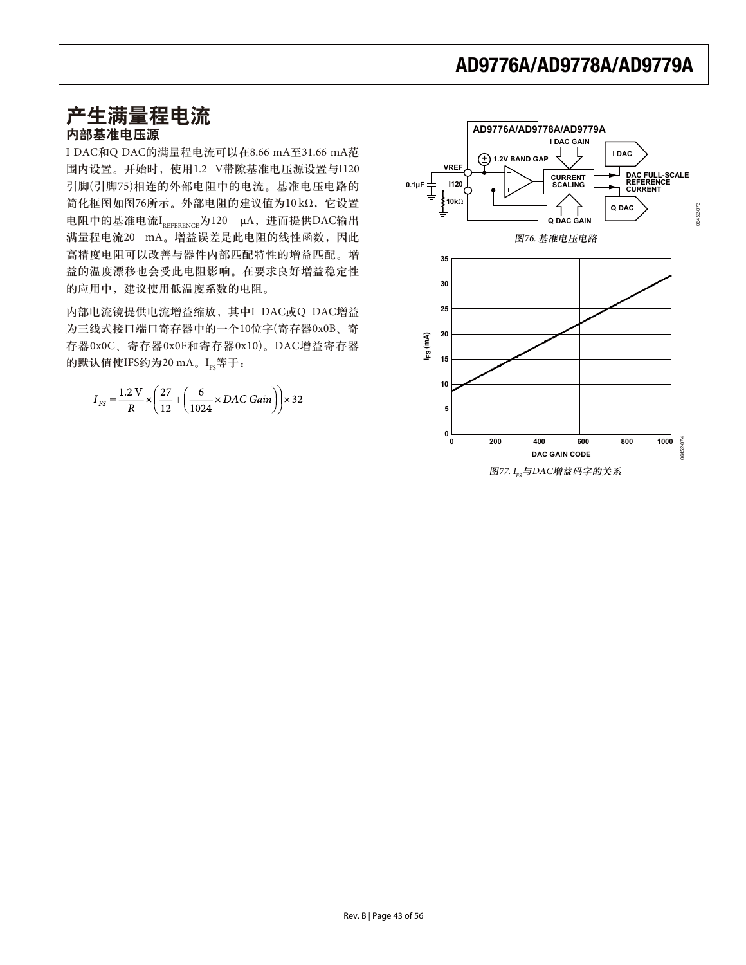# 产生满量程电流

## 内部基准电压源

I DAC和Q DAC的满量程电流可以在8.66 mA至31.66 mA范 围内设置。开始时, 使用1.2 V带隙基准电压源设置与I120 引脚(引脚75)相连的外部电阻中的电流。基准电压电路的 简化框图如图76所示。外部电阻的建议值为10 kΩ, 它设置 电阻中的基准电流I<sub>PFFFRFNCF</sub>为120 μA, 进而提供DAC输出 满量程电流20 mA。增益误差是此电阻的线性函数,因此 高精度电阻可以改善与器件内部匹配特性的增益匹配。增 益的温度漂移也会受此电阻影响。在要求良好增益稳定性 的应用中,建议使用低温度系数的电阻。

内部电流镜提供电流增益缩放, 其中I DAC或Q DAC增益 为三线式接口端口寄存器中的一个10位字(寄存器0x0B、寄 存器OxOC、寄存器OxOF和寄存器Ox10)。DAC增益寄存器 的默认值使IFS约为20 mA。Ire等于:

$$
I_{FS} = \frac{1.2 \text{ V}}{R} \times \left(\frac{27}{12} + \left(\frac{6}{1024} \times DAC \text{ Gain}\right)\right) \times 32
$$

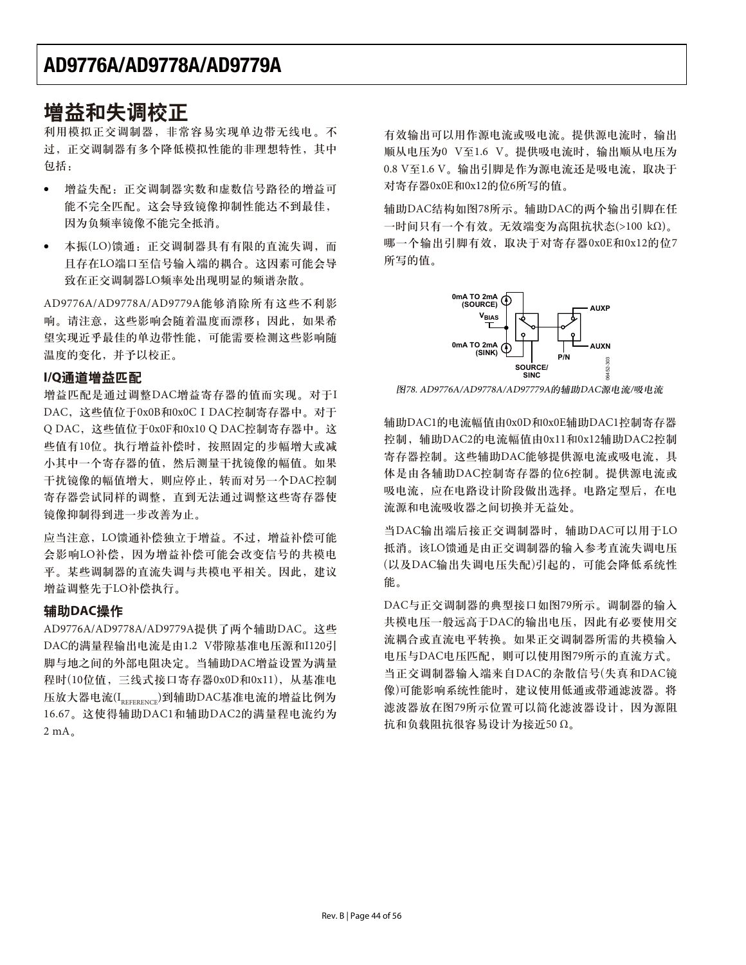## 增益和失调校正

利用模拟正交调制器,非常容易实现单边带无线电。不 过,正交调制器有多个降低模拟性能的非理想特性,其中 包括:

- -增益失配: 正交调制器实数和虚数信号路径的增益可 能不完全匹配。这会导致镜像抑制性能达不到最佳, 因为负频率镜像不能完全抵消。
- $\bullet$ 本振(LO)馈通: 正交调制器具有有限的直流失调, 而 且存在LO端口至信号输入端的耦合。这因素可能会导 致在正交调制器LO频率处出现明显的频谱杂散。

AD9776A/AD9778A/AD9779A能够消除所有这些不利影 响。请注意,这些影响会随着温度而漂移;因此,如果希 望实现近乎最佳的单边带性能,可能需要检测这些影响随 温度的变化,并予以校正。

### $I/Q$ 通道增益匹配

增益匹配是通过调整DAC增益寄存器的值而实现。对于I DAC, 这些值位于0x0B和0x0C I DAC控制寄存器中。对于 Q DAC, 这些值位于0x0F和0x10 Q DAC控制寄存器中。这 些值有10位。执行增益补偿时, 按照固定的步幅增大或减 小其中一个寄存器的值,然后测量干扰镜像的幅值。如果 干扰镜像的幅值增大, 则应停止, 转而对另一个DAC控制 寄存器尝试同样的调整,直到无法通过调整这些寄存器使 镜像抑制得到进一步改善为止。

应当注意, LO馈通补偿独立于增益。不过, 增益补偿可能 会影响LO补偿, 因为增益补偿可能会改变信号的共模电 平。某些调制器的直流失调与共模电平相关。因此,建议 增益调整先于LO补偿执行。

## **辅助DAC操作**

AD9776A/AD9778A/AD9779A提供了两个辅助DAC。这些 DAC的满量程输出电流是由1.2 V带隙基准电压源和I120引 脚与地之间的外部电阻决定。当辅助DAC增益设置为满量 程时(10位值, 三线式接口寄存器0x0D和0x11), 从基准电 压放大器电流(IREFERENCE)到辅助DAC基准电流的增益比例为 16.67。这使得辅助DAC1和辅助DAC2的满量程电流约为  $2 mA.$ 

有效输出可以用作源电流或吸电流。提供源电流时, 输出 顺从电压为0 V至1.6 V。提供吸电流时, 输出顺从电压为 0.8 V至1.6 V。输出引脚是作为源电流还是吸电流, 取决于 对寄存器0x0E和0x12的位6所写的值。

辅助DAC结构如图78所示。辅助DAC的两个输出引脚在任  $-\text{h}$ 问只有一个有效。无效端变为高阻抗状态(>100 kΩ)。 哪一个输出引脚有效, 取决于对寄存器0x0E和0x12的位7 所写的值。



图78. AD9776A/AD9778A/AD97779A的辅助DAC源电流/吸电流

辅助DAC1的电流幅值由0x0D和0x0E辅助DAC1控制寄存器 控制,辅助DAC2的电流幅值由0x11和0x12辅助DAC2控制 寄存器控制。这些辅助DAC能够提供源电流或吸电流,具 体是由各辅助DAC控制寄存器的位6控制。提供源电流或 吸电流, 应在电路设计阶段做出选择。电路定型后, 在电 流源和电流吸收器之间切换并无益处。

当DAC输出端后接正交调制器时, 辅助DAC可以用于LO 抵消。该LO馈通是由正交调制器的输入参考直流失调电压 (以及DAC输出失调电压失配)引起的,可能会降低系统性 能。

DAC与正交调制器的典型接口如图79所示。调制器的输入 共模电压一般远高于DAC的输出电压,因此有必要使用交 流耦合或直流电平转换。如果正交调制器所需的共模输入 电压与DAC电压匹配, 则可以使用图79所示的直流方式。 当正交调制器输入端来自DAC的杂散信号(失真和DAC镜 像)可能影响系统性能时,建议使用低通或带通滤波器。将 滤波器放在图79所示位置可以简化滤波器设计, 因为源阻 抗和负载阻抗很容易设计为接近50 Ω。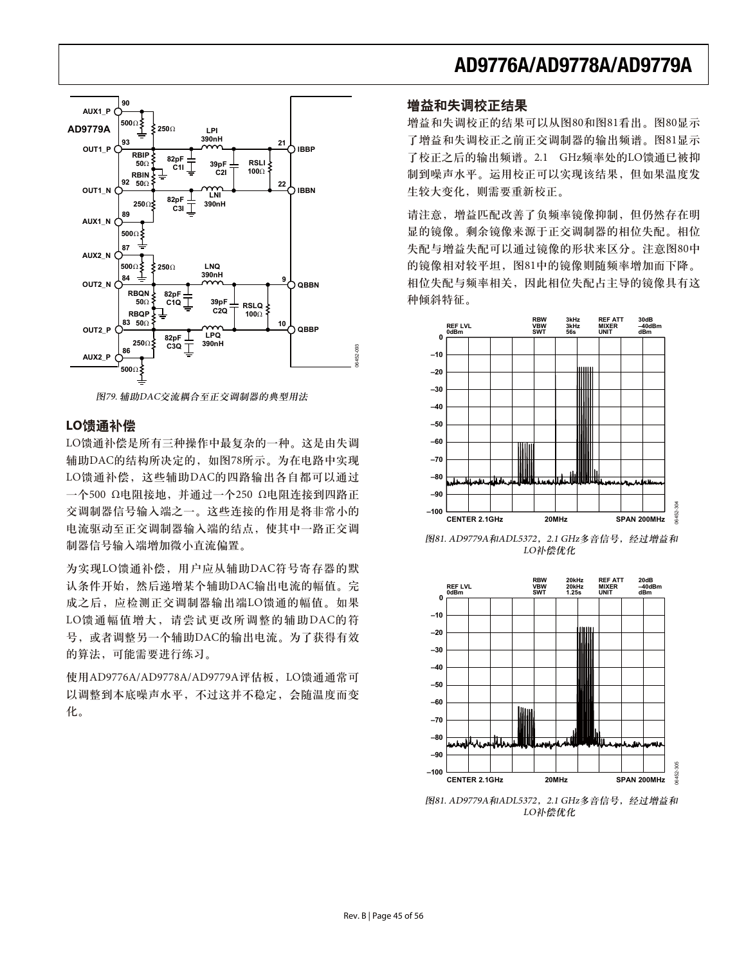

图79. 辅助DAC交流耦合至正交调制器的典型用法

#### LO馈通补偿

LO馈通补偿是所有三种操作中最复杂的一种。这是由失调 辅助DAC的结构所决定的, 如图78所示。为在电路中实现 LO馈通补偿, 这些辅助DAC的四路输出各自都可以通过  $-\bigwedge$ 500 Ω电阻接地, 并通过一个250 Ω电阻连接到四路正 交调制器信号输入端之一。这些连接的作用是将非常小的 电流驱动至正交调制器输入端的结点, 使其中一路正交调 制器信号输入端增加微小直流偏置。

为实现LO馈通补偿, 用户应从辅助DAC符号寄存器的默 认条件开始, 然后递增某个辅助DAC输出电流的幅值。完 成之后, 应检测正交调制器输出端LO馈通的幅值。如果 LO馈通幅值增大, 请尝试更改所调整的辅助DAC的符 号, 或者调整另一个辅助DAC的输出电流。为了获得有效 的算法,可能需要进行练习。

使用AD9776A/AD9778A/AD9779A评估板, LO馈通通常可 以调整到本底噪声水平, 不过这并不稳定, 会随温度而变 化。

## **AD9776A/AD9778A/AD9779A**

### 增益和失调校正结果

增益和失调校正的结果可以从图80和图81看出。图80显示 了增益和失调校正之前正交调制器的输出频谱。图81显示 了校正之后的输出频谱。2.1 GHz频率处的LO馈通已被抑 制到噪声水平。运用校正可以实现该结果,但如果温度发 生较大变化, 则需要重新校正。

请注意, 增益匹配改善了负频率镜像抑制, 但仍然存在明 显的镜像。剩余镜像来源于正交调制器的相位失配。相位 失配与增益失配可以通过镜像的形状来区分。注意图80中 的镜像相对较平坦,图81中的镜像则随频率增加而下降。 相位失配与频率相关, 因此相位失配占主导的镜像具有这 种倾斜特征。



图81. AD9779A和ADL5372, 2.1 GHz多音信号, 经过增益和 LO补偿优化



图81. AD9779A和ADL5372, 2.1 GHz多音信号, 经过增益和 LO补偿优化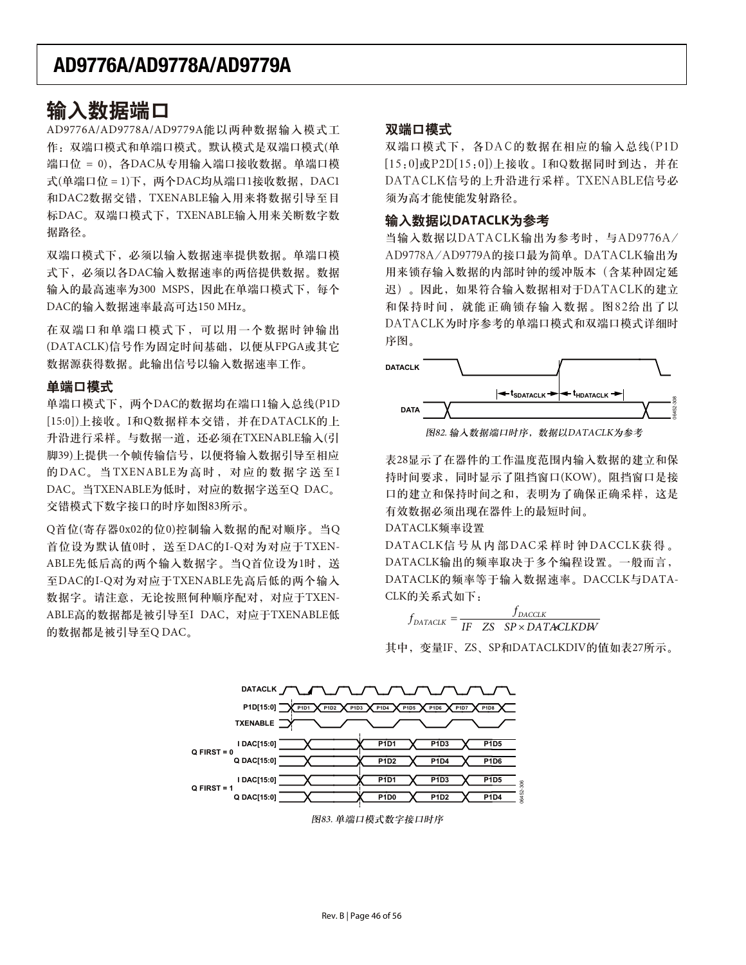## 瑜入数据端口

AD9776A/AD9778A/AD9779A能以两种数据输入模式工 作: 双端口模式和单端口模式。默认模式是双端口模式(单 端口位 = 0), 各DAC从专用输入端口接收数据。单端口模 式(单端口位 = 1)下, 两个DAC均从端口1接收数据, DAC1 和DAC2数据交错, TXENABLE输入用来将数据引导至目 标DAC。双端口模式下, TXENABLE输入用来关断数字数 据路径。

双端口模式下, 必须以输入数据速率提供数据。单端口模 式下, 必须以各DAC输入数据速率的两倍提供数据。数据 输入的最高速率为300 MSPS, 因此在单端口模式下, 每个 DAC的输入数据速率最高可达150 MHz。

在双端口和单端口模式下,可以用一个数据时钟输出 (DATACLK)信号作为固定时间基础, 以便从FPGA或其它 数据源获得数据。此输出信号以输入数据速率工作。

## 单端口模式

单端口模式下, 两个DAC的数据均在端口1输入总线(P1D [15:0])上接收。I和Q数据样本交错,并在DATACLK的上 升沿进行采样。与数据一道, 还必须在TXENABLE输入(引 脚39)上提供一个帧传输信号, 以便将输入数据引导至相应 的DAC。当TXENABLE为高时, 对应的数据字送至I DAC。当TXENABLE为低时, 对应的数据字送至Q DAC。 交错模式下数字接口的时序如图83所示。

Q首位(寄存器0x02的位0)控制输入数据的配对顺序。当Q 首位设为默认值0时, 送至DAC的I-Q对为对应于TXEN-ABLE先低后高的两个输入数据字。当Q首位设为1时, 送 至DAC的I-Q对为对应于TXENABLE先高后低的两个输入 数据字。请注意,无论按照何种顺序配对, 对应于TXEN-ABLE高的数据都是被引导至I DAC, 对应于TXENABLE低 的数据都是被引导至Q DAC。

### 双端口模式

双端口模式下, 各DAC的数据在相应的输入总线(P1D  $\{15:0\}$ 或 $P2D[15:0]$ ) 上接收。 $I$ 和 $Q$ 数据同时到达,并在 DATACLK信号的上升沿进行采样。TXENABLE信号必 须为高才能使能发射路径。

### 输入数据以DATACLK为参考

当输入数据以DATACLK输出为参考时,与AD9776A/ AD9778A/AD9779A的接口最为简单。DATACLK输出为 用来锁存输入数据的内部时钟的缓冲版本(含某种固定延 迟)。因此, 如果符合输入数据相对于DATACLK的建立 和保持时间, 就能正确锁存输入数据。图82给出了以 DATACLK为时序参考的单端口模式和双端口模式详细时 序图。



图82. 输入数据端口时序, 数据以DATACLK为参考

表28显示了在器件的工作温度范围内输入数据的建立和保 持时间要求, 同时显示了阻挡窗口(KOW)。阻挡窗口是接 口的建立和保持时间之和, 表明为了确保正确采样, 这是 有效数据必须出现在器件上的最短时间。

### DATACLK频率设置

DATACLK信号从内部DAC采样时钟DACCLK获得。 DATACLK输出的频率取决于多个编程设置。一般而言, DATACLK的频率等于输入数据速率。DACCLK与DATA-CLK的关系式如下:

 $f_{\text{DATACLK}} = \frac{f_{\text{DACLK}}}{IF \quad ZS \quad SP \times DATACLRDW}$ 

其中, 变量IF、ZS、SP和DATACLKDIV的值如表27所示。

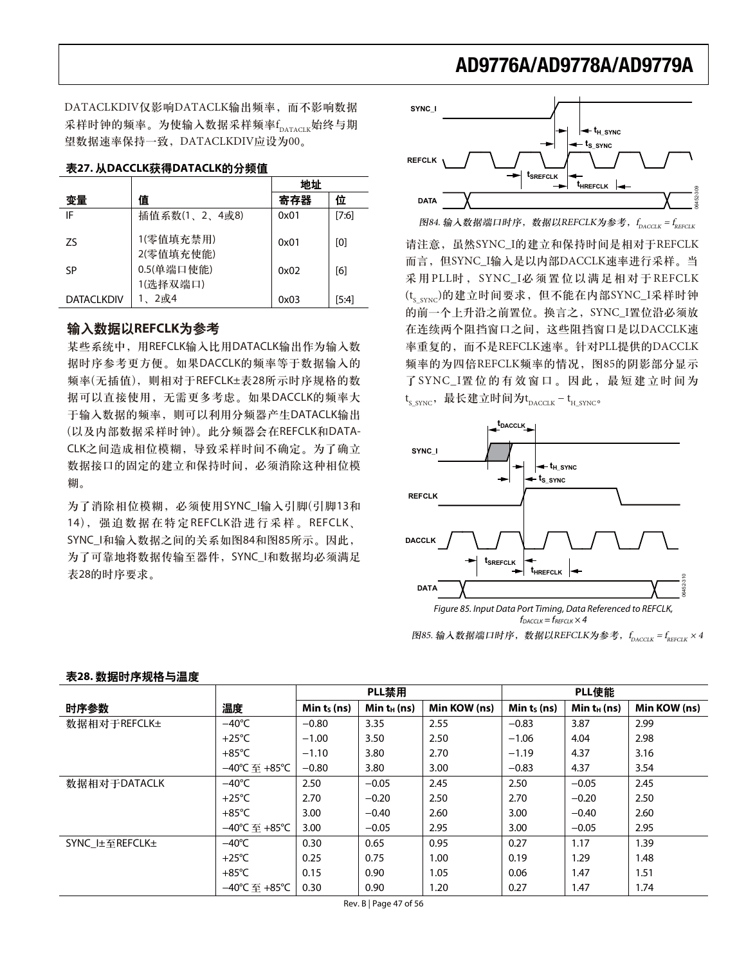DATACLKDIV仅影响DATACLK输出频率, 而不影响数据 采样时钟的频率。为使输入数据采样频率f<sub>dATACLK</sub>始终与期 望数据速率保持一致, DATACLKDIV应设为00。

#### 天27. 从DACCLK获得DATACLK的分频值

|                   |               | 地址   |         |
|-------------------|---------------|------|---------|
| 变量                | 值             | 寄存器  | 位       |
| IF                | 插值系数(1、2、4或8) | 0x01 | $[7:6]$ |
| 75                | 1(零值填充禁用)     | 0x01 | [0]     |
|                   | 2(零值填充使能)     |      |         |
| SP                | 0.5(单端口使能)    | 0x02 | [6]     |
|                   | 1(选择双端口)      |      |         |
| <b>DATACLKDIV</b> | 2或4           | 0x03 | $[5:4]$ |

### 输入数据以REFCLK为参考

某些系统中, 用REFCLK输入比用DATACLK输出作为输入数 据时序参考更方便。如果DACCLK的频率等于数据输入的 频率(无插值), 则相对于REFCLK±表28所示时序规格的数 据可以直接使用, 无需更多考虑。如果DACCLK的频率大 于输入数据的频率, 则可以利用分频器产生DATACLK输出 (以及内部数据采样时钟)。此分频器会在REFCLK和DATA-CLK之间造成相位模糊, 导致采样时间不确定。为了确立 数据接口的固定的建立和保持时间, 必须消除这种相位模 糊。

为了消除相位模糊, 必须使用SYNC\_I输入引脚(引脚13和 14), 强迫数据在特定REFCLK沿进行采样。REFCLK、 SYNC\_I和输入数据之间的关系如图84和图85所示。因此, 为了可靠地将数据传输至器件, SYNC\_I和数据均必须满足 表28的时序要求。



图84. 输入数据端口时序,数据以REFCLK为参考,f<sub>dacclK</sub> = f<sub>reFCLK</sub>

请注意, 虽然SYNC I的建立和保持时间是相对于REFCLK 而言, 但SYNC\_I输入是以内部DACCLK速率进行采样。当 采用PLL时, SYNC\_I必须置位以满足相对于REFCLK  $(t_{S-SYNC})$ 的建立时间要求, 但不能在内部SYNC\_I采样时钟 的前一个上升沿之前置位。换言之, SYNC\_I置位沿必须放 在连续两个阻挡窗口之间,这些阻挡窗口是以DACCLK速 率重复的, 而不是REFCLK速率。针对PLL提供的DACCLK 频率的为四倍REFCLK频率的情况, 图85的阴影部分显示 了SYNC\_I置位的有效窗口。因此, 最短建立时间为 t<sub>s\_SYNC</sub>,最长建立时间为t<sub>DACCLK</sub>-t<sub>H\_SYNC</sub>。



图85. 输入数据端口时序,数据以REFCLK为参考,f<sub>paccuk</sub> = f<sub>refcuk</sub> × 4

|                |                 | PLL禁用          |                |              | PLL使能          |                |              |
|----------------|-----------------|----------------|----------------|--------------|----------------|----------------|--------------|
| 时序参数           | 温度              | Min $t_s$ (ns) | Min $t_H$ (ns) | Min KOW (ns) | Min $t_s$ (ns) | $Min t_H (ns)$ | Min KOW (ns) |
| 数据相对于REFCLK±   | $-40^{\circ}$ C | $-0.80$        | 3.35           | 2.55         | $-0.83$        | 3.87           | 2.99         |
|                | $+25^{\circ}$ C | $-1.00$        | 3.50           | 2.50         | $-1.06$        | 4.04           | 2.98         |
|                | $+85^{\circ}$ C | $-1.10$        | 3.80           | 2.70         | $-1.19$        | 4.37           | 3.16         |
|                | –40°C 至 +85°C   | $-0.80$        | 3.80           | 3.00         | $-0.83$        | 4.37           | 3.54         |
| 数据相对于DATACLK   | $-40^{\circ}$ C | 2.50           | $-0.05$        | 2.45         | 2.50           | $-0.05$        | 2.45         |
|                | $+25^{\circ}$ C | 2.70           | $-0.20$        | 2.50         | 2.70           | $-0.20$        | 2.50         |
|                | $+85^{\circ}$ C | 3.00           | $-0.40$        | 2.60         | 3.00           | $-0.40$        | 2.60         |
|                | –40℃ 至 +85℃     | 3.00           | $-0.05$        | 2.95         | 3.00           | $-0.05$        | 2.95         |
| SYNC 圧至REFCLK± | $-40^{\circ}$ C | 0.30           | 0.65           | 0.95         | 0.27           | 1.17           | 1.39         |
|                | $+25^{\circ}$ C | 0.25           | 0.75           | 1.00         | 0.19           | 1.29           | 1.48         |
|                | $+85^{\circ}$ C | 0.15           | 0.90           | 1.05         | 0.06           | 1.47           | 1.51         |
|                | –40℃ 至 +85℃     | 0.30           | 0.90           | 1.20         | 0.27           | 1.47           | 1.74         |

#### 表28. 数据时序规格与温度

Rev. B | Page 47 of 56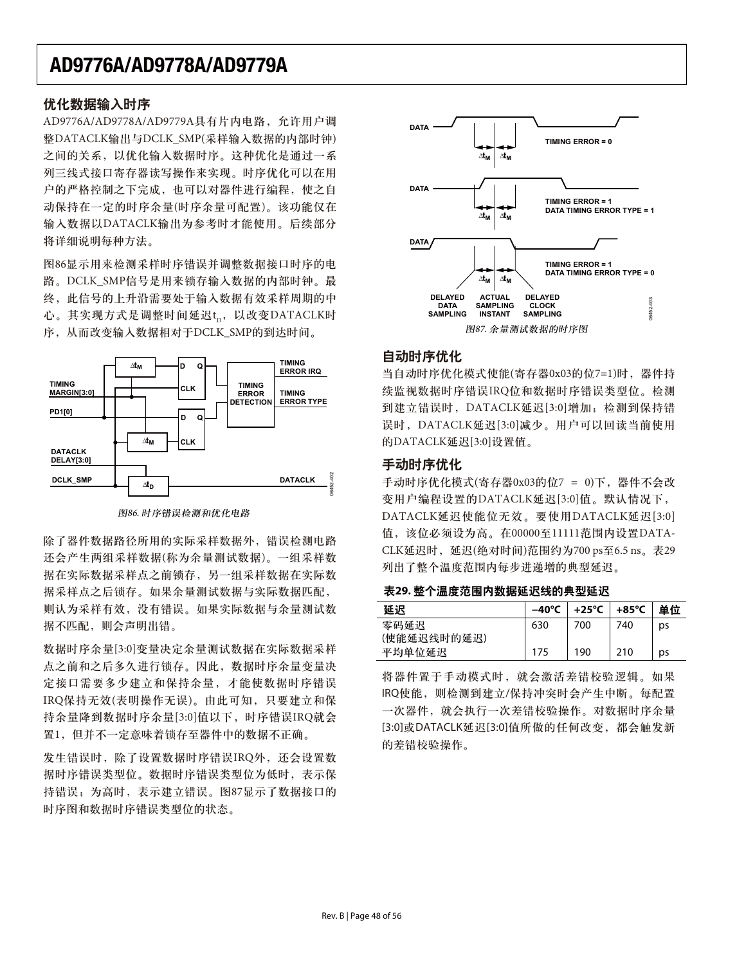### 优化数据输入时序

AD9776A/AD9778A/AD9779A具有片内电路, 允许用户调 整DATACLK输出与DCLK\_SMP(采样输入数据的内部时钟) 之间的关系, 以优化输入数据时序。这种优化是通过一系 列三线式接口寄存器读写操作来实现。时序优化可以在用 户的严格控制之下完成,也可以对器件进行编程,使之自 动保持在一定的时序余量(时序余量可配置)。该功能仅在 输入数据以DATACLK输出为参考时才能使用。后续部分 将详细说明每种方法。

图86显示用来检测采样时序错误并调整数据接口时序的电 路。DCLK\_SMP信号是用来锁存输入数据的内部时钟。最 终,此信号的上升沿需要处干输入数据有效采样周期的中 心。其实现方式是调整时间延迟t<sub>p</sub>,以改变DATACLK时 序, 从而改变输入数据相对于DCLK\_SMP的到达时间。



图86. 时序错误检测和优化电路

除了器件数据路径所用的实际采样数据外, 错误检测电路 还会产生两组采样数据(称为余量测试数据)。一组采样数 据在实际数据采样点之前锁存,另一组采样数据在实际数 据采样点之后锁存。如果余量测试数据与实际数据匹配, 则认为采样有效,没有错误。如果实际数据与余量测试数 据不匹配, 则会声明出错。

数据时序余量[3:0]变量决定余量测试数据在实际数据采样 点之前和之后多久进行锁存。因此, 数据时序余量变量决 定接口需要多少建立和保持余量,才能使数据时序错误 IRO 保持无效(表明操作无误)。由此可知, 只要建立和保 持余量降到数据时序余量[3:0]值以下, 时序错误IRQ就会 置1,但并不一定意味着锁存至器件中的数据不正确。

发生错误时,除了设置数据时序错误IRQ外,还会设置数 据时序错误类型位为低时,表示保 持错误;为高时,表示建立错误。图87显示了数据接口的 时序图和数据时序错误类型位的状态。



## 自动时序优化

当自动时序优化模式使能(寄存器0x03的位7=1)时, 器件持 续监视数据时序错误IRQ位和数据时序错误类型位。检测 到建立错误时, DATACLK延迟[3:0]增加; 检测到保持错 误时, DATACLK延迟[3:0]减少。用户可以回读当前使用 的DATACLK延迟[3:0]设置值。

### 手动时序优化

手动时序优化模式(寄存器0x03的位7 = 0)下, 器件不会改 变用户编程设置的DATACLK延迟[3:0]值。默认情况下, DATACLK延迟使能位无效。要使用DATACLK延迟[3:0] 值,该位必须设为高。在00000至11111范围内设置DATA-CLK延迟时, 延迟(绝对时间)范围约为700 ps至6.5 ns。表29 列出了整个温度范围内每步进递增的典型延迟。

表29. 整个温度范围内数据延迟线的典型延迟

| 延沢                  | $-40^{\circ}$ C | +25°C | +85°C | 单位 |
|---------------------|-----------------|-------|-------|----|
| 零码延迟<br>(使能延迟线时的延迟) | 630             | 700   | 740   | ps |
| 平均单位延迟              | 175             | 190   | 210   | ps |

将器件置于手动模式时, 就会激活差错校验逻辑。如果 IRQ使能, 则检测到建立/保持冲突时会产生中断。每配置 一次器件, 就会执行一次差错校验操作。对数据时序余量 [3:0]或DATACLK延迟[3:0]值所做的任何改变, 都会触发新 的差错校验操作。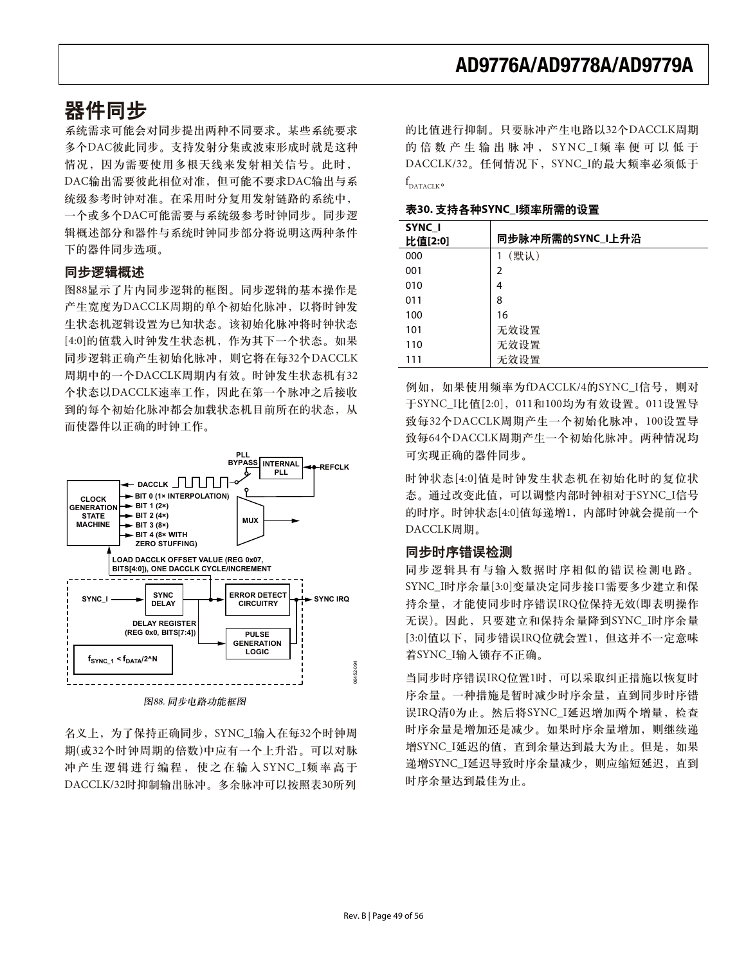## 器件同步

系统需求可能会对同步提出两种不同要求。某些系统要求 多个DAC彼此同步。支持发射分集或波束形成时就是这种 情况,因为需要使用多根天线来发射相关信号。此时, DAC输出需要彼此相位对准,但可能不要求DAC输出与系 统级参考时钟对准。在采用时分复用发射链路的系统中, 一个或多个DAC可能需要与系统级参考时钟同步。同步逻 辑概述部分和器件与系统时钟同步部分将说明这两种条件 下的器件同步选项。

### 同步逻辑概述

图88显示了片内同步逻辑的框图。同步逻辑的基本操作是 产生宽度为DACCLK周期的单个初始化脉冲, 以将时钟发 生状态机逻辑设置为已知状态。该初始化脉冲将时钟状态 [4:0]的值载入时钟发生状态机, 作为其下一个状态。如果 同步逻辑正确产生初始化脉冲, 则它将在每32个DACCLK 周期中的一个DACCLK周期内有效。时钟发生状态机有32 个状态以DACCLK速率工作, 因此在第一个脉冲之后接收 到的每个初始化脉冲都会加载状态机目前所在的状态,从 而使器件以正确的时钟工作。



名义上, 为了保持正确同步, SYNC\_I输入在每32个时钟周 期(或32个时钟周期的倍数)中应有一个上升沿。可以对脉 冲产生逻辑进行编程, 使之在输入SYNC\_I频率高于 DACCLK/32时抑制输出脉冲。多余脉冲可以按照表30所列

的比值进行抑制。只要脉冲产生电路以32个DACCLK周期 的倍数产生输出脉冲, SYNC\_I频率便可以低于 DACCLK/32。任何情况下, SYNC\_I的最大频率必须低于 f<br>Dataclk°

表30. 支持各种SYNC\_I频率所需的设置

| SYNC I<br>比值[2:0] | 同步脉冲所需的SYNC_I上升沿 |
|-------------------|------------------|
| 000               | (默认)             |
| 001               | 2                |
| 010               | 4                |
| 011               | 8                |
| 100               | 16               |
| 101               | 无效设置             |
| 110               | 无效设置             |
| 111               | 无效设置             |

例如, 如果使用频率为fDACCLK/4的SYNC\_I信号, 则对 于SYNC\_I比值[2:0], 011和100均为有效设置。011设置导 致每32个DACCLK周期产生一个初始化脉冲, 100设置导 致每64个DACCLK周期产生一个初始化脉冲。两种情况均 可实现正确的器件同步。

时钟状态[4:0]值是时钟发生状态机在初始化时的复位状 态。通过改变此值,可以调整内部时钟相对于SYNC\_I信号 的时序。时钟状态[4:0]值每递增1, 内部时钟就会提前一个 DACCLK周期。

### 同步时序错误检测

同步逻辑具有与输入数据时序相似的错误检测电路。 SYNC\_I时序余量[3:0]变量决定同步接口需要多少建立和保 持余量,才能使同步时序错误IRQ位保持无效(即表明操作 无误)。因此, 只要建立和保持余量降到SYNC\_I时序余量 [3:0]值以下, 同步错误IRQ位就会置1, 但这并不一定意味 着SYNC\_I输入锁存不正确。

当同步时序错误IRQ位置1时, 可以采取纠正措施以恢复时 序余量。一种措施是暂时减少时序余量, 直到同步时序错 误IRQ清0为止。然后将SYNC\_I延迟增加两个增量, 检查 时序余量是增加还是减少。如果时序余量增加, 则继续递 增SYNC\_I延迟的值, 直到余量达到最大为止。但是, 如果 递增SYNC\_I延迟导致时序余量减少, 则应缩短延迟, 直到 时序余量达到最佳为止。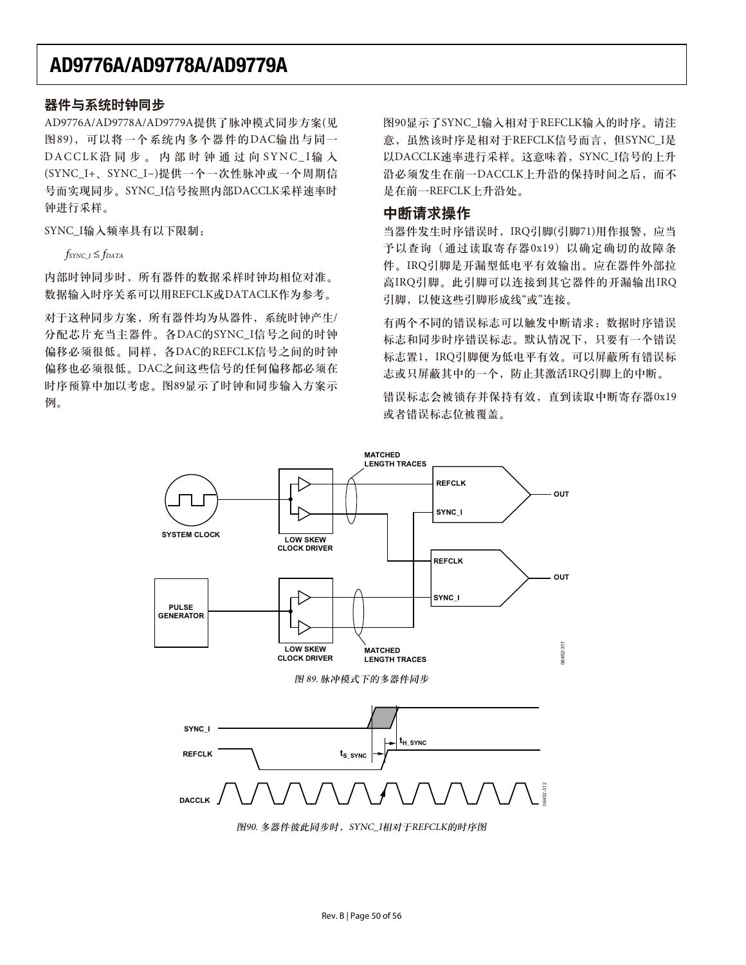### 器件与系统时钟同步

AD9776A/AD9778A/AD9779A提供了脉冲模式同步方案(见 图89), 可以将一个系统内多个器件的DAC输出与同一 DACCLK沿同步。内部时钟通过向SYNC I输入 (SYNC\_I+、SYNC\_I-)提供一个一次性脉冲或一个周期信 号而实现同步。SYNC\_I信号按照内部DACCLK采样速率时 钟进行采样。

SYNC\_I输入频率具有以下限制:

 $f_{SYNC}$   $I \leq f_{DATA}$ 

内部时钟同步时,所有器件的数据采样时钟均相位对准。 数据输入时序关系可以用REFCLK或DATACLK作为参考。

对干这种同步方案, 所有器件均为从器件, 系统时钟产生/ 分配芯片充当主器件。各DAC的SYNC\_I信号之间的时钟 偏移必须很低。同样, 各DAC的REFCLK信号之间的时钟 偏移也必须很低。DAC之间这些信号的任何偏移都必须在 时序预算中加以考虑。图89显示了时钟和同步输入方案示 例。

图90显示了SYNC I输入相对于REFCLK输入的时序。请注 意, 虽然该时序是相对于REFCLK信号而言, 但SYNC\_I是 以DACCLK速率进行采样。这意味着, SYNC\_I信号的上升 沿必须发生在前一DACCLK上升沿的保持时间之后, 而不 是在前一REFCLK上升沿处。

## 中断请求操作

当器件发生时序错误时, IRQ引脚(引脚71)用作报警, 应当 予以查询(通过读取寄存器0x19)以确定确切的故障条 件。IRQ引脚是开漏型低电平有效输出。应在器件外部拉 高IRQ引脚。此引脚可以连接到其它器件的开漏输出IRQ 引脚,以使这些引脚形成线"或"连接。

有两个不同的错误标志可以触发中断请求: 数据时序错误 标志和同步时序错误标志。默认情况下,只要有一个错误 标志置1, IRQ引脚便为低电平有效。可以屏蔽所有错误标 志或只屏蔽其中的一个,防止其激活IRQ引脚上的中断。

错误标志会被锁存并保持有效, 直到读取中断寄存器0x19 或者错误标志位被覆盖。



图90. 多器件彼此同步时, SYNC\_I相对于REFCLK的时序图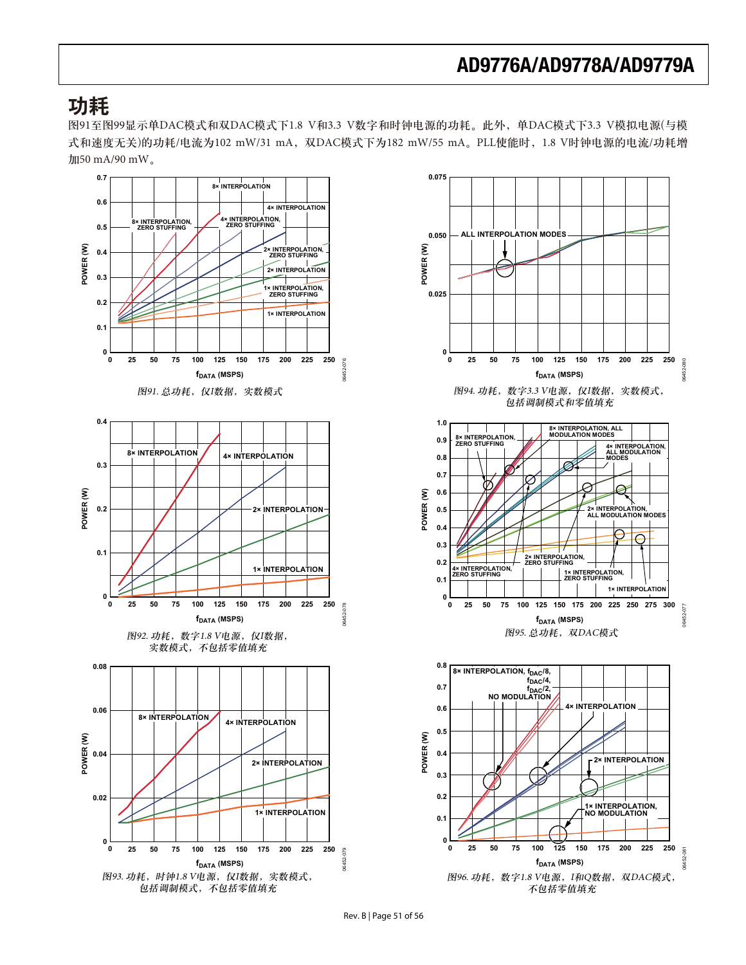## 功耗

图91至图99显示单DAC模式和双DAC模式下1.8 V和3.3 V数字和时钟电源的功耗。此外,单DAC模式下3.3 V模拟电源(与模 式和速度无关)的功耗/电流为102 mW/31 mA, 双DAC模式下为182 mW/55 mA。PLL使能时, 1.8 V时钟电源的电流/功耗增 加50 mA/90 mW。





Rev. B | Page 51 of 56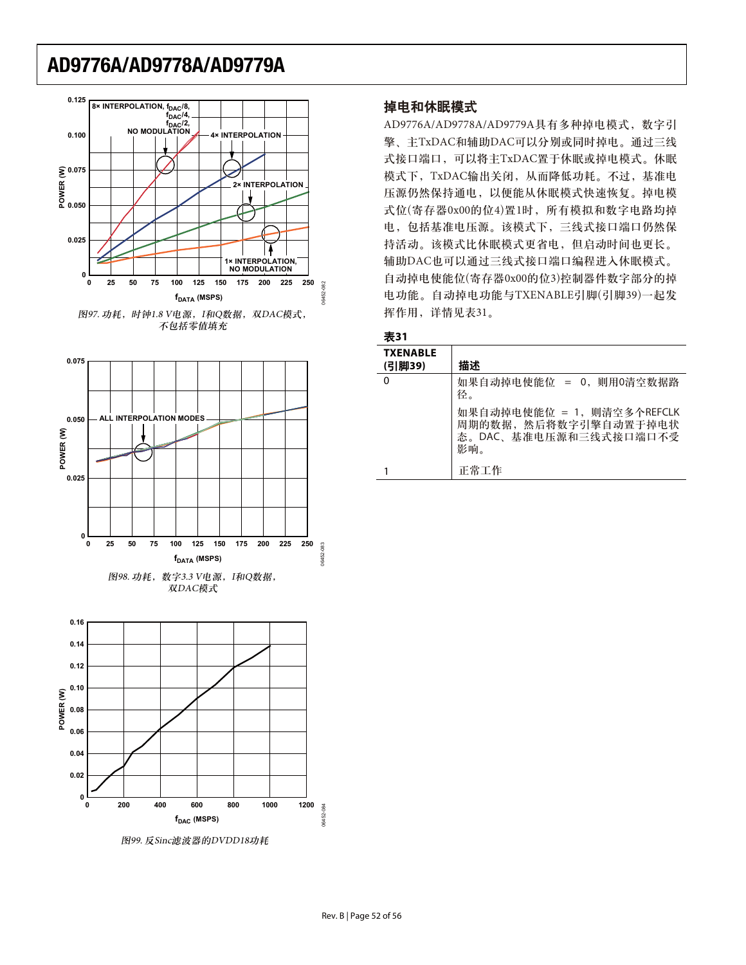



图99. 反Sinc滤波器的DVDD18功耗

### 掉电和休眠模式

AD9776A/AD9778A/AD9779A具有多种掉电模式, 数字引 擎、主TxDAC和辅助DAC可以分别或同时掉电。通过三线 式接口端口,可以将主TxDAC置于休眠或掉电模式。休眠 模式下, TxDAC输出关闭, 从而降低功耗。不过, 基准电 压源仍然保持通电, 以便能从休眠模式快速恢复。掉电模 式位(寄存器0x00的位4)置1时, 所有模拟和数字电路均掉 电,包括基准电压源。该模式下,三线式接口端口仍然保 持活动。该模式比休眠模式更省电,但启动时间也更长。 辅助DAC也可以通过三线式接口端口编程进入休眠模式。 自动掉电使能位(寄存器0x00的位3)控制器件数字部分的掉 电功能。自动掉电功能与TXENABLE引脚(引脚39)一起发 挥作用,详情见表31。

#### 表31

| <b>TXENABLE</b><br>(引脚39) | 描述                                                                                  |
|---------------------------|-------------------------------------------------------------------------------------|
| 0                         | 如果自动掉电使能位 = 0, 则用0清空数据路<br>径。                                                       |
|                           | 如果自动掉电使能位 = 1, 则清空多个REFCLK<br>周期的数据, 然后将数字引擎自动置于掉电状<br>态。DAC、基准电压源和三线式接口端口不受<br>影响。 |
|                           | 正常工作                                                                                |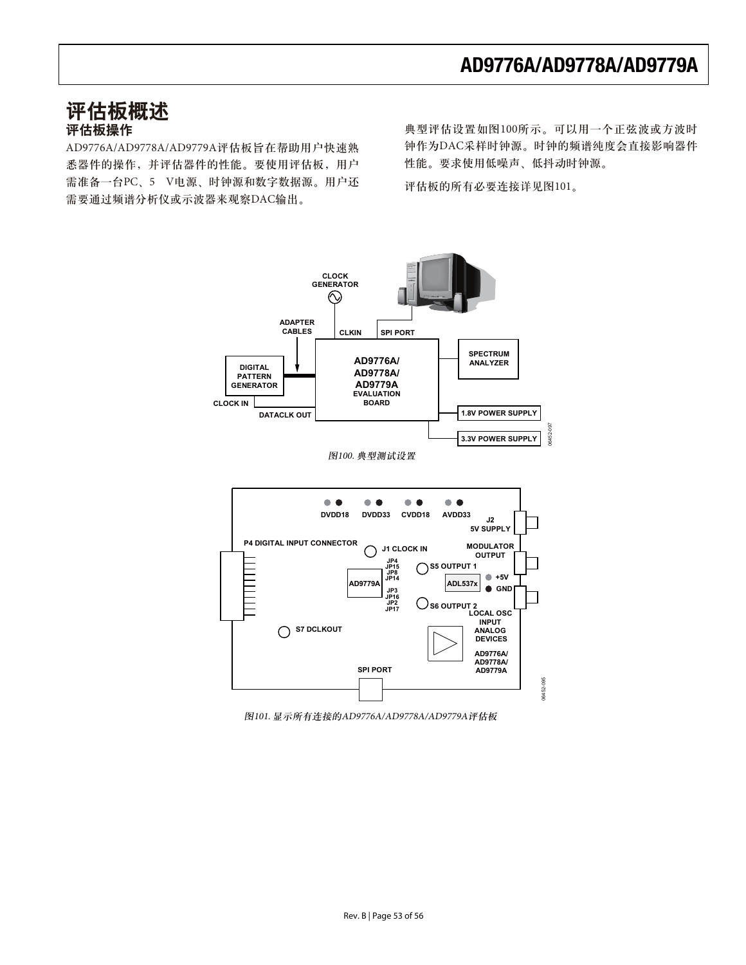## 评估板概述 评估板操作

AD9776A/AD9778A/AD9779A评估板旨在帮助用户快速熟 悉器件的操作,并评估器件的性能。要使用评估板,用户 需准备一台PC、5 V电源、时钟源和数字数据源。用户还 需要通过频谱分析仪或示波器来观察DAC输出。

典型评估设置如图100所示。可以用一个正弦波或方波时 钟作为DAC采样时钟源。时钟的频谱纯度会直接影响器件 性能。要求使用低噪声、低抖动时钟源。

评估板的所有必要连接详见图101。



图101. 显示所有连接的AD9776A/AD9778A/AD9779A评估板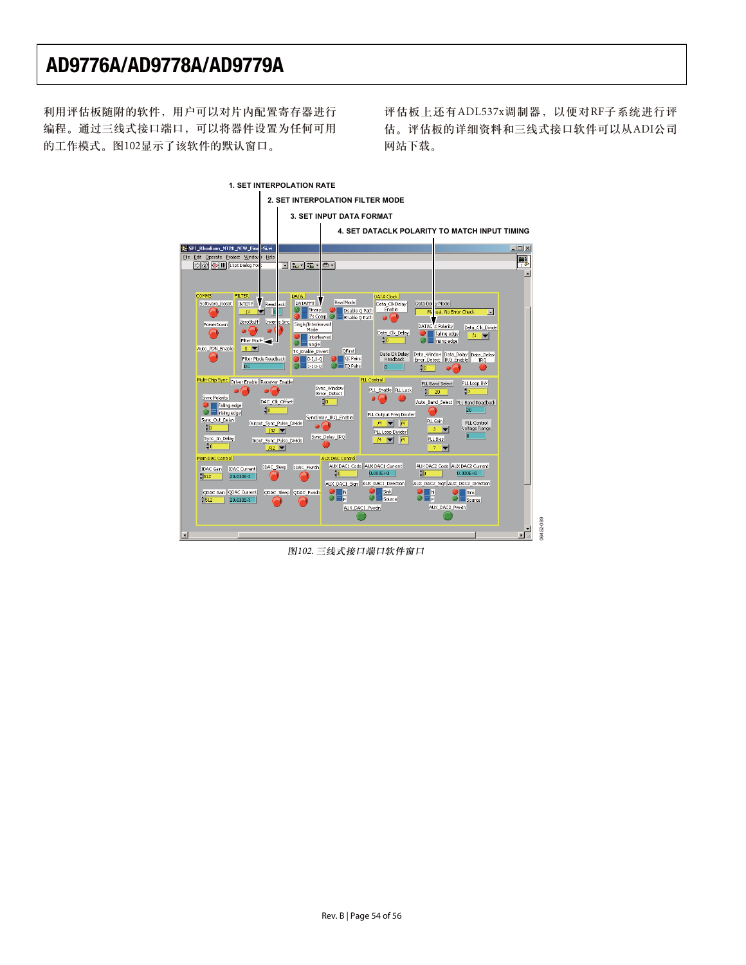利用评估板随附的软件,用户可以对片内配置寄存器进行 编程。通过三线式接口端口,可以将器件设置为任何可用 的工作模式。图102显示了该软件的默认窗口。

评估板上还有ADL537x调制器, 以便对RF子系统进行评 估。评估板的详细资料和三线式接口软件可以从ADI公司 网站下载。



图102. 三线式接口端口软件窗口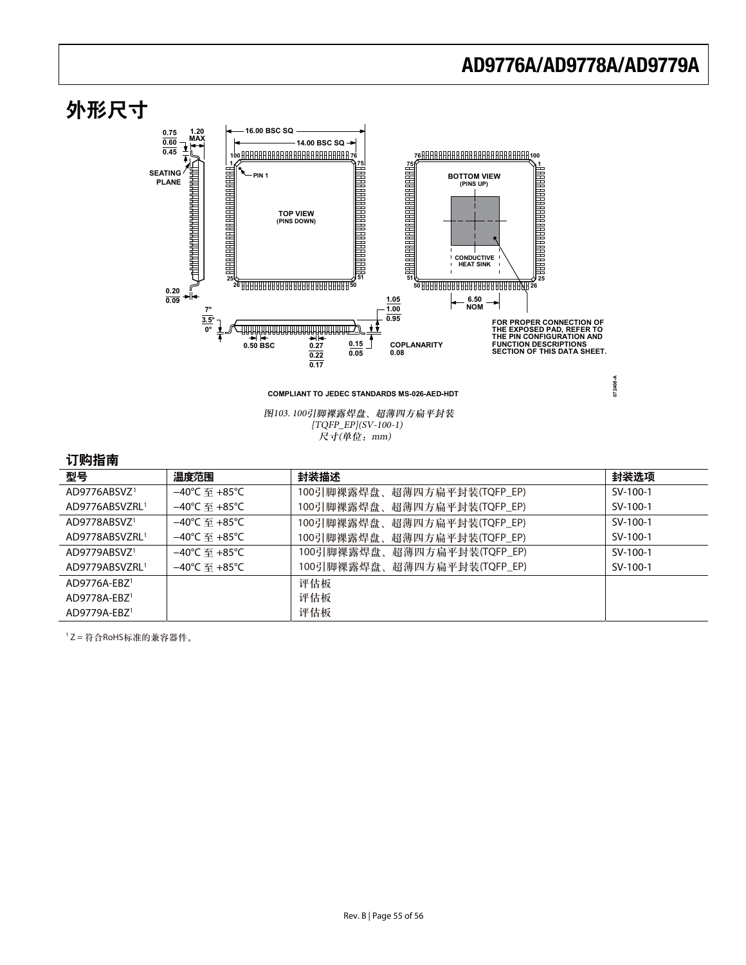

图103. 100引脚裸露焊盘、超薄四方扁平封装 [TQFP\_EP](SV-100-1)  $R$ 寸(单位: mm)

### 订购指南

| .                          |                         |                              |          |
|----------------------------|-------------------------|------------------------------|----------|
| 型号                         | 温度范围                    | 封装描述                         | 封装选项     |
| AD9776ABSVZ <sup>1</sup>   | –40℃ 至 +85℃             | 100引脚裸露焊盘、超薄四方扁平封装(TQFP_EP)  | SV-100-1 |
| AD9776ABSVZRL <sup>1</sup> | –40℃ 至 +85℃             | 100引脚裸露焊盘、超薄四方扁平封装(TQFP_EP)  | SV-100-1 |
| AD9778ABSVZ <sup>1</sup>   | –40℃  至 +85℃            | 100引脚裸露焊盘、超薄四方扁平封装(TQFP_EP)  | SV-100-1 |
| AD9778ABSVZRL <sup>1</sup> | –40℃  至 +85℃            | 100引脚裸露焊盘、超薄四方扁平封装(TQFP_EP)  | SV-100-1 |
| AD9779ABSVZ <sup>1</sup>   | $-40^{\circ}$ C 军 +85°C | 100引脚裸露焊盘、超薄四方扁平封装(TQFP_EP): | SV-100-1 |
| AD9779ABSVZRL1             | $-40^{\circ}$ C 军 +85°C | 100引脚裸露焊盘、超薄四方扁平封装(TQFP_EP)  | SV-100-1 |
| $AD9776A-EBZ1$             |                         | 评估板                          |          |
| $AD9778A-EBZ1$             |                         | 评估板                          |          |
| $AD9779A-EBZ1$             |                         | 评估板                          |          |

 $1$ Z = 符合RoHS标准的兼容器件。